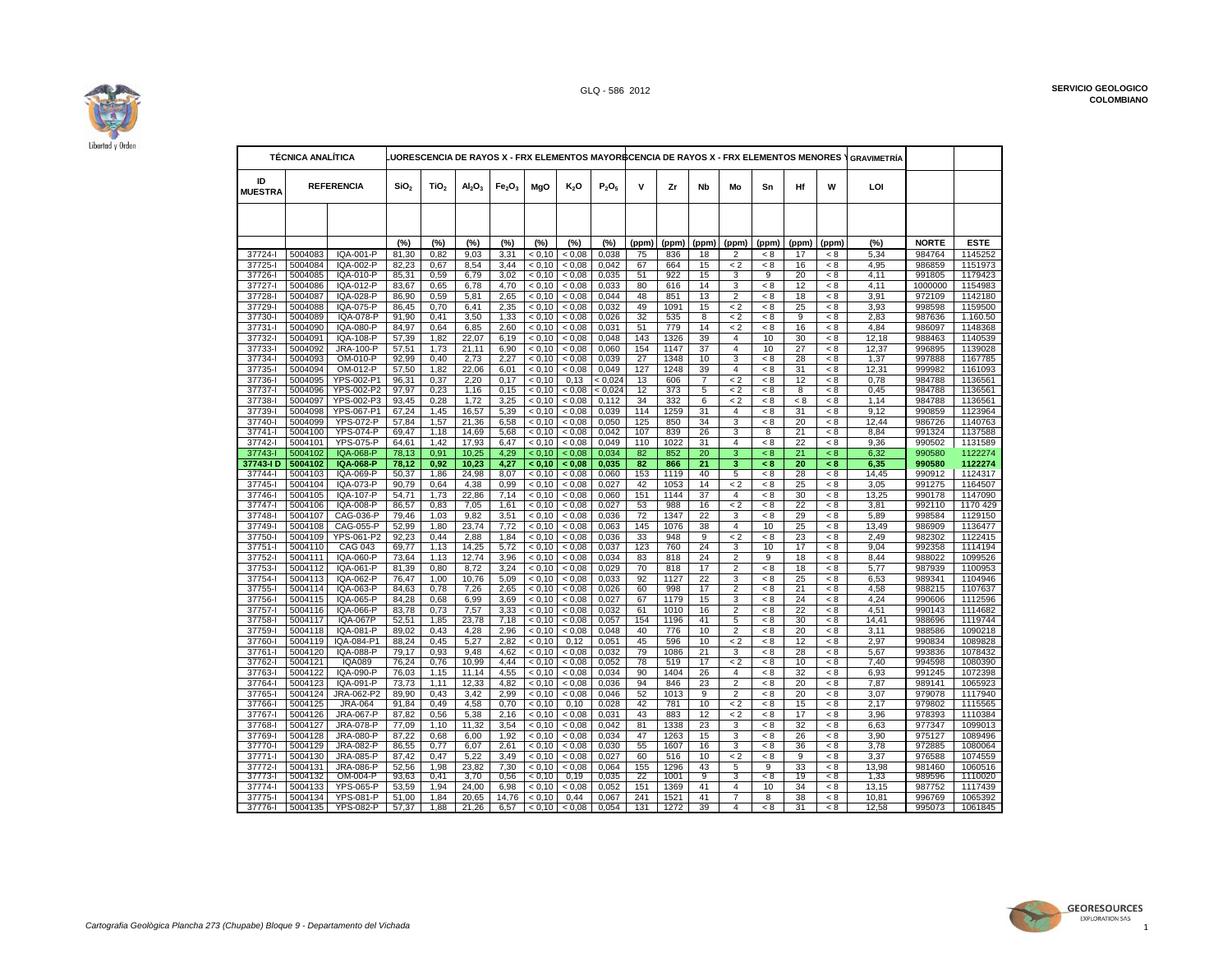

| ID<br><b>REFERENCIA</b><br>SiO <sub>2</sub><br>TiO <sub>2</sub><br>MgO<br>K <sub>2</sub> O<br>P <sub>2</sub> O <sub>5</sub><br>v<br>Zr<br><b>Nb</b><br>Hf<br>W<br>LOI<br>Al <sub>2</sub> O <sub>3</sub><br>Fe <sub>2</sub> O <sub>3</sub><br>Mo<br>Sn<br><b>MUESTRA</b><br>(%)<br><b>NORTE</b><br><b>ESTE</b><br>(%)<br>(%)<br>(%)<br>(%)<br>(%)<br>(%)<br>(%)<br>(ppm)<br>(ppm)<br>(ppm)<br>(ppm)<br>(ppm)<br>(ppm)<br>(ppm)<br>37724-1<br>5004083<br><b>IQA-001-P</b><br>0,82<br>9.03<br>0.038<br>984764<br>1145252<br>81,30<br>3,31<br>< 0.10<br>< 0.08<br>75<br>836<br>18<br>2<br>< 8<br>17<br>< 8<br>5,34<br>37725-l<br>5004084<br>IQA-002-P<br>82,23<br>8.54<br>< 0.10<br>< 0.08<br>0.042<br>664<br>15<br>$\lt 2$<br>986859<br>1151973<br>0.67<br>3.44<br>67<br>< 8<br>16<br>4.95<br>< 8<br><b>IQA-010-P</b><br>3,02<br>922<br>$\overline{9}$<br>37726-l<br>5004085<br>85,31<br>0,59<br>6,79<br>< 0.10<br>< 0.08<br>0,035<br>51<br>15<br>20<br>4,11<br>991805<br>1179423<br>3<br>< 8<br>37727-l<br>5004086<br>IQA-012-P<br>83,67<br>0,033<br>80<br>616<br>14<br>3<br>1154983<br>0,65<br>6,78<br>4,70<br>< 0.10<br>< 0,08<br>< 8<br>12<br>< 8<br>4,11<br>1000000<br>48<br>851<br>13<br>2<br>1142180<br>37728-l<br>5004087<br>IQA-028-P<br>86.90<br>0,59<br>5,81<br>2,65<br>< 0.10<br>< 0.08<br>0.044<br>< 8<br>18<br>3.91<br>972109<br>< 8<br>49<br>5004088<br>IQA-075-P<br>86,45<br>0,70<br>2,35<br>< 0.10<br>< 0.08<br>0,032<br>1091<br>15<br>$\lt 2$<br>25<br>3,93<br>1159500<br>37729-l<br>6,41<br>< 8<br>< 8<br>998598<br>5004089<br>IQA-078-P<br>37730-l<br>91,90<br>0,41<br>3,50<br>1,33<br>< 0,10<br>< 0,08<br>0,026<br>32<br>535<br>8<br>$\lt 2$<br>< 8<br>9<br>< 8<br>2,83<br>987636<br>1.160.50<br>5004090<br>779<br>1148368<br>37731-l<br>IQA-080-P<br>84,97<br>0.64<br>6,85<br>2,60<br>< 0.10<br>< 0.08<br>0,031<br>51<br>14<br>< 2<br>< 8<br>16<br>4.84<br>986097<br>< 8<br>1326<br>39<br>37732-<br>5004091<br>IQA-108-P<br>57,39<br>22,07<br>6.19<br>< 0.10<br>< 0.08<br>0,048<br>143<br>$\overline{4}$<br>10<br>30<br>12,18<br>988463<br>1140539<br>1,82<br>< 8<br>37733-l<br>5004092<br>JRA-100-P<br>57,51<br>1,73<br>21,11<br>6,90<br>< 0,10<br>< 0,08<br>0,060<br>154<br>1147<br>37<br>4<br>10<br>27<br>< 8<br>12,37<br>996895<br>1139028<br>2,73<br>27<br>1348<br>3<br>28<br>37734-l<br>5004093<br>OM-010-P<br>92,99<br>0,40<br>2,27<br>< 0.10<br>< 0.08<br>0,039<br>10<br>< 8<br>1,37<br>997888<br>1167785<br>< 8<br>OM-012-P<br>22,06<br>< 0.08<br>0,049<br>127<br>1248<br>39<br>$\overline{4}$<br>31<br>12,31<br>1161093<br>37735-l<br>5004094<br>57,50<br>1,82<br>6,01<br>< 0.10<br>< 8<br>< 8<br>999982<br>37736-l<br>5004095<br>YPS-002-P1<br>96,31<br>< 0.024<br>606<br>$\overline{7}$<br>$\lt 2$<br>1136561<br>0,37<br>2,20<br>0,17<br>< 0.10<br>0,13<br>13<br>< 8<br>12<br>< 8<br>0,78<br>984788<br>12<br>373<br>37737-l<br>5004096<br>YPS-002-P2<br>97,97<br>0,23<br>1,16<br>< 0.10<br>0.08 <<br>< 0.024<br>5<br>$\lt 2$<br>8<br>0,45<br>984788<br>1136561<br>0,15<br>< 8<br>< 8<br>5004097<br>YPS-002-P3<br>93,45<br>0,28<br>1,72<br>3,25<br>< 0.10<br>< 0.08<br>34<br>332<br>6<br>$\lt 2$<br>1,14<br>984788<br>1136561<br>37738-l<br>0,112<br>< 8<br>< 8<br>< 8<br>37739-l<br>5004098<br>YPS-067-P1<br>67,24<br>1,45<br>16,57<br>5,39<br>< 0.10<br>< 0.08<br>0,039<br>114<br>1259<br>31<br>$\overline{4}$<br>< 8<br>31<br>9,12<br>990859<br>1123964<br>< 8<br>125<br>37740-l<br>5004099<br><b>YPS-072-P</b><br>1,57<br>21,36<br>6,58<br>< 0.10<br>0.08 <<br>0,050<br>850<br>34<br>3<br>20<br>12,44<br>986726<br>1140763<br>57,84<br>< 8<br>< 8<br><b>YPS-074-P</b><br>< 0.08<br>0,042<br>839<br>26<br>$\overline{8}$<br>$\overline{21}$<br>37741-l<br>5004100<br>69,47<br>1,18<br>14,69<br>5,68<br>< 0.10<br>107<br>3<br>< 8<br>8,84<br>991324<br>1137588<br>37742-l<br>5004101<br><b>YPS-075-P</b><br>17,93<br>< 0.08<br>0,049<br>1022<br>22<br>64,61<br>1,42<br>6,47<br>< 0.10<br>110<br>31<br>$\overline{4}$<br>< 8<br>< 8<br>9,36<br>990502<br>1131589<br>3<br><b>IQA-068-P</b><br>0,91<br>10,25<br>4,29<br>< 0.10<br>82<br>852<br>20<br>21<br>37743-l<br>5004102<br>78,13<br>< 0.08<br>0,034<br>< 8<br>< 8<br>6,32<br>990580<br>1122274<br><b>IQA-068-P</b><br>10,23<br>< 0,10<br>82<br>21<br>3<br>37743-ID<br>5004102<br>78,12<br>0,92<br>4,27<br>< 0.08<br>0,035<br>866<br>< 8<br>20<br>990580<br>1122274<br>< 8<br>6,35<br>37744-l<br>5004103<br>IQA-069-P<br>50,37<br>1,86<br>24,98<br>8,07<br>< 0,10<br>< 0,08<br>0,060<br>153<br>1119<br>40<br>5<br>< 8<br>28<br>< 8<br>14,45<br>990912<br>1124317<br>1053<br>14<br>$\lt 2$<br>25<br>37745-I<br>5004104<br>IQA-073-P<br>90.79<br>0.64<br>4,38<br>0,99<br>< 0.10<br>< 0.08<br>0,027<br>42<br>< 8<br>3,05<br>991275<br>1164507<br>- 8<br>1,73<br>22,86<br>7.14<br>< 0.10<br>< 0.08<br>0,060<br>151<br>1144<br>37<br>$\overline{4}$<br>30<br>1147090<br>37746-l<br>5004105<br>IQA-107-P<br>54,71<br>< 8<br>< 8<br>13,25<br>990178<br><b>IQA-008-P</b><br>0,027<br>988<br>37747-l<br>5004106<br>86,57<br>0,83<br>7,05<br>1,61<br>< 0,10<br>< 0,08<br>53<br>16<br>$\lt 2$<br>< 8<br>22<br>< 8<br>3,81<br>992110<br>1170 429<br>72<br>22<br>29<br>37748-l<br>5004107<br>CAG-036-P<br>79,46<br>1,03<br>9,82<br>3,51<br>< 0.10<br>0.08<br>0,036<br>1347<br>5,89<br>1129150<br>3<br>< 8<br>< 8<br>998584<br>37749-l<br>5004108<br>CAG-055-P<br>52,99<br>1,80<br>23,74<br>7,72<br>< 0.10<br>< 0.08<br>0,063<br>145<br>1076<br>38<br>$\overline{4}$<br>10<br>25<br>13,49<br>986909<br>1136477<br>< 8<br>37750-l<br>5004109<br>YPS-061-P2<br>92,23<br>0,44<br>2,88<br>1,84<br>< 0.10<br>< 0.08<br>0.036<br>33<br>948<br>9<br>$\lt 2$<br>< 8<br>23<br>2,49<br>982302<br>1122415<br>< 8<br>123<br>24<br>37751-l<br>5004110<br><b>CAG 043</b><br>69,77<br>1,13<br>14,25<br>5,72<br>< 0.10<br>0.08<br>0,037<br>760<br>3<br>10<br>17<br>9,04<br>992358<br>1114194<br>< 8<br>5004111<br>IQA-060-P<br>73,64<br>12,74<br>3,96<br>< 0.10<br>< 0.08<br>0,034<br>818<br>24<br>2<br>9<br>18<br>8,44<br>988022<br>1099526<br>37752-l<br>1,13<br>83<br>< 8<br>37753-l<br>5004112<br>IQA-061-P<br>81,39<br>0,80<br>8,72<br>3,24<br>< 0.08<br>0,029<br>70<br>818<br>17<br>$\overline{2}$<br>< 8<br>18<br>5,77<br>987939<br>1100953<br>< 0.10<br>< 8<br>22<br>5004113<br>IQA-062-P<br>76,47<br>1,00<br>10,76<br>< 0.10<br>< 0.08<br>0,033<br>92<br>1127<br>3<br>25<br>989341<br>1104946<br>37754-l<br>5,09<br>< 8<br>< 8<br>6,53<br>IQA-063-P<br>< 0.08<br>0,026<br>998<br>$\overline{2}$<br>988215<br>1107637<br>37755-<br>5004114<br>84,63<br>0,78<br>7,26<br>2,65<br>< 0.10<br>60<br>17<br>< 8<br>21<br>4,58<br>< 8<br>37756-l<br>5004115<br>IQA-065-P<br>0,68<br>6,99<br>< 0,08<br>0,027<br>67<br>1179<br>15<br>3<br>24<br>1112596<br>84,28<br>3,69<br>< 0.10<br>< 8<br>< 8<br>4,24<br>990606<br>$\overline{2}$<br>83,78<br>7,57<br>16<br>22<br>37757-l<br>5004116<br>IQA-066-P<br>0,73<br>3,33<br>< 0.10<br>< 0.08<br>0,032<br>61<br>1010<br>< 8<br>< 8<br>4.51<br>990143<br>1114682<br>5004117<br><b>IQA-067P</b><br>52,51<br>23,78<br>7,18<br>< 0.10<br>< 0,08<br>0,057<br>154<br>1196<br>41<br>30<br>14,41<br>988696<br>1119744<br>37758-l<br>1,85<br>5<br>< 8<br>< 8<br>5004118<br>IQA-081-P<br>89,02<br>0,048<br>776<br>10<br>20<br>1090218<br>37759-l<br>0,43<br>4,28<br>2,96<br>< 0,10<br>< 0,08<br>40<br>$\overline{2}$<br>< 8<br>< 8<br>3,11<br>988586<br>5,27<br>45<br>596<br>$\lt 2$<br>37760-l<br>5004119<br>IQA-084-P1<br>88.24<br>0,45<br>2,82<br>< 0.10<br>0,12<br>0,051<br>10<br>< 8<br>12<br>< 8<br>2,97<br>990834<br>1089828<br>5004120<br>IQA-088-P<br>79,17<br>0,93<br>9,48<br>4,62<br>< 0.10<br>< 0.08<br>0,032<br>79<br>1086<br>21<br>28<br>993836<br>1078432<br>37761-l<br>3<br>< 8<br>< 8<br>5,67<br>78<br>37762-l<br>5004121<br><b>IQA089</b><br>76,24<br>0,76<br>10,99<br>4,44<br>< 0,10<br>< 0,08<br>0,052<br>519<br>17<br>$\lt 2$<br>< 8<br>10<br>7,40<br>994598<br>1080390<br>< 8<br>1404<br>26<br>$\overline{4}$<br>37763-l<br>5004122<br>IQA-090-P<br>76,03<br>1,15<br>11,14<br>4,55<br>< 0.10<br>0.08<br>0,034<br>90<br>32<br>6,93<br>991245<br>1072398<br>< 8<br>< 8<br>5004123<br>IQA-091-P<br>73,73<br>1,11<br>12,33<br>4,82<br>< 0.10<br>< 0.08<br>0,036<br>94<br>846<br>23<br>$\overline{2}$<br>20<br>7,87<br>989141<br>1065923<br>37764-I<br>< 8<br>< 8<br>37765-l<br>5004124<br>JRA-062-P2<br>89,90<br>0,43<br>3,42<br>2,99<br>< 0.10<br>< 0.08<br>0,046<br>52<br>1013<br>9<br>$\overline{2}$<br>< 8<br>20<br>3,07<br>979078<br>1117940<br>< 8<br>781<br>$\overline{2}$<br>2,17<br>37766-l<br>5004125<br><b>JRA-064</b><br>91,84<br>0,49<br>4,58<br>0,70<br>< 0.10<br>0, 10<br>0,028<br>42<br>10<br>15<br>979802<br>1115565<br>< 8<br>< 8<br>5004126<br>JRA-067-P<br>87,82<br>5,38<br>2,16<br>< 0.10<br>< 0.08<br>0,031<br>43<br>883<br>12<br>$\lt 2$<br>17<br>3,96<br>978393<br>1110384<br>37767-l<br>0,56<br>< 8<br>< 8<br>37768-<br>5004127<br>JRA-078-P<br>77,09<br>11,32<br>3,54<br>< 0.10<br>< 0.08<br>0,042<br>81<br>1338<br>23<br>3<br>< 8<br>32<br>977347<br>1099013<br>1,10<br>< 8<br>6,63<br>87,22<br>3<br>JRA-080-P<br>0,68<br>6,00<br>1,92<br>< 0.10<br>< 0.08<br>0,034<br>47<br>1263<br>15<br>26<br>3,90<br>975127<br>37769-l<br>5004128<br>< 8<br>< 8<br>1089496<br>< 0.08<br>0,030<br>5004129<br>JRA-082-P<br>86,55<br>0,77<br>6,07<br>2,61<br>< 0.10<br>55<br>1607<br>16<br>3<br>36<br>3,78<br>972885<br>1080064<br>37770-l<br>< 8<br>< 8<br>5004130<br>JRA-085-P<br>0,47<br>5,22<br>0,027<br>516<br>10<br>3,37<br>976588<br>1074559<br>37771-l<br>87,42<br>3,49<br>< 0.10<br>< 0.08<br>60<br>$\lt 2$<br>< 8<br>9<br>< 8<br>37772-l<br>5004131<br><b>JRA-086-P</b><br>52.56<br>7,30<br>< 0.10<br>1296<br>43<br>13,98<br>1060516<br>1.98<br>23.82<br>< 0.08<br>0.064<br>155<br>5<br>9<br>33<br>< 8<br>981460<br>93,63<br>0,41<br>3,70<br>0,56<br>0,19<br>0,035<br>22<br>1001<br>9<br>3<br>$\overline{8}$<br>19<br>1,33<br>37773-l<br>5004132<br>OM-004-P<br>< 0.10<br>< 8<br>989596<br>1110020<br>151<br>41<br>$\overline{4}$<br>10<br>34<br>5004133<br><b>YPS-065-P</b><br>53,59<br>1,94<br>24,00<br>6,98<br>< 0.10<br>< 0.08<br>0,052<br>1369<br>13,15<br>987752<br>1117439<br>37774-l<br>< 8<br><b>YPS-081-P</b><br>1521<br>41<br>$\overline{7}$<br>37775-I<br>5004134<br>51,00<br>1,84<br>20,65<br>14,76<br>< 0.10<br>0,44<br>0,067<br>241<br>8<br>38<br>< 8<br>10,81<br>996769<br>1065392<br>39<br>31<br>5004135<br><b>YPS-082-P</b><br>57,37<br>1,88<br>21,26<br>0,054<br>131<br>1272<br>$\overline{4}$<br>12,58<br>995073<br>37776-l<br>6,57<br>< 0,10<br>< 0.08<br>< 8<br>< 8<br>1061845 | <b>TÉCNICA ANALITICA</b> |  |  | UORESCENCIA DE RAYOS X - FRX ELEMENTOS MAYORBCENCIA DE RAYOS X - FRX ELEMENTOS MENORES. |  |  |  |  |  | <b>GRAVIMETRÍA</b> |  |
|---------------------------------------------------------------------------------------------------------------------------------------------------------------------------------------------------------------------------------------------------------------------------------------------------------------------------------------------------------------------------------------------------------------------------------------------------------------------------------------------------------------------------------------------------------------------------------------------------------------------------------------------------------------------------------------------------------------------------------------------------------------------------------------------------------------------------------------------------------------------------------------------------------------------------------------------------------------------------------------------------------------------------------------------------------------------------------------------------------------------------------------------------------------------------------------------------------------------------------------------------------------------------------------------------------------------------------------------------------------------------------------------------------------------------------------------------------------------------------------------------------------------------------------------------------------------------------------------------------------------------------------------------------------------------------------------------------------------------------------------------------------------------------------------------------------------------------------------------------------------------------------------------------------------------------------------------------------------------------------------------------------------------------------------------------------------------------------------------------------------------------------------------------------------------------------------------------------------------------------------------------------------------------------------------------------------------------------------------------------------------------------------------------------------------------------------------------------------------------------------------------------------------------------------------------------------------------------------------------------------------------------------------------------------------------------------------------------------------------------------------------------------------------------------------------------------------------------------------------------------------------------------------------------------------------------------------------------------------------------------------------------------------------------------------------------------------------------------------------------------------------------------------------------------------------------------------------------------------------------------------------------------------------------------------------------------------------------------------------------------------------------------------------------------------------------------------------------------------------------------------------------------------------------------------------------------------------------------------------------------------------------------------------------------------------------------------------------------------------------------------------------------------------------------------------------------------------------------------------------------------------------------------------------------------------------------------------------------------------------------------------------------------------------------------------------------------------------------------------------------------------------------------------------------------------------------------------------------------------------------------------------------------------------------------------------------------------------------------------------------------------------------------------------------------------------------------------------------------------------------------------------------------------------------------------------------------------------------------------------------------------------------------------------------------------------------------------------------------------------------------------------------------------------------------------------------------------------------------------------------------------------------------------------------------------------------------------------------------------------------------------------------------------------------------------------------------------------------------------------------------------------------------------------------------------------------------------------------------------------------------------------------------------------------------------------------------------------------------------------------------------------------------------------------------------------------------------------------------------------------------------------------------------------------------------------------------------------------------------------------------------------------------------------------------------------------------------------------------------------------------------------------------------------------------------------------------------------------------------------------------------------------------------------------------------------------------------------------------------------------------------------------------------------------------------------------------------------------------------------------------------------------------------------------------------------------------------------------------------------------------------------------------------------------------------------------------------------------------------------------------------------------------------------------------------------------------------------------------------------------------------------------------------------------------------------------------------------------------------------------------------------------------------------------------------------------------------------------------------------------------------------------------------------------------------------------------------------------------------------------------------------------------------------------------------------------------------------------------------------------------------------------------------------------------------------------------------------------------------------------------------------------------------------------------------------------------------------------------------------------------------------------------------------------------------------------------------------------------------------------------------------------------------------------------------------------------------------------------------------------------------------------------------------------------------------------------------------------------------------------------------------------------------------------------------------------------------------------------------------------------------------------------------------------------------------------------------------------------------------------------------------------------------------------------------------------------------------------------------------------------------------------------------------------------------------------------------------------------------------------------------------------------------------------------------------------------------------------------------------------------------------------------------------------------------------------------------------------------------------------------------------------------------------------------------------------------------------------------------------------------------------------------------------------------------------------------------------------------------------------------------------------------------------------------------------------------------------------------------------------------------------------------------------------------------------------------------------------------------------------------------------------------------------------------------------------------------------------------------------------------------------------------------------------------------------------------------------------------------------------------------------------------------------------------------------------------------------------------------------------------------------------------------------------------------------------------------------------------------------------------------------------------------------------------------------------------------------------------------------------------------------------------------------------------------------------------------------------------------------------------------------------------------------------------------------------------------------------------------------------------------------------------------------------------------------------------------------------------------------------------------------------------------------------------------------------------------------------------------------------------------------------------------------------------------------------------------------------------------------------------------------------------------------------------------------------------------------------------------------------------------------------------------------------------------------------------------------------------------------------------------------------------------------------------------------------------------------------------------------------------------------------------------|--------------------------|--|--|-----------------------------------------------------------------------------------------|--|--|--|--|--|--------------------|--|
|                                                                                                                                                                                                                                                                                                                                                                                                                                                                                                                                                                                                                                                                                                                                                                                                                                                                                                                                                                                                                                                                                                                                                                                                                                                                                                                                                                                                                                                                                                                                                                                                                                                                                                                                                                                                                                                                                                                                                                                                                                                                                                                                                                                                                                                                                                                                                                                                                                                                                                                                                                                                                                                                                                                                                                                                                                                                                                                                                                                                                                                                                                                                                                                                                                                                                                                                                                                                                                                                                                                                                                                                                                                                                                                                                                                                                                                                                                                                                                                                                                                                                                                                                                                                                                                                                                                                                                                                                                                                                                                                                                                                                                                                                                                                                                                                                                                                                                                                                                                                                                                                                                                                                                                                                                                                                                                                                                                                                                                                                                                                                                                                                                                                                                                                                                                                                                                                                                                                                                                                                                                                                                                                                                                                                                                                                                                                                                                                                                                                                                                                                                                                                                                                                                                                                                                                                                                                                                                                                                                                                                                                                                                                                                                                                                                                                                                                                                                                                                                                                                                                                                                                                                                                                                                                                                                                                                                                                                                                                                                                                                                                                                                                                                                                                                                                                                                                                                                                                                                                                                                                                                                                                                                                                                                                                                                                                                                                                                                                                                                                                                                                                                                                                                                                                                                                                                                                                                                                                                                                                                                                                                                                                                                                                                                                                                                                                                                                                                                                                                                                                                                                                                                                                                                                                                                                                                                                                                                                                                                                                                                                 |                          |  |  |                                                                                         |  |  |  |  |  |                    |  |
|                                                                                                                                                                                                                                                                                                                                                                                                                                                                                                                                                                                                                                                                                                                                                                                                                                                                                                                                                                                                                                                                                                                                                                                                                                                                                                                                                                                                                                                                                                                                                                                                                                                                                                                                                                                                                                                                                                                                                                                                                                                                                                                                                                                                                                                                                                                                                                                                                                                                                                                                                                                                                                                                                                                                                                                                                                                                                                                                                                                                                                                                                                                                                                                                                                                                                                                                                                                                                                                                                                                                                                                                                                                                                                                                                                                                                                                                                                                                                                                                                                                                                                                                                                                                                                                                                                                                                                                                                                                                                                                                                                                                                                                                                                                                                                                                                                                                                                                                                                                                                                                                                                                                                                                                                                                                                                                                                                                                                                                                                                                                                                                                                                                                                                                                                                                                                                                                                                                                                                                                                                                                                                                                                                                                                                                                                                                                                                                                                                                                                                                                                                                                                                                                                                                                                                                                                                                                                                                                                                                                                                                                                                                                                                                                                                                                                                                                                                                                                                                                                                                                                                                                                                                                                                                                                                                                                                                                                                                                                                                                                                                                                                                                                                                                                                                                                                                                                                                                                                                                                                                                                                                                                                                                                                                                                                                                                                                                                                                                                                                                                                                                                                                                                                                                                                                                                                                                                                                                                                                                                                                                                                                                                                                                                                                                                                                                                                                                                                                                                                                                                                                                                                                                                                                                                                                                                                                                                                                                                                                                                                                                 |                          |  |  |                                                                                         |  |  |  |  |  |                    |  |
|                                                                                                                                                                                                                                                                                                                                                                                                                                                                                                                                                                                                                                                                                                                                                                                                                                                                                                                                                                                                                                                                                                                                                                                                                                                                                                                                                                                                                                                                                                                                                                                                                                                                                                                                                                                                                                                                                                                                                                                                                                                                                                                                                                                                                                                                                                                                                                                                                                                                                                                                                                                                                                                                                                                                                                                                                                                                                                                                                                                                                                                                                                                                                                                                                                                                                                                                                                                                                                                                                                                                                                                                                                                                                                                                                                                                                                                                                                                                                                                                                                                                                                                                                                                                                                                                                                                                                                                                                                                                                                                                                                                                                                                                                                                                                                                                                                                                                                                                                                                                                                                                                                                                                                                                                                                                                                                                                                                                                                                                                                                                                                                                                                                                                                                                                                                                                                                                                                                                                                                                                                                                                                                                                                                                                                                                                                                                                                                                                                                                                                                                                                                                                                                                                                                                                                                                                                                                                                                                                                                                                                                                                                                                                                                                                                                                                                                                                                                                                                                                                                                                                                                                                                                                                                                                                                                                                                                                                                                                                                                                                                                                                                                                                                                                                                                                                                                                                                                                                                                                                                                                                                                                                                                                                                                                                                                                                                                                                                                                                                                                                                                                                                                                                                                                                                                                                                                                                                                                                                                                                                                                                                                                                                                                                                                                                                                                                                                                                                                                                                                                                                                                                                                                                                                                                                                                                                                                                                                                                                                                                                                                 |                          |  |  |                                                                                         |  |  |  |  |  |                    |  |
|                                                                                                                                                                                                                                                                                                                                                                                                                                                                                                                                                                                                                                                                                                                                                                                                                                                                                                                                                                                                                                                                                                                                                                                                                                                                                                                                                                                                                                                                                                                                                                                                                                                                                                                                                                                                                                                                                                                                                                                                                                                                                                                                                                                                                                                                                                                                                                                                                                                                                                                                                                                                                                                                                                                                                                                                                                                                                                                                                                                                                                                                                                                                                                                                                                                                                                                                                                                                                                                                                                                                                                                                                                                                                                                                                                                                                                                                                                                                                                                                                                                                                                                                                                                                                                                                                                                                                                                                                                                                                                                                                                                                                                                                                                                                                                                                                                                                                                                                                                                                                                                                                                                                                                                                                                                                                                                                                                                                                                                                                                                                                                                                                                                                                                                                                                                                                                                                                                                                                                                                                                                                                                                                                                                                                                                                                                                                                                                                                                                                                                                                                                                                                                                                                                                                                                                                                                                                                                                                                                                                                                                                                                                                                                                                                                                                                                                                                                                                                                                                                                                                                                                                                                                                                                                                                                                                                                                                                                                                                                                                                                                                                                                                                                                                                                                                                                                                                                                                                                                                                                                                                                                                                                                                                                                                                                                                                                                                                                                                                                                                                                                                                                                                                                                                                                                                                                                                                                                                                                                                                                                                                                                                                                                                                                                                                                                                                                                                                                                                                                                                                                                                                                                                                                                                                                                                                                                                                                                                                                                                                                                                 |                          |  |  |                                                                                         |  |  |  |  |  |                    |  |
|                                                                                                                                                                                                                                                                                                                                                                                                                                                                                                                                                                                                                                                                                                                                                                                                                                                                                                                                                                                                                                                                                                                                                                                                                                                                                                                                                                                                                                                                                                                                                                                                                                                                                                                                                                                                                                                                                                                                                                                                                                                                                                                                                                                                                                                                                                                                                                                                                                                                                                                                                                                                                                                                                                                                                                                                                                                                                                                                                                                                                                                                                                                                                                                                                                                                                                                                                                                                                                                                                                                                                                                                                                                                                                                                                                                                                                                                                                                                                                                                                                                                                                                                                                                                                                                                                                                                                                                                                                                                                                                                                                                                                                                                                                                                                                                                                                                                                                                                                                                                                                                                                                                                                                                                                                                                                                                                                                                                                                                                                                                                                                                                                                                                                                                                                                                                                                                                                                                                                                                                                                                                                                                                                                                                                                                                                                                                                                                                                                                                                                                                                                                                                                                                                                                                                                                                                                                                                                                                                                                                                                                                                                                                                                                                                                                                                                                                                                                                                                                                                                                                                                                                                                                                                                                                                                                                                                                                                                                                                                                                                                                                                                                                                                                                                                                                                                                                                                                                                                                                                                                                                                                                                                                                                                                                                                                                                                                                                                                                                                                                                                                                                                                                                                                                                                                                                                                                                                                                                                                                                                                                                                                                                                                                                                                                                                                                                                                                                                                                                                                                                                                                                                                                                                                                                                                                                                                                                                                                                                                                                                                                 |                          |  |  |                                                                                         |  |  |  |  |  |                    |  |
|                                                                                                                                                                                                                                                                                                                                                                                                                                                                                                                                                                                                                                                                                                                                                                                                                                                                                                                                                                                                                                                                                                                                                                                                                                                                                                                                                                                                                                                                                                                                                                                                                                                                                                                                                                                                                                                                                                                                                                                                                                                                                                                                                                                                                                                                                                                                                                                                                                                                                                                                                                                                                                                                                                                                                                                                                                                                                                                                                                                                                                                                                                                                                                                                                                                                                                                                                                                                                                                                                                                                                                                                                                                                                                                                                                                                                                                                                                                                                                                                                                                                                                                                                                                                                                                                                                                                                                                                                                                                                                                                                                                                                                                                                                                                                                                                                                                                                                                                                                                                                                                                                                                                                                                                                                                                                                                                                                                                                                                                                                                                                                                                                                                                                                                                                                                                                                                                                                                                                                                                                                                                                                                                                                                                                                                                                                                                                                                                                                                                                                                                                                                                                                                                                                                                                                                                                                                                                                                                                                                                                                                                                                                                                                                                                                                                                                                                                                                                                                                                                                                                                                                                                                                                                                                                                                                                                                                                                                                                                                                                                                                                                                                                                                                                                                                                                                                                                                                                                                                                                                                                                                                                                                                                                                                                                                                                                                                                                                                                                                                                                                                                                                                                                                                                                                                                                                                                                                                                                                                                                                                                                                                                                                                                                                                                                                                                                                                                                                                                                                                                                                                                                                                                                                                                                                                                                                                                                                                                                                                                                                                                 |                          |  |  |                                                                                         |  |  |  |  |  |                    |  |
|                                                                                                                                                                                                                                                                                                                                                                                                                                                                                                                                                                                                                                                                                                                                                                                                                                                                                                                                                                                                                                                                                                                                                                                                                                                                                                                                                                                                                                                                                                                                                                                                                                                                                                                                                                                                                                                                                                                                                                                                                                                                                                                                                                                                                                                                                                                                                                                                                                                                                                                                                                                                                                                                                                                                                                                                                                                                                                                                                                                                                                                                                                                                                                                                                                                                                                                                                                                                                                                                                                                                                                                                                                                                                                                                                                                                                                                                                                                                                                                                                                                                                                                                                                                                                                                                                                                                                                                                                                                                                                                                                                                                                                                                                                                                                                                                                                                                                                                                                                                                                                                                                                                                                                                                                                                                                                                                                                                                                                                                                                                                                                                                                                                                                                                                                                                                                                                                                                                                                                                                                                                                                                                                                                                                                                                                                                                                                                                                                                                                                                                                                                                                                                                                                                                                                                                                                                                                                                                                                                                                                                                                                                                                                                                                                                                                                                                                                                                                                                                                                                                                                                                                                                                                                                                                                                                                                                                                                                                                                                                                                                                                                                                                                                                                                                                                                                                                                                                                                                                                                                                                                                                                                                                                                                                                                                                                                                                                                                                                                                                                                                                                                                                                                                                                                                                                                                                                                                                                                                                                                                                                                                                                                                                                                                                                                                                                                                                                                                                                                                                                                                                                                                                                                                                                                                                                                                                                                                                                                                                                                                                                 |                          |  |  |                                                                                         |  |  |  |  |  |                    |  |
|                                                                                                                                                                                                                                                                                                                                                                                                                                                                                                                                                                                                                                                                                                                                                                                                                                                                                                                                                                                                                                                                                                                                                                                                                                                                                                                                                                                                                                                                                                                                                                                                                                                                                                                                                                                                                                                                                                                                                                                                                                                                                                                                                                                                                                                                                                                                                                                                                                                                                                                                                                                                                                                                                                                                                                                                                                                                                                                                                                                                                                                                                                                                                                                                                                                                                                                                                                                                                                                                                                                                                                                                                                                                                                                                                                                                                                                                                                                                                                                                                                                                                                                                                                                                                                                                                                                                                                                                                                                                                                                                                                                                                                                                                                                                                                                                                                                                                                                                                                                                                                                                                                                                                                                                                                                                                                                                                                                                                                                                                                                                                                                                                                                                                                                                                                                                                                                                                                                                                                                                                                                                                                                                                                                                                                                                                                                                                                                                                                                                                                                                                                                                                                                                                                                                                                                                                                                                                                                                                                                                                                                                                                                                                                                                                                                                                                                                                                                                                                                                                                                                                                                                                                                                                                                                                                                                                                                                                                                                                                                                                                                                                                                                                                                                                                                                                                                                                                                                                                                                                                                                                                                                                                                                                                                                                                                                                                                                                                                                                                                                                                                                                                                                                                                                                                                                                                                                                                                                                                                                                                                                                                                                                                                                                                                                                                                                                                                                                                                                                                                                                                                                                                                                                                                                                                                                                                                                                                                                                                                                                                                                 |                          |  |  |                                                                                         |  |  |  |  |  |                    |  |
|                                                                                                                                                                                                                                                                                                                                                                                                                                                                                                                                                                                                                                                                                                                                                                                                                                                                                                                                                                                                                                                                                                                                                                                                                                                                                                                                                                                                                                                                                                                                                                                                                                                                                                                                                                                                                                                                                                                                                                                                                                                                                                                                                                                                                                                                                                                                                                                                                                                                                                                                                                                                                                                                                                                                                                                                                                                                                                                                                                                                                                                                                                                                                                                                                                                                                                                                                                                                                                                                                                                                                                                                                                                                                                                                                                                                                                                                                                                                                                                                                                                                                                                                                                                                                                                                                                                                                                                                                                                                                                                                                                                                                                                                                                                                                                                                                                                                                                                                                                                                                                                                                                                                                                                                                                                                                                                                                                                                                                                                                                                                                                                                                                                                                                                                                                                                                                                                                                                                                                                                                                                                                                                                                                                                                                                                                                                                                                                                                                                                                                                                                                                                                                                                                                                                                                                                                                                                                                                                                                                                                                                                                                                                                                                                                                                                                                                                                                                                                                                                                                                                                                                                                                                                                                                                                                                                                                                                                                                                                                                                                                                                                                                                                                                                                                                                                                                                                                                                                                                                                                                                                                                                                                                                                                                                                                                                                                                                                                                                                                                                                                                                                                                                                                                                                                                                                                                                                                                                                                                                                                                                                                                                                                                                                                                                                                                                                                                                                                                                                                                                                                                                                                                                                                                                                                                                                                                                                                                                                                                                                                                                 |                          |  |  |                                                                                         |  |  |  |  |  |                    |  |
|                                                                                                                                                                                                                                                                                                                                                                                                                                                                                                                                                                                                                                                                                                                                                                                                                                                                                                                                                                                                                                                                                                                                                                                                                                                                                                                                                                                                                                                                                                                                                                                                                                                                                                                                                                                                                                                                                                                                                                                                                                                                                                                                                                                                                                                                                                                                                                                                                                                                                                                                                                                                                                                                                                                                                                                                                                                                                                                                                                                                                                                                                                                                                                                                                                                                                                                                                                                                                                                                                                                                                                                                                                                                                                                                                                                                                                                                                                                                                                                                                                                                                                                                                                                                                                                                                                                                                                                                                                                                                                                                                                                                                                                                                                                                                                                                                                                                                                                                                                                                                                                                                                                                                                                                                                                                                                                                                                                                                                                                                                                                                                                                                                                                                                                                                                                                                                                                                                                                                                                                                                                                                                                                                                                                                                                                                                                                                                                                                                                                                                                                                                                                                                                                                                                                                                                                                                                                                                                                                                                                                                                                                                                                                                                                                                                                                                                                                                                                                                                                                                                                                                                                                                                                                                                                                                                                                                                                                                                                                                                                                                                                                                                                                                                                                                                                                                                                                                                                                                                                                                                                                                                                                                                                                                                                                                                                                                                                                                                                                                                                                                                                                                                                                                                                                                                                                                                                                                                                                                                                                                                                                                                                                                                                                                                                                                                                                                                                                                                                                                                                                                                                                                                                                                                                                                                                                                                                                                                                                                                                                                                                 |                          |  |  |                                                                                         |  |  |  |  |  |                    |  |
|                                                                                                                                                                                                                                                                                                                                                                                                                                                                                                                                                                                                                                                                                                                                                                                                                                                                                                                                                                                                                                                                                                                                                                                                                                                                                                                                                                                                                                                                                                                                                                                                                                                                                                                                                                                                                                                                                                                                                                                                                                                                                                                                                                                                                                                                                                                                                                                                                                                                                                                                                                                                                                                                                                                                                                                                                                                                                                                                                                                                                                                                                                                                                                                                                                                                                                                                                                                                                                                                                                                                                                                                                                                                                                                                                                                                                                                                                                                                                                                                                                                                                                                                                                                                                                                                                                                                                                                                                                                                                                                                                                                                                                                                                                                                                                                                                                                                                                                                                                                                                                                                                                                                                                                                                                                                                                                                                                                                                                                                                                                                                                                                                                                                                                                                                                                                                                                                                                                                                                                                                                                                                                                                                                                                                                                                                                                                                                                                                                                                                                                                                                                                                                                                                                                                                                                                                                                                                                                                                                                                                                                                                                                                                                                                                                                                                                                                                                                                                                                                                                                                                                                                                                                                                                                                                                                                                                                                                                                                                                                                                                                                                                                                                                                                                                                                                                                                                                                                                                                                                                                                                                                                                                                                                                                                                                                                                                                                                                                                                                                                                                                                                                                                                                                                                                                                                                                                                                                                                                                                                                                                                                                                                                                                                                                                                                                                                                                                                                                                                                                                                                                                                                                                                                                                                                                                                                                                                                                                                                                                                                                                 |                          |  |  |                                                                                         |  |  |  |  |  |                    |  |
|                                                                                                                                                                                                                                                                                                                                                                                                                                                                                                                                                                                                                                                                                                                                                                                                                                                                                                                                                                                                                                                                                                                                                                                                                                                                                                                                                                                                                                                                                                                                                                                                                                                                                                                                                                                                                                                                                                                                                                                                                                                                                                                                                                                                                                                                                                                                                                                                                                                                                                                                                                                                                                                                                                                                                                                                                                                                                                                                                                                                                                                                                                                                                                                                                                                                                                                                                                                                                                                                                                                                                                                                                                                                                                                                                                                                                                                                                                                                                                                                                                                                                                                                                                                                                                                                                                                                                                                                                                                                                                                                                                                                                                                                                                                                                                                                                                                                                                                                                                                                                                                                                                                                                                                                                                                                                                                                                                                                                                                                                                                                                                                                                                                                                                                                                                                                                                                                                                                                                                                                                                                                                                                                                                                                                                                                                                                                                                                                                                                                                                                                                                                                                                                                                                                                                                                                                                                                                                                                                                                                                                                                                                                                                                                                                                                                                                                                                                                                                                                                                                                                                                                                                                                                                                                                                                                                                                                                                                                                                                                                                                                                                                                                                                                                                                                                                                                                                                                                                                                                                                                                                                                                                                                                                                                                                                                                                                                                                                                                                                                                                                                                                                                                                                                                                                                                                                                                                                                                                                                                                                                                                                                                                                                                                                                                                                                                                                                                                                                                                                                                                                                                                                                                                                                                                                                                                                                                                                                                                                                                                                                                 |                          |  |  |                                                                                         |  |  |  |  |  |                    |  |
|                                                                                                                                                                                                                                                                                                                                                                                                                                                                                                                                                                                                                                                                                                                                                                                                                                                                                                                                                                                                                                                                                                                                                                                                                                                                                                                                                                                                                                                                                                                                                                                                                                                                                                                                                                                                                                                                                                                                                                                                                                                                                                                                                                                                                                                                                                                                                                                                                                                                                                                                                                                                                                                                                                                                                                                                                                                                                                                                                                                                                                                                                                                                                                                                                                                                                                                                                                                                                                                                                                                                                                                                                                                                                                                                                                                                                                                                                                                                                                                                                                                                                                                                                                                                                                                                                                                                                                                                                                                                                                                                                                                                                                                                                                                                                                                                                                                                                                                                                                                                                                                                                                                                                                                                                                                                                                                                                                                                                                                                                                                                                                                                                                                                                                                                                                                                                                                                                                                                                                                                                                                                                                                                                                                                                                                                                                                                                                                                                                                                                                                                                                                                                                                                                                                                                                                                                                                                                                                                                                                                                                                                                                                                                                                                                                                                                                                                                                                                                                                                                                                                                                                                                                                                                                                                                                                                                                                                                                                                                                                                                                                                                                                                                                                                                                                                                                                                                                                                                                                                                                                                                                                                                                                                                                                                                                                                                                                                                                                                                                                                                                                                                                                                                                                                                                                                                                                                                                                                                                                                                                                                                                                                                                                                                                                                                                                                                                                                                                                                                                                                                                                                                                                                                                                                                                                                                                                                                                                                                                                                                                                                 |                          |  |  |                                                                                         |  |  |  |  |  |                    |  |
|                                                                                                                                                                                                                                                                                                                                                                                                                                                                                                                                                                                                                                                                                                                                                                                                                                                                                                                                                                                                                                                                                                                                                                                                                                                                                                                                                                                                                                                                                                                                                                                                                                                                                                                                                                                                                                                                                                                                                                                                                                                                                                                                                                                                                                                                                                                                                                                                                                                                                                                                                                                                                                                                                                                                                                                                                                                                                                                                                                                                                                                                                                                                                                                                                                                                                                                                                                                                                                                                                                                                                                                                                                                                                                                                                                                                                                                                                                                                                                                                                                                                                                                                                                                                                                                                                                                                                                                                                                                                                                                                                                                                                                                                                                                                                                                                                                                                                                                                                                                                                                                                                                                                                                                                                                                                                                                                                                                                                                                                                                                                                                                                                                                                                                                                                                                                                                                                                                                                                                                                                                                                                                                                                                                                                                                                                                                                                                                                                                                                                                                                                                                                                                                                                                                                                                                                                                                                                                                                                                                                                                                                                                                                                                                                                                                                                                                                                                                                                                                                                                                                                                                                                                                                                                                                                                                                                                                                                                                                                                                                                                                                                                                                                                                                                                                                                                                                                                                                                                                                                                                                                                                                                                                                                                                                                                                                                                                                                                                                                                                                                                                                                                                                                                                                                                                                                                                                                                                                                                                                                                                                                                                                                                                                                                                                                                                                                                                                                                                                                                                                                                                                                                                                                                                                                                                                                                                                                                                                                                                                                                                                 |                          |  |  |                                                                                         |  |  |  |  |  |                    |  |
|                                                                                                                                                                                                                                                                                                                                                                                                                                                                                                                                                                                                                                                                                                                                                                                                                                                                                                                                                                                                                                                                                                                                                                                                                                                                                                                                                                                                                                                                                                                                                                                                                                                                                                                                                                                                                                                                                                                                                                                                                                                                                                                                                                                                                                                                                                                                                                                                                                                                                                                                                                                                                                                                                                                                                                                                                                                                                                                                                                                                                                                                                                                                                                                                                                                                                                                                                                                                                                                                                                                                                                                                                                                                                                                                                                                                                                                                                                                                                                                                                                                                                                                                                                                                                                                                                                                                                                                                                                                                                                                                                                                                                                                                                                                                                                                                                                                                                                                                                                                                                                                                                                                                                                                                                                                                                                                                                                                                                                                                                                                                                                                                                                                                                                                                                                                                                                                                                                                                                                                                                                                                                                                                                                                                                                                                                                                                                                                                                                                                                                                                                                                                                                                                                                                                                                                                                                                                                                                                                                                                                                                                                                                                                                                                                                                                                                                                                                                                                                                                                                                                                                                                                                                                                                                                                                                                                                                                                                                                                                                                                                                                                                                                                                                                                                                                                                                                                                                                                                                                                                                                                                                                                                                                                                                                                                                                                                                                                                                                                                                                                                                                                                                                                                                                                                                                                                                                                                                                                                                                                                                                                                                                                                                                                                                                                                                                                                                                                                                                                                                                                                                                                                                                                                                                                                                                                                                                                                                                                                                                                                                                 |                          |  |  |                                                                                         |  |  |  |  |  |                    |  |
|                                                                                                                                                                                                                                                                                                                                                                                                                                                                                                                                                                                                                                                                                                                                                                                                                                                                                                                                                                                                                                                                                                                                                                                                                                                                                                                                                                                                                                                                                                                                                                                                                                                                                                                                                                                                                                                                                                                                                                                                                                                                                                                                                                                                                                                                                                                                                                                                                                                                                                                                                                                                                                                                                                                                                                                                                                                                                                                                                                                                                                                                                                                                                                                                                                                                                                                                                                                                                                                                                                                                                                                                                                                                                                                                                                                                                                                                                                                                                                                                                                                                                                                                                                                                                                                                                                                                                                                                                                                                                                                                                                                                                                                                                                                                                                                                                                                                                                                                                                                                                                                                                                                                                                                                                                                                                                                                                                                                                                                                                                                                                                                                                                                                                                                                                                                                                                                                                                                                                                                                                                                                                                                                                                                                                                                                                                                                                                                                                                                                                                                                                                                                                                                                                                                                                                                                                                                                                                                                                                                                                                                                                                                                                                                                                                                                                                                                                                                                                                                                                                                                                                                                                                                                                                                                                                                                                                                                                                                                                                                                                                                                                                                                                                                                                                                                                                                                                                                                                                                                                                                                                                                                                                                                                                                                                                                                                                                                                                                                                                                                                                                                                                                                                                                                                                                                                                                                                                                                                                                                                                                                                                                                                                                                                                                                                                                                                                                                                                                                                                                                                                                                                                                                                                                                                                                                                                                                                                                                                                                                                                                                 |                          |  |  |                                                                                         |  |  |  |  |  |                    |  |
|                                                                                                                                                                                                                                                                                                                                                                                                                                                                                                                                                                                                                                                                                                                                                                                                                                                                                                                                                                                                                                                                                                                                                                                                                                                                                                                                                                                                                                                                                                                                                                                                                                                                                                                                                                                                                                                                                                                                                                                                                                                                                                                                                                                                                                                                                                                                                                                                                                                                                                                                                                                                                                                                                                                                                                                                                                                                                                                                                                                                                                                                                                                                                                                                                                                                                                                                                                                                                                                                                                                                                                                                                                                                                                                                                                                                                                                                                                                                                                                                                                                                                                                                                                                                                                                                                                                                                                                                                                                                                                                                                                                                                                                                                                                                                                                                                                                                                                                                                                                                                                                                                                                                                                                                                                                                                                                                                                                                                                                                                                                                                                                                                                                                                                                                                                                                                                                                                                                                                                                                                                                                                                                                                                                                                                                                                                                                                                                                                                                                                                                                                                                                                                                                                                                                                                                                                                                                                                                                                                                                                                                                                                                                                                                                                                                                                                                                                                                                                                                                                                                                                                                                                                                                                                                                                                                                                                                                                                                                                                                                                                                                                                                                                                                                                                                                                                                                                                                                                                                                                                                                                                                                                                                                                                                                                                                                                                                                                                                                                                                                                                                                                                                                                                                                                                                                                                                                                                                                                                                                                                                                                                                                                                                                                                                                                                                                                                                                                                                                                                                                                                                                                                                                                                                                                                                                                                                                                                                                                                                                                                                                 |                          |  |  |                                                                                         |  |  |  |  |  |                    |  |
|                                                                                                                                                                                                                                                                                                                                                                                                                                                                                                                                                                                                                                                                                                                                                                                                                                                                                                                                                                                                                                                                                                                                                                                                                                                                                                                                                                                                                                                                                                                                                                                                                                                                                                                                                                                                                                                                                                                                                                                                                                                                                                                                                                                                                                                                                                                                                                                                                                                                                                                                                                                                                                                                                                                                                                                                                                                                                                                                                                                                                                                                                                                                                                                                                                                                                                                                                                                                                                                                                                                                                                                                                                                                                                                                                                                                                                                                                                                                                                                                                                                                                                                                                                                                                                                                                                                                                                                                                                                                                                                                                                                                                                                                                                                                                                                                                                                                                                                                                                                                                                                                                                                                                                                                                                                                                                                                                                                                                                                                                                                                                                                                                                                                                                                                                                                                                                                                                                                                                                                                                                                                                                                                                                                                                                                                                                                                                                                                                                                                                                                                                                                                                                                                                                                                                                                                                                                                                                                                                                                                                                                                                                                                                                                                                                                                                                                                                                                                                                                                                                                                                                                                                                                                                                                                                                                                                                                                                                                                                                                                                                                                                                                                                                                                                                                                                                                                                                                                                                                                                                                                                                                                                                                                                                                                                                                                                                                                                                                                                                                                                                                                                                                                                                                                                                                                                                                                                                                                                                                                                                                                                                                                                                                                                                                                                                                                                                                                                                                                                                                                                                                                                                                                                                                                                                                                                                                                                                                                                                                                                                                                 |                          |  |  |                                                                                         |  |  |  |  |  |                    |  |
|                                                                                                                                                                                                                                                                                                                                                                                                                                                                                                                                                                                                                                                                                                                                                                                                                                                                                                                                                                                                                                                                                                                                                                                                                                                                                                                                                                                                                                                                                                                                                                                                                                                                                                                                                                                                                                                                                                                                                                                                                                                                                                                                                                                                                                                                                                                                                                                                                                                                                                                                                                                                                                                                                                                                                                                                                                                                                                                                                                                                                                                                                                                                                                                                                                                                                                                                                                                                                                                                                                                                                                                                                                                                                                                                                                                                                                                                                                                                                                                                                                                                                                                                                                                                                                                                                                                                                                                                                                                                                                                                                                                                                                                                                                                                                                                                                                                                                                                                                                                                                                                                                                                                                                                                                                                                                                                                                                                                                                                                                                                                                                                                                                                                                                                                                                                                                                                                                                                                                                                                                                                                                                                                                                                                                                                                                                                                                                                                                                                                                                                                                                                                                                                                                                                                                                                                                                                                                                                                                                                                                                                                                                                                                                                                                                                                                                                                                                                                                                                                                                                                                                                                                                                                                                                                                                                                                                                                                                                                                                                                                                                                                                                                                                                                                                                                                                                                                                                                                                                                                                                                                                                                                                                                                                                                                                                                                                                                                                                                                                                                                                                                                                                                                                                                                                                                                                                                                                                                                                                                                                                                                                                                                                                                                                                                                                                                                                                                                                                                                                                                                                                                                                                                                                                                                                                                                                                                                                                                                                                                                                                                 |                          |  |  |                                                                                         |  |  |  |  |  |                    |  |
|                                                                                                                                                                                                                                                                                                                                                                                                                                                                                                                                                                                                                                                                                                                                                                                                                                                                                                                                                                                                                                                                                                                                                                                                                                                                                                                                                                                                                                                                                                                                                                                                                                                                                                                                                                                                                                                                                                                                                                                                                                                                                                                                                                                                                                                                                                                                                                                                                                                                                                                                                                                                                                                                                                                                                                                                                                                                                                                                                                                                                                                                                                                                                                                                                                                                                                                                                                                                                                                                                                                                                                                                                                                                                                                                                                                                                                                                                                                                                                                                                                                                                                                                                                                                                                                                                                                                                                                                                                                                                                                                                                                                                                                                                                                                                                                                                                                                                                                                                                                                                                                                                                                                                                                                                                                                                                                                                                                                                                                                                                                                                                                                                                                                                                                                                                                                                                                                                                                                                                                                                                                                                                                                                                                                                                                                                                                                                                                                                                                                                                                                                                                                                                                                                                                                                                                                                                                                                                                                                                                                                                                                                                                                                                                                                                                                                                                                                                                                                                                                                                                                                                                                                                                                                                                                                                                                                                                                                                                                                                                                                                                                                                                                                                                                                                                                                                                                                                                                                                                                                                                                                                                                                                                                                                                                                                                                                                                                                                                                                                                                                                                                                                                                                                                                                                                                                                                                                                                                                                                                                                                                                                                                                                                                                                                                                                                                                                                                                                                                                                                                                                                                                                                                                                                                                                                                                                                                                                                                                                                                                                                                 |                          |  |  |                                                                                         |  |  |  |  |  |                    |  |
|                                                                                                                                                                                                                                                                                                                                                                                                                                                                                                                                                                                                                                                                                                                                                                                                                                                                                                                                                                                                                                                                                                                                                                                                                                                                                                                                                                                                                                                                                                                                                                                                                                                                                                                                                                                                                                                                                                                                                                                                                                                                                                                                                                                                                                                                                                                                                                                                                                                                                                                                                                                                                                                                                                                                                                                                                                                                                                                                                                                                                                                                                                                                                                                                                                                                                                                                                                                                                                                                                                                                                                                                                                                                                                                                                                                                                                                                                                                                                                                                                                                                                                                                                                                                                                                                                                                                                                                                                                                                                                                                                                                                                                                                                                                                                                                                                                                                                                                                                                                                                                                                                                                                                                                                                                                                                                                                                                                                                                                                                                                                                                                                                                                                                                                                                                                                                                                                                                                                                                                                                                                                                                                                                                                                                                                                                                                                                                                                                                                                                                                                                                                                                                                                                                                                                                                                                                                                                                                                                                                                                                                                                                                                                                                                                                                                                                                                                                                                                                                                                                                                                                                                                                                                                                                                                                                                                                                                                                                                                                                                                                                                                                                                                                                                                                                                                                                                                                                                                                                                                                                                                                                                                                                                                                                                                                                                                                                                                                                                                                                                                                                                                                                                                                                                                                                                                                                                                                                                                                                                                                                                                                                                                                                                                                                                                                                                                                                                                                                                                                                                                                                                                                                                                                                                                                                                                                                                                                                                                                                                                                                                 |                          |  |  |                                                                                         |  |  |  |  |  |                    |  |
|                                                                                                                                                                                                                                                                                                                                                                                                                                                                                                                                                                                                                                                                                                                                                                                                                                                                                                                                                                                                                                                                                                                                                                                                                                                                                                                                                                                                                                                                                                                                                                                                                                                                                                                                                                                                                                                                                                                                                                                                                                                                                                                                                                                                                                                                                                                                                                                                                                                                                                                                                                                                                                                                                                                                                                                                                                                                                                                                                                                                                                                                                                                                                                                                                                                                                                                                                                                                                                                                                                                                                                                                                                                                                                                                                                                                                                                                                                                                                                                                                                                                                                                                                                                                                                                                                                                                                                                                                                                                                                                                                                                                                                                                                                                                                                                                                                                                                                                                                                                                                                                                                                                                                                                                                                                                                                                                                                                                                                                                                                                                                                                                                                                                                                                                                                                                                                                                                                                                                                                                                                                                                                                                                                                                                                                                                                                                                                                                                                                                                                                                                                                                                                                                                                                                                                                                                                                                                                                                                                                                                                                                                                                                                                                                                                                                                                                                                                                                                                                                                                                                                                                                                                                                                                                                                                                                                                                                                                                                                                                                                                                                                                                                                                                                                                                                                                                                                                                                                                                                                                                                                                                                                                                                                                                                                                                                                                                                                                                                                                                                                                                                                                                                                                                                                                                                                                                                                                                                                                                                                                                                                                                                                                                                                                                                                                                                                                                                                                                                                                                                                                                                                                                                                                                                                                                                                                                                                                                                                                                                                                                                 |                          |  |  |                                                                                         |  |  |  |  |  |                    |  |
|                                                                                                                                                                                                                                                                                                                                                                                                                                                                                                                                                                                                                                                                                                                                                                                                                                                                                                                                                                                                                                                                                                                                                                                                                                                                                                                                                                                                                                                                                                                                                                                                                                                                                                                                                                                                                                                                                                                                                                                                                                                                                                                                                                                                                                                                                                                                                                                                                                                                                                                                                                                                                                                                                                                                                                                                                                                                                                                                                                                                                                                                                                                                                                                                                                                                                                                                                                                                                                                                                                                                                                                                                                                                                                                                                                                                                                                                                                                                                                                                                                                                                                                                                                                                                                                                                                                                                                                                                                                                                                                                                                                                                                                                                                                                                                                                                                                                                                                                                                                                                                                                                                                                                                                                                                                                                                                                                                                                                                                                                                                                                                                                                                                                                                                                                                                                                                                                                                                                                                                                                                                                                                                                                                                                                                                                                                                                                                                                                                                                                                                                                                                                                                                                                                                                                                                                                                                                                                                                                                                                                                                                                                                                                                                                                                                                                                                                                                                                                                                                                                                                                                                                                                                                                                                                                                                                                                                                                                                                                                                                                                                                                                                                                                                                                                                                                                                                                                                                                                                                                                                                                                                                                                                                                                                                                                                                                                                                                                                                                                                                                                                                                                                                                                                                                                                                                                                                                                                                                                                                                                                                                                                                                                                                                                                                                                                                                                                                                                                                                                                                                                                                                                                                                                                                                                                                                                                                                                                                                                                                                                                                 |                          |  |  |                                                                                         |  |  |  |  |  |                    |  |
|                                                                                                                                                                                                                                                                                                                                                                                                                                                                                                                                                                                                                                                                                                                                                                                                                                                                                                                                                                                                                                                                                                                                                                                                                                                                                                                                                                                                                                                                                                                                                                                                                                                                                                                                                                                                                                                                                                                                                                                                                                                                                                                                                                                                                                                                                                                                                                                                                                                                                                                                                                                                                                                                                                                                                                                                                                                                                                                                                                                                                                                                                                                                                                                                                                                                                                                                                                                                                                                                                                                                                                                                                                                                                                                                                                                                                                                                                                                                                                                                                                                                                                                                                                                                                                                                                                                                                                                                                                                                                                                                                                                                                                                                                                                                                                                                                                                                                                                                                                                                                                                                                                                                                                                                                                                                                                                                                                                                                                                                                                                                                                                                                                                                                                                                                                                                                                                                                                                                                                                                                                                                                                                                                                                                                                                                                                                                                                                                                                                                                                                                                                                                                                                                                                                                                                                                                                                                                                                                                                                                                                                                                                                                                                                                                                                                                                                                                                                                                                                                                                                                                                                                                                                                                                                                                                                                                                                                                                                                                                                                                                                                                                                                                                                                                                                                                                                                                                                                                                                                                                                                                                                                                                                                                                                                                                                                                                                                                                                                                                                                                                                                                                                                                                                                                                                                                                                                                                                                                                                                                                                                                                                                                                                                                                                                                                                                                                                                                                                                                                                                                                                                                                                                                                                                                                                                                                                                                                                                                                                                                                                                 |                          |  |  |                                                                                         |  |  |  |  |  |                    |  |
|                                                                                                                                                                                                                                                                                                                                                                                                                                                                                                                                                                                                                                                                                                                                                                                                                                                                                                                                                                                                                                                                                                                                                                                                                                                                                                                                                                                                                                                                                                                                                                                                                                                                                                                                                                                                                                                                                                                                                                                                                                                                                                                                                                                                                                                                                                                                                                                                                                                                                                                                                                                                                                                                                                                                                                                                                                                                                                                                                                                                                                                                                                                                                                                                                                                                                                                                                                                                                                                                                                                                                                                                                                                                                                                                                                                                                                                                                                                                                                                                                                                                                                                                                                                                                                                                                                                                                                                                                                                                                                                                                                                                                                                                                                                                                                                                                                                                                                                                                                                                                                                                                                                                                                                                                                                                                                                                                                                                                                                                                                                                                                                                                                                                                                                                                                                                                                                                                                                                                                                                                                                                                                                                                                                                                                                                                                                                                                                                                                                                                                                                                                                                                                                                                                                                                                                                                                                                                                                                                                                                                                                                                                                                                                                                                                                                                                                                                                                                                                                                                                                                                                                                                                                                                                                                                                                                                                                                                                                                                                                                                                                                                                                                                                                                                                                                                                                                                                                                                                                                                                                                                                                                                                                                                                                                                                                                                                                                                                                                                                                                                                                                                                                                                                                                                                                                                                                                                                                                                                                                                                                                                                                                                                                                                                                                                                                                                                                                                                                                                                                                                                                                                                                                                                                                                                                                                                                                                                                                                                                                                                                                 |                          |  |  |                                                                                         |  |  |  |  |  |                    |  |
|                                                                                                                                                                                                                                                                                                                                                                                                                                                                                                                                                                                                                                                                                                                                                                                                                                                                                                                                                                                                                                                                                                                                                                                                                                                                                                                                                                                                                                                                                                                                                                                                                                                                                                                                                                                                                                                                                                                                                                                                                                                                                                                                                                                                                                                                                                                                                                                                                                                                                                                                                                                                                                                                                                                                                                                                                                                                                                                                                                                                                                                                                                                                                                                                                                                                                                                                                                                                                                                                                                                                                                                                                                                                                                                                                                                                                                                                                                                                                                                                                                                                                                                                                                                                                                                                                                                                                                                                                                                                                                                                                                                                                                                                                                                                                                                                                                                                                                                                                                                                                                                                                                                                                                                                                                                                                                                                                                                                                                                                                                                                                                                                                                                                                                                                                                                                                                                                                                                                                                                                                                                                                                                                                                                                                                                                                                                                                                                                                                                                                                                                                                                                                                                                                                                                                                                                                                                                                                                                                                                                                                                                                                                                                                                                                                                                                                                                                                                                                                                                                                                                                                                                                                                                                                                                                                                                                                                                                                                                                                                                                                                                                                                                                                                                                                                                                                                                                                                                                                                                                                                                                                                                                                                                                                                                                                                                                                                                                                                                                                                                                                                                                                                                                                                                                                                                                                                                                                                                                                                                                                                                                                                                                                                                                                                                                                                                                                                                                                                                                                                                                                                                                                                                                                                                                                                                                                                                                                                                                                                                                                                                 |                          |  |  |                                                                                         |  |  |  |  |  |                    |  |
|                                                                                                                                                                                                                                                                                                                                                                                                                                                                                                                                                                                                                                                                                                                                                                                                                                                                                                                                                                                                                                                                                                                                                                                                                                                                                                                                                                                                                                                                                                                                                                                                                                                                                                                                                                                                                                                                                                                                                                                                                                                                                                                                                                                                                                                                                                                                                                                                                                                                                                                                                                                                                                                                                                                                                                                                                                                                                                                                                                                                                                                                                                                                                                                                                                                                                                                                                                                                                                                                                                                                                                                                                                                                                                                                                                                                                                                                                                                                                                                                                                                                                                                                                                                                                                                                                                                                                                                                                                                                                                                                                                                                                                                                                                                                                                                                                                                                                                                                                                                                                                                                                                                                                                                                                                                                                                                                                                                                                                                                                                                                                                                                                                                                                                                                                                                                                                                                                                                                                                                                                                                                                                                                                                                                                                                                                                                                                                                                                                                                                                                                                                                                                                                                                                                                                                                                                                                                                                                                                                                                                                                                                                                                                                                                                                                                                                                                                                                                                                                                                                                                                                                                                                                                                                                                                                                                                                                                                                                                                                                                                                                                                                                                                                                                                                                                                                                                                                                                                                                                                                                                                                                                                                                                                                                                                                                                                                                                                                                                                                                                                                                                                                                                                                                                                                                                                                                                                                                                                                                                                                                                                                                                                                                                                                                                                                                                                                                                                                                                                                                                                                                                                                                                                                                                                                                                                                                                                                                                                                                                                                                                 |                          |  |  |                                                                                         |  |  |  |  |  |                    |  |
|                                                                                                                                                                                                                                                                                                                                                                                                                                                                                                                                                                                                                                                                                                                                                                                                                                                                                                                                                                                                                                                                                                                                                                                                                                                                                                                                                                                                                                                                                                                                                                                                                                                                                                                                                                                                                                                                                                                                                                                                                                                                                                                                                                                                                                                                                                                                                                                                                                                                                                                                                                                                                                                                                                                                                                                                                                                                                                                                                                                                                                                                                                                                                                                                                                                                                                                                                                                                                                                                                                                                                                                                                                                                                                                                                                                                                                                                                                                                                                                                                                                                                                                                                                                                                                                                                                                                                                                                                                                                                                                                                                                                                                                                                                                                                                                                                                                                                                                                                                                                                                                                                                                                                                                                                                                                                                                                                                                                                                                                                                                                                                                                                                                                                                                                                                                                                                                                                                                                                                                                                                                                                                                                                                                                                                                                                                                                                                                                                                                                                                                                                                                                                                                                                                                                                                                                                                                                                                                                                                                                                                                                                                                                                                                                                                                                                                                                                                                                                                                                                                                                                                                                                                                                                                                                                                                                                                                                                                                                                                                                                                                                                                                                                                                                                                                                                                                                                                                                                                                                                                                                                                                                                                                                                                                                                                                                                                                                                                                                                                                                                                                                                                                                                                                                                                                                                                                                                                                                                                                                                                                                                                                                                                                                                                                                                                                                                                                                                                                                                                                                                                                                                                                                                                                                                                                                                                                                                                                                                                                                                                                                 |                          |  |  |                                                                                         |  |  |  |  |  |                    |  |
|                                                                                                                                                                                                                                                                                                                                                                                                                                                                                                                                                                                                                                                                                                                                                                                                                                                                                                                                                                                                                                                                                                                                                                                                                                                                                                                                                                                                                                                                                                                                                                                                                                                                                                                                                                                                                                                                                                                                                                                                                                                                                                                                                                                                                                                                                                                                                                                                                                                                                                                                                                                                                                                                                                                                                                                                                                                                                                                                                                                                                                                                                                                                                                                                                                                                                                                                                                                                                                                                                                                                                                                                                                                                                                                                                                                                                                                                                                                                                                                                                                                                                                                                                                                                                                                                                                                                                                                                                                                                                                                                                                                                                                                                                                                                                                                                                                                                                                                                                                                                                                                                                                                                                                                                                                                                                                                                                                                                                                                                                                                                                                                                                                                                                                                                                                                                                                                                                                                                                                                                                                                                                                                                                                                                                                                                                                                                                                                                                                                                                                                                                                                                                                                                                                                                                                                                                                                                                                                                                                                                                                                                                                                                                                                                                                                                                                                                                                                                                                                                                                                                                                                                                                                                                                                                                                                                                                                                                                                                                                                                                                                                                                                                                                                                                                                                                                                                                                                                                                                                                                                                                                                                                                                                                                                                                                                                                                                                                                                                                                                                                                                                                                                                                                                                                                                                                                                                                                                                                                                                                                                                                                                                                                                                                                                                                                                                                                                                                                                                                                                                                                                                                                                                                                                                                                                                                                                                                                                                                                                                                                                                 |                          |  |  |                                                                                         |  |  |  |  |  |                    |  |
|                                                                                                                                                                                                                                                                                                                                                                                                                                                                                                                                                                                                                                                                                                                                                                                                                                                                                                                                                                                                                                                                                                                                                                                                                                                                                                                                                                                                                                                                                                                                                                                                                                                                                                                                                                                                                                                                                                                                                                                                                                                                                                                                                                                                                                                                                                                                                                                                                                                                                                                                                                                                                                                                                                                                                                                                                                                                                                                                                                                                                                                                                                                                                                                                                                                                                                                                                                                                                                                                                                                                                                                                                                                                                                                                                                                                                                                                                                                                                                                                                                                                                                                                                                                                                                                                                                                                                                                                                                                                                                                                                                                                                                                                                                                                                                                                                                                                                                                                                                                                                                                                                                                                                                                                                                                                                                                                                                                                                                                                                                                                                                                                                                                                                                                                                                                                                                                                                                                                                                                                                                                                                                                                                                                                                                                                                                                                                                                                                                                                                                                                                                                                                                                                                                                                                                                                                                                                                                                                                                                                                                                                                                                                                                                                                                                                                                                                                                                                                                                                                                                                                                                                                                                                                                                                                                                                                                                                                                                                                                                                                                                                                                                                                                                                                                                                                                                                                                                                                                                                                                                                                                                                                                                                                                                                                                                                                                                                                                                                                                                                                                                                                                                                                                                                                                                                                                                                                                                                                                                                                                                                                                                                                                                                                                                                                                                                                                                                                                                                                                                                                                                                                                                                                                                                                                                                                                                                                                                                                                                                                                                                 |                          |  |  |                                                                                         |  |  |  |  |  |                    |  |
|                                                                                                                                                                                                                                                                                                                                                                                                                                                                                                                                                                                                                                                                                                                                                                                                                                                                                                                                                                                                                                                                                                                                                                                                                                                                                                                                                                                                                                                                                                                                                                                                                                                                                                                                                                                                                                                                                                                                                                                                                                                                                                                                                                                                                                                                                                                                                                                                                                                                                                                                                                                                                                                                                                                                                                                                                                                                                                                                                                                                                                                                                                                                                                                                                                                                                                                                                                                                                                                                                                                                                                                                                                                                                                                                                                                                                                                                                                                                                                                                                                                                                                                                                                                                                                                                                                                                                                                                                                                                                                                                                                                                                                                                                                                                                                                                                                                                                                                                                                                                                                                                                                                                                                                                                                                                                                                                                                                                                                                                                                                                                                                                                                                                                                                                                                                                                                                                                                                                                                                                                                                                                                                                                                                                                                                                                                                                                                                                                                                                                                                                                                                                                                                                                                                                                                                                                                                                                                                                                                                                                                                                                                                                                                                                                                                                                                                                                                                                                                                                                                                                                                                                                                                                                                                                                                                                                                                                                                                                                                                                                                                                                                                                                                                                                                                                                                                                                                                                                                                                                                                                                                                                                                                                                                                                                                                                                                                                                                                                                                                                                                                                                                                                                                                                                                                                                                                                                                                                                                                                                                                                                                                                                                                                                                                                                                                                                                                                                                                                                                                                                                                                                                                                                                                                                                                                                                                                                                                                                                                                                                                                 |                          |  |  |                                                                                         |  |  |  |  |  |                    |  |
|                                                                                                                                                                                                                                                                                                                                                                                                                                                                                                                                                                                                                                                                                                                                                                                                                                                                                                                                                                                                                                                                                                                                                                                                                                                                                                                                                                                                                                                                                                                                                                                                                                                                                                                                                                                                                                                                                                                                                                                                                                                                                                                                                                                                                                                                                                                                                                                                                                                                                                                                                                                                                                                                                                                                                                                                                                                                                                                                                                                                                                                                                                                                                                                                                                                                                                                                                                                                                                                                                                                                                                                                                                                                                                                                                                                                                                                                                                                                                                                                                                                                                                                                                                                                                                                                                                                                                                                                                                                                                                                                                                                                                                                                                                                                                                                                                                                                                                                                                                                                                                                                                                                                                                                                                                                                                                                                                                                                                                                                                                                                                                                                                                                                                                                                                                                                                                                                                                                                                                                                                                                                                                                                                                                                                                                                                                                                                                                                                                                                                                                                                                                                                                                                                                                                                                                                                                                                                                                                                                                                                                                                                                                                                                                                                                                                                                                                                                                                                                                                                                                                                                                                                                                                                                                                                                                                                                                                                                                                                                                                                                                                                                                                                                                                                                                                                                                                                                                                                                                                                                                                                                                                                                                                                                                                                                                                                                                                                                                                                                                                                                                                                                                                                                                                                                                                                                                                                                                                                                                                                                                                                                                                                                                                                                                                                                                                                                                                                                                                                                                                                                                                                                                                                                                                                                                                                                                                                                                                                                                                                                                                 |                          |  |  |                                                                                         |  |  |  |  |  |                    |  |
|                                                                                                                                                                                                                                                                                                                                                                                                                                                                                                                                                                                                                                                                                                                                                                                                                                                                                                                                                                                                                                                                                                                                                                                                                                                                                                                                                                                                                                                                                                                                                                                                                                                                                                                                                                                                                                                                                                                                                                                                                                                                                                                                                                                                                                                                                                                                                                                                                                                                                                                                                                                                                                                                                                                                                                                                                                                                                                                                                                                                                                                                                                                                                                                                                                                                                                                                                                                                                                                                                                                                                                                                                                                                                                                                                                                                                                                                                                                                                                                                                                                                                                                                                                                                                                                                                                                                                                                                                                                                                                                                                                                                                                                                                                                                                                                                                                                                                                                                                                                                                                                                                                                                                                                                                                                                                                                                                                                                                                                                                                                                                                                                                                                                                                                                                                                                                                                                                                                                                                                                                                                                                                                                                                                                                                                                                                                                                                                                                                                                                                                                                                                                                                                                                                                                                                                                                                                                                                                                                                                                                                                                                                                                                                                                                                                                                                                                                                                                                                                                                                                                                                                                                                                                                                                                                                                                                                                                                                                                                                                                                                                                                                                                                                                                                                                                                                                                                                                                                                                                                                                                                                                                                                                                                                                                                                                                                                                                                                                                                                                                                                                                                                                                                                                                                                                                                                                                                                                                                                                                                                                                                                                                                                                                                                                                                                                                                                                                                                                                                                                                                                                                                                                                                                                                                                                                                                                                                                                                                                                                                                                                 |                          |  |  |                                                                                         |  |  |  |  |  |                    |  |
|                                                                                                                                                                                                                                                                                                                                                                                                                                                                                                                                                                                                                                                                                                                                                                                                                                                                                                                                                                                                                                                                                                                                                                                                                                                                                                                                                                                                                                                                                                                                                                                                                                                                                                                                                                                                                                                                                                                                                                                                                                                                                                                                                                                                                                                                                                                                                                                                                                                                                                                                                                                                                                                                                                                                                                                                                                                                                                                                                                                                                                                                                                                                                                                                                                                                                                                                                                                                                                                                                                                                                                                                                                                                                                                                                                                                                                                                                                                                                                                                                                                                                                                                                                                                                                                                                                                                                                                                                                                                                                                                                                                                                                                                                                                                                                                                                                                                                                                                                                                                                                                                                                                                                                                                                                                                                                                                                                                                                                                                                                                                                                                                                                                                                                                                                                                                                                                                                                                                                                                                                                                                                                                                                                                                                                                                                                                                                                                                                                                                                                                                                                                                                                                                                                                                                                                                                                                                                                                                                                                                                                                                                                                                                                                                                                                                                                                                                                                                                                                                                                                                                                                                                                                                                                                                                                                                                                                                                                                                                                                                                                                                                                                                                                                                                                                                                                                                                                                                                                                                                                                                                                                                                                                                                                                                                                                                                                                                                                                                                                                                                                                                                                                                                                                                                                                                                                                                                                                                                                                                                                                                                                                                                                                                                                                                                                                                                                                                                                                                                                                                                                                                                                                                                                                                                                                                                                                                                                                                                                                                                                                                 |                          |  |  |                                                                                         |  |  |  |  |  |                    |  |
|                                                                                                                                                                                                                                                                                                                                                                                                                                                                                                                                                                                                                                                                                                                                                                                                                                                                                                                                                                                                                                                                                                                                                                                                                                                                                                                                                                                                                                                                                                                                                                                                                                                                                                                                                                                                                                                                                                                                                                                                                                                                                                                                                                                                                                                                                                                                                                                                                                                                                                                                                                                                                                                                                                                                                                                                                                                                                                                                                                                                                                                                                                                                                                                                                                                                                                                                                                                                                                                                                                                                                                                                                                                                                                                                                                                                                                                                                                                                                                                                                                                                                                                                                                                                                                                                                                                                                                                                                                                                                                                                                                                                                                                                                                                                                                                                                                                                                                                                                                                                                                                                                                                                                                                                                                                                                                                                                                                                                                                                                                                                                                                                                                                                                                                                                                                                                                                                                                                                                                                                                                                                                                                                                                                                                                                                                                                                                                                                                                                                                                                                                                                                                                                                                                                                                                                                                                                                                                                                                                                                                                                                                                                                                                                                                                                                                                                                                                                                                                                                                                                                                                                                                                                                                                                                                                                                                                                                                                                                                                                                                                                                                                                                                                                                                                                                                                                                                                                                                                                                                                                                                                                                                                                                                                                                                                                                                                                                                                                                                                                                                                                                                                                                                                                                                                                                                                                                                                                                                                                                                                                                                                                                                                                                                                                                                                                                                                                                                                                                                                                                                                                                                                                                                                                                                                                                                                                                                                                                                                                                                                                                 |                          |  |  |                                                                                         |  |  |  |  |  |                    |  |
|                                                                                                                                                                                                                                                                                                                                                                                                                                                                                                                                                                                                                                                                                                                                                                                                                                                                                                                                                                                                                                                                                                                                                                                                                                                                                                                                                                                                                                                                                                                                                                                                                                                                                                                                                                                                                                                                                                                                                                                                                                                                                                                                                                                                                                                                                                                                                                                                                                                                                                                                                                                                                                                                                                                                                                                                                                                                                                                                                                                                                                                                                                                                                                                                                                                                                                                                                                                                                                                                                                                                                                                                                                                                                                                                                                                                                                                                                                                                                                                                                                                                                                                                                                                                                                                                                                                                                                                                                                                                                                                                                                                                                                                                                                                                                                                                                                                                                                                                                                                                                                                                                                                                                                                                                                                                                                                                                                                                                                                                                                                                                                                                                                                                                                                                                                                                                                                                                                                                                                                                                                                                                                                                                                                                                                                                                                                                                                                                                                                                                                                                                                                                                                                                                                                                                                                                                                                                                                                                                                                                                                                                                                                                                                                                                                                                                                                                                                                                                                                                                                                                                                                                                                                                                                                                                                                                                                                                                                                                                                                                                                                                                                                                                                                                                                                                                                                                                                                                                                                                                                                                                                                                                                                                                                                                                                                                                                                                                                                                                                                                                                                                                                                                                                                                                                                                                                                                                                                                                                                                                                                                                                                                                                                                                                                                                                                                                                                                                                                                                                                                                                                                                                                                                                                                                                                                                                                                                                                                                                                                                                                                 |                          |  |  |                                                                                         |  |  |  |  |  |                    |  |
|                                                                                                                                                                                                                                                                                                                                                                                                                                                                                                                                                                                                                                                                                                                                                                                                                                                                                                                                                                                                                                                                                                                                                                                                                                                                                                                                                                                                                                                                                                                                                                                                                                                                                                                                                                                                                                                                                                                                                                                                                                                                                                                                                                                                                                                                                                                                                                                                                                                                                                                                                                                                                                                                                                                                                                                                                                                                                                                                                                                                                                                                                                                                                                                                                                                                                                                                                                                                                                                                                                                                                                                                                                                                                                                                                                                                                                                                                                                                                                                                                                                                                                                                                                                                                                                                                                                                                                                                                                                                                                                                                                                                                                                                                                                                                                                                                                                                                                                                                                                                                                                                                                                                                                                                                                                                                                                                                                                                                                                                                                                                                                                                                                                                                                                                                                                                                                                                                                                                                                                                                                                                                                                                                                                                                                                                                                                                                                                                                                                                                                                                                                                                                                                                                                                                                                                                                                                                                                                                                                                                                                                                                                                                                                                                                                                                                                                                                                                                                                                                                                                                                                                                                                                                                                                                                                                                                                                                                                                                                                                                                                                                                                                                                                                                                                                                                                                                                                                                                                                                                                                                                                                                                                                                                                                                                                                                                                                                                                                                                                                                                                                                                                                                                                                                                                                                                                                                                                                                                                                                                                                                                                                                                                                                                                                                                                                                                                                                                                                                                                                                                                                                                                                                                                                                                                                                                                                                                                                                                                                                                                                                 |                          |  |  |                                                                                         |  |  |  |  |  |                    |  |
|                                                                                                                                                                                                                                                                                                                                                                                                                                                                                                                                                                                                                                                                                                                                                                                                                                                                                                                                                                                                                                                                                                                                                                                                                                                                                                                                                                                                                                                                                                                                                                                                                                                                                                                                                                                                                                                                                                                                                                                                                                                                                                                                                                                                                                                                                                                                                                                                                                                                                                                                                                                                                                                                                                                                                                                                                                                                                                                                                                                                                                                                                                                                                                                                                                                                                                                                                                                                                                                                                                                                                                                                                                                                                                                                                                                                                                                                                                                                                                                                                                                                                                                                                                                                                                                                                                                                                                                                                                                                                                                                                                                                                                                                                                                                                                                                                                                                                                                                                                                                                                                                                                                                                                                                                                                                                                                                                                                                                                                                                                                                                                                                                                                                                                                                                                                                                                                                                                                                                                                                                                                                                                                                                                                                                                                                                                                                                                                                                                                                                                                                                                                                                                                                                                                                                                                                                                                                                                                                                                                                                                                                                                                                                                                                                                                                                                                                                                                                                                                                                                                                                                                                                                                                                                                                                                                                                                                                                                                                                                                                                                                                                                                                                                                                                                                                                                                                                                                                                                                                                                                                                                                                                                                                                                                                                                                                                                                                                                                                                                                                                                                                                                                                                                                                                                                                                                                                                                                                                                                                                                                                                                                                                                                                                                                                                                                                                                                                                                                                                                                                                                                                                                                                                                                                                                                                                                                                                                                                                                                                                                                                 |                          |  |  |                                                                                         |  |  |  |  |  |                    |  |
|                                                                                                                                                                                                                                                                                                                                                                                                                                                                                                                                                                                                                                                                                                                                                                                                                                                                                                                                                                                                                                                                                                                                                                                                                                                                                                                                                                                                                                                                                                                                                                                                                                                                                                                                                                                                                                                                                                                                                                                                                                                                                                                                                                                                                                                                                                                                                                                                                                                                                                                                                                                                                                                                                                                                                                                                                                                                                                                                                                                                                                                                                                                                                                                                                                                                                                                                                                                                                                                                                                                                                                                                                                                                                                                                                                                                                                                                                                                                                                                                                                                                                                                                                                                                                                                                                                                                                                                                                                                                                                                                                                                                                                                                                                                                                                                                                                                                                                                                                                                                                                                                                                                                                                                                                                                                                                                                                                                                                                                                                                                                                                                                                                                                                                                                                                                                                                                                                                                                                                                                                                                                                                                                                                                                                                                                                                                                                                                                                                                                                                                                                                                                                                                                                                                                                                                                                                                                                                                                                                                                                                                                                                                                                                                                                                                                                                                                                                                                                                                                                                                                                                                                                                                                                                                                                                                                                                                                                                                                                                                                                                                                                                                                                                                                                                                                                                                                                                                                                                                                                                                                                                                                                                                                                                                                                                                                                                                                                                                                                                                                                                                                                                                                                                                                                                                                                                                                                                                                                                                                                                                                                                                                                                                                                                                                                                                                                                                                                                                                                                                                                                                                                                                                                                                                                                                                                                                                                                                                                                                                                                                                 |                          |  |  |                                                                                         |  |  |  |  |  |                    |  |
|                                                                                                                                                                                                                                                                                                                                                                                                                                                                                                                                                                                                                                                                                                                                                                                                                                                                                                                                                                                                                                                                                                                                                                                                                                                                                                                                                                                                                                                                                                                                                                                                                                                                                                                                                                                                                                                                                                                                                                                                                                                                                                                                                                                                                                                                                                                                                                                                                                                                                                                                                                                                                                                                                                                                                                                                                                                                                                                                                                                                                                                                                                                                                                                                                                                                                                                                                                                                                                                                                                                                                                                                                                                                                                                                                                                                                                                                                                                                                                                                                                                                                                                                                                                                                                                                                                                                                                                                                                                                                                                                                                                                                                                                                                                                                                                                                                                                                                                                                                                                                                                                                                                                                                                                                                                                                                                                                                                                                                                                                                                                                                                                                                                                                                                                                                                                                                                                                                                                                                                                                                                                                                                                                                                                                                                                                                                                                                                                                                                                                                                                                                                                                                                                                                                                                                                                                                                                                                                                                                                                                                                                                                                                                                                                                                                                                                                                                                                                                                                                                                                                                                                                                                                                                                                                                                                                                                                                                                                                                                                                                                                                                                                                                                                                                                                                                                                                                                                                                                                                                                                                                                                                                                                                                                                                                                                                                                                                                                                                                                                                                                                                                                                                                                                                                                                                                                                                                                                                                                                                                                                                                                                                                                                                                                                                                                                                                                                                                                                                                                                                                                                                                                                                                                                                                                                                                                                                                                                                                                                                                                                                 |                          |  |  |                                                                                         |  |  |  |  |  |                    |  |
|                                                                                                                                                                                                                                                                                                                                                                                                                                                                                                                                                                                                                                                                                                                                                                                                                                                                                                                                                                                                                                                                                                                                                                                                                                                                                                                                                                                                                                                                                                                                                                                                                                                                                                                                                                                                                                                                                                                                                                                                                                                                                                                                                                                                                                                                                                                                                                                                                                                                                                                                                                                                                                                                                                                                                                                                                                                                                                                                                                                                                                                                                                                                                                                                                                                                                                                                                                                                                                                                                                                                                                                                                                                                                                                                                                                                                                                                                                                                                                                                                                                                                                                                                                                                                                                                                                                                                                                                                                                                                                                                                                                                                                                                                                                                                                                                                                                                                                                                                                                                                                                                                                                                                                                                                                                                                                                                                                                                                                                                                                                                                                                                                                                                                                                                                                                                                                                                                                                                                                                                                                                                                                                                                                                                                                                                                                                                                                                                                                                                                                                                                                                                                                                                                                                                                                                                                                                                                                                                                                                                                                                                                                                                                                                                                                                                                                                                                                                                                                                                                                                                                                                                                                                                                                                                                                                                                                                                                                                                                                                                                                                                                                                                                                                                                                                                                                                                                                                                                                                                                                                                                                                                                                                                                                                                                                                                                                                                                                                                                                                                                                                                                                                                                                                                                                                                                                                                                                                                                                                                                                                                                                                                                                                                                                                                                                                                                                                                                                                                                                                                                                                                                                                                                                                                                                                                                                                                                                                                                                                                                                                                 |                          |  |  |                                                                                         |  |  |  |  |  |                    |  |
|                                                                                                                                                                                                                                                                                                                                                                                                                                                                                                                                                                                                                                                                                                                                                                                                                                                                                                                                                                                                                                                                                                                                                                                                                                                                                                                                                                                                                                                                                                                                                                                                                                                                                                                                                                                                                                                                                                                                                                                                                                                                                                                                                                                                                                                                                                                                                                                                                                                                                                                                                                                                                                                                                                                                                                                                                                                                                                                                                                                                                                                                                                                                                                                                                                                                                                                                                                                                                                                                                                                                                                                                                                                                                                                                                                                                                                                                                                                                                                                                                                                                                                                                                                                                                                                                                                                                                                                                                                                                                                                                                                                                                                                                                                                                                                                                                                                                                                                                                                                                                                                                                                                                                                                                                                                                                                                                                                                                                                                                                                                                                                                                                                                                                                                                                                                                                                                                                                                                                                                                                                                                                                                                                                                                                                                                                                                                                                                                                                                                                                                                                                                                                                                                                                                                                                                                                                                                                                                                                                                                                                                                                                                                                                                                                                                                                                                                                                                                                                                                                                                                                                                                                                                                                                                                                                                                                                                                                                                                                                                                                                                                                                                                                                                                                                                                                                                                                                                                                                                                                                                                                                                                                                                                                                                                                                                                                                                                                                                                                                                                                                                                                                                                                                                                                                                                                                                                                                                                                                                                                                                                                                                                                                                                                                                                                                                                                                                                                                                                                                                                                                                                                                                                                                                                                                                                                                                                                                                                                                                                                                                                 |                          |  |  |                                                                                         |  |  |  |  |  |                    |  |
|                                                                                                                                                                                                                                                                                                                                                                                                                                                                                                                                                                                                                                                                                                                                                                                                                                                                                                                                                                                                                                                                                                                                                                                                                                                                                                                                                                                                                                                                                                                                                                                                                                                                                                                                                                                                                                                                                                                                                                                                                                                                                                                                                                                                                                                                                                                                                                                                                                                                                                                                                                                                                                                                                                                                                                                                                                                                                                                                                                                                                                                                                                                                                                                                                                                                                                                                                                                                                                                                                                                                                                                                                                                                                                                                                                                                                                                                                                                                                                                                                                                                                                                                                                                                                                                                                                                                                                                                                                                                                                                                                                                                                                                                                                                                                                                                                                                                                                                                                                                                                                                                                                                                                                                                                                                                                                                                                                                                                                                                                                                                                                                                                                                                                                                                                                                                                                                                                                                                                                                                                                                                                                                                                                                                                                                                                                                                                                                                                                                                                                                                                                                                                                                                                                                                                                                                                                                                                                                                                                                                                                                                                                                                                                                                                                                                                                                                                                                                                                                                                                                                                                                                                                                                                                                                                                                                                                                                                                                                                                                                                                                                                                                                                                                                                                                                                                                                                                                                                                                                                                                                                                                                                                                                                                                                                                                                                                                                                                                                                                                                                                                                                                                                                                                                                                                                                                                                                                                                                                                                                                                                                                                                                                                                                                                                                                                                                                                                                                                                                                                                                                                                                                                                                                                                                                                                                                                                                                                                                                                                                                                                 |                          |  |  |                                                                                         |  |  |  |  |  |                    |  |
|                                                                                                                                                                                                                                                                                                                                                                                                                                                                                                                                                                                                                                                                                                                                                                                                                                                                                                                                                                                                                                                                                                                                                                                                                                                                                                                                                                                                                                                                                                                                                                                                                                                                                                                                                                                                                                                                                                                                                                                                                                                                                                                                                                                                                                                                                                                                                                                                                                                                                                                                                                                                                                                                                                                                                                                                                                                                                                                                                                                                                                                                                                                                                                                                                                                                                                                                                                                                                                                                                                                                                                                                                                                                                                                                                                                                                                                                                                                                                                                                                                                                                                                                                                                                                                                                                                                                                                                                                                                                                                                                                                                                                                                                                                                                                                                                                                                                                                                                                                                                                                                                                                                                                                                                                                                                                                                                                                                                                                                                                                                                                                                                                                                                                                                                                                                                                                                                                                                                                                                                                                                                                                                                                                                                                                                                                                                                                                                                                                                                                                                                                                                                                                                                                                                                                                                                                                                                                                                                                                                                                                                                                                                                                                                                                                                                                                                                                                                                                                                                                                                                                                                                                                                                                                                                                                                                                                                                                                                                                                                                                                                                                                                                                                                                                                                                                                                                                                                                                                                                                                                                                                                                                                                                                                                                                                                                                                                                                                                                                                                                                                                                                                                                                                                                                                                                                                                                                                                                                                                                                                                                                                                                                                                                                                                                                                                                                                                                                                                                                                                                                                                                                                                                                                                                                                                                                                                                                                                                                                                                                                                                 |                          |  |  |                                                                                         |  |  |  |  |  |                    |  |
|                                                                                                                                                                                                                                                                                                                                                                                                                                                                                                                                                                                                                                                                                                                                                                                                                                                                                                                                                                                                                                                                                                                                                                                                                                                                                                                                                                                                                                                                                                                                                                                                                                                                                                                                                                                                                                                                                                                                                                                                                                                                                                                                                                                                                                                                                                                                                                                                                                                                                                                                                                                                                                                                                                                                                                                                                                                                                                                                                                                                                                                                                                                                                                                                                                                                                                                                                                                                                                                                                                                                                                                                                                                                                                                                                                                                                                                                                                                                                                                                                                                                                                                                                                                                                                                                                                                                                                                                                                                                                                                                                                                                                                                                                                                                                                                                                                                                                                                                                                                                                                                                                                                                                                                                                                                                                                                                                                                                                                                                                                                                                                                                                                                                                                                                                                                                                                                                                                                                                                                                                                                                                                                                                                                                                                                                                                                                                                                                                                                                                                                                                                                                                                                                                                                                                                                                                                                                                                                                                                                                                                                                                                                                                                                                                                                                                                                                                                                                                                                                                                                                                                                                                                                                                                                                                                                                                                                                                                                                                                                                                                                                                                                                                                                                                                                                                                                                                                                                                                                                                                                                                                                                                                                                                                                                                                                                                                                                                                                                                                                                                                                                                                                                                                                                                                                                                                                                                                                                                                                                                                                                                                                                                                                                                                                                                                                                                                                                                                                                                                                                                                                                                                                                                                                                                                                                                                                                                                                                                                                                                                                                 |                          |  |  |                                                                                         |  |  |  |  |  |                    |  |
|                                                                                                                                                                                                                                                                                                                                                                                                                                                                                                                                                                                                                                                                                                                                                                                                                                                                                                                                                                                                                                                                                                                                                                                                                                                                                                                                                                                                                                                                                                                                                                                                                                                                                                                                                                                                                                                                                                                                                                                                                                                                                                                                                                                                                                                                                                                                                                                                                                                                                                                                                                                                                                                                                                                                                                                                                                                                                                                                                                                                                                                                                                                                                                                                                                                                                                                                                                                                                                                                                                                                                                                                                                                                                                                                                                                                                                                                                                                                                                                                                                                                                                                                                                                                                                                                                                                                                                                                                                                                                                                                                                                                                                                                                                                                                                                                                                                                                                                                                                                                                                                                                                                                                                                                                                                                                                                                                                                                                                                                                                                                                                                                                                                                                                                                                                                                                                                                                                                                                                                                                                                                                                                                                                                                                                                                                                                                                                                                                                                                                                                                                                                                                                                                                                                                                                                                                                                                                                                                                                                                                                                                                                                                                                                                                                                                                                                                                                                                                                                                                                                                                                                                                                                                                                                                                                                                                                                                                                                                                                                                                                                                                                                                                                                                                                                                                                                                                                                                                                                                                                                                                                                                                                                                                                                                                                                                                                                                                                                                                                                                                                                                                                                                                                                                                                                                                                                                                                                                                                                                                                                                                                                                                                                                                                                                                                                                                                                                                                                                                                                                                                                                                                                                                                                                                                                                                                                                                                                                                                                                                                                                 |                          |  |  |                                                                                         |  |  |  |  |  |                    |  |
|                                                                                                                                                                                                                                                                                                                                                                                                                                                                                                                                                                                                                                                                                                                                                                                                                                                                                                                                                                                                                                                                                                                                                                                                                                                                                                                                                                                                                                                                                                                                                                                                                                                                                                                                                                                                                                                                                                                                                                                                                                                                                                                                                                                                                                                                                                                                                                                                                                                                                                                                                                                                                                                                                                                                                                                                                                                                                                                                                                                                                                                                                                                                                                                                                                                                                                                                                                                                                                                                                                                                                                                                                                                                                                                                                                                                                                                                                                                                                                                                                                                                                                                                                                                                                                                                                                                                                                                                                                                                                                                                                                                                                                                                                                                                                                                                                                                                                                                                                                                                                                                                                                                                                                                                                                                                                                                                                                                                                                                                                                                                                                                                                                                                                                                                                                                                                                                                                                                                                                                                                                                                                                                                                                                                                                                                                                                                                                                                                                                                                                                                                                                                                                                                                                                                                                                                                                                                                                                                                                                                                                                                                                                                                                                                                                                                                                                                                                                                                                                                                                                                                                                                                                                                                                                                                                                                                                                                                                                                                                                                                                                                                                                                                                                                                                                                                                                                                                                                                                                                                                                                                                                                                                                                                                                                                                                                                                                                                                                                                                                                                                                                                                                                                                                                                                                                                                                                                                                                                                                                                                                                                                                                                                                                                                                                                                                                                                                                                                                                                                                                                                                                                                                                                                                                                                                                                                                                                                                                                                                                                                                                 |                          |  |  |                                                                                         |  |  |  |  |  |                    |  |
|                                                                                                                                                                                                                                                                                                                                                                                                                                                                                                                                                                                                                                                                                                                                                                                                                                                                                                                                                                                                                                                                                                                                                                                                                                                                                                                                                                                                                                                                                                                                                                                                                                                                                                                                                                                                                                                                                                                                                                                                                                                                                                                                                                                                                                                                                                                                                                                                                                                                                                                                                                                                                                                                                                                                                                                                                                                                                                                                                                                                                                                                                                                                                                                                                                                                                                                                                                                                                                                                                                                                                                                                                                                                                                                                                                                                                                                                                                                                                                                                                                                                                                                                                                                                                                                                                                                                                                                                                                                                                                                                                                                                                                                                                                                                                                                                                                                                                                                                                                                                                                                                                                                                                                                                                                                                                                                                                                                                                                                                                                                                                                                                                                                                                                                                                                                                                                                                                                                                                                                                                                                                                                                                                                                                                                                                                                                                                                                                                                                                                                                                                                                                                                                                                                                                                                                                                                                                                                                                                                                                                                                                                                                                                                                                                                                                                                                                                                                                                                                                                                                                                                                                                                                                                                                                                                                                                                                                                                                                                                                                                                                                                                                                                                                                                                                                                                                                                                                                                                                                                                                                                                                                                                                                                                                                                                                                                                                                                                                                                                                                                                                                                                                                                                                                                                                                                                                                                                                                                                                                                                                                                                                                                                                                                                                                                                                                                                                                                                                                                                                                                                                                                                                                                                                                                                                                                                                                                                                                                                                                                                                                 |                          |  |  |                                                                                         |  |  |  |  |  |                    |  |
|                                                                                                                                                                                                                                                                                                                                                                                                                                                                                                                                                                                                                                                                                                                                                                                                                                                                                                                                                                                                                                                                                                                                                                                                                                                                                                                                                                                                                                                                                                                                                                                                                                                                                                                                                                                                                                                                                                                                                                                                                                                                                                                                                                                                                                                                                                                                                                                                                                                                                                                                                                                                                                                                                                                                                                                                                                                                                                                                                                                                                                                                                                                                                                                                                                                                                                                                                                                                                                                                                                                                                                                                                                                                                                                                                                                                                                                                                                                                                                                                                                                                                                                                                                                                                                                                                                                                                                                                                                                                                                                                                                                                                                                                                                                                                                                                                                                                                                                                                                                                                                                                                                                                                                                                                                                                                                                                                                                                                                                                                                                                                                                                                                                                                                                                                                                                                                                                                                                                                                                                                                                                                                                                                                                                                                                                                                                                                                                                                                                                                                                                                                                                                                                                                                                                                                                                                                                                                                                                                                                                                                                                                                                                                                                                                                                                                                                                                                                                                                                                                                                                                                                                                                                                                                                                                                                                                                                                                                                                                                                                                                                                                                                                                                                                                                                                                                                                                                                                                                                                                                                                                                                                                                                                                                                                                                                                                                                                                                                                                                                                                                                                                                                                                                                                                                                                                                                                                                                                                                                                                                                                                                                                                                                                                                                                                                                                                                                                                                                                                                                                                                                                                                                                                                                                                                                                                                                                                                                                                                                                                                                                 |                          |  |  |                                                                                         |  |  |  |  |  |                    |  |
|                                                                                                                                                                                                                                                                                                                                                                                                                                                                                                                                                                                                                                                                                                                                                                                                                                                                                                                                                                                                                                                                                                                                                                                                                                                                                                                                                                                                                                                                                                                                                                                                                                                                                                                                                                                                                                                                                                                                                                                                                                                                                                                                                                                                                                                                                                                                                                                                                                                                                                                                                                                                                                                                                                                                                                                                                                                                                                                                                                                                                                                                                                                                                                                                                                                                                                                                                                                                                                                                                                                                                                                                                                                                                                                                                                                                                                                                                                                                                                                                                                                                                                                                                                                                                                                                                                                                                                                                                                                                                                                                                                                                                                                                                                                                                                                                                                                                                                                                                                                                                                                                                                                                                                                                                                                                                                                                                                                                                                                                                                                                                                                                                                                                                                                                                                                                                                                                                                                                                                                                                                                                                                                                                                                                                                                                                                                                                                                                                                                                                                                                                                                                                                                                                                                                                                                                                                                                                                                                                                                                                                                                                                                                                                                                                                                                                                                                                                                                                                                                                                                                                                                                                                                                                                                                                                                                                                                                                                                                                                                                                                                                                                                                                                                                                                                                                                                                                                                                                                                                                                                                                                                                                                                                                                                                                                                                                                                                                                                                                                                                                                                                                                                                                                                                                                                                                                                                                                                                                                                                                                                                                                                                                                                                                                                                                                                                                                                                                                                                                                                                                                                                                                                                                                                                                                                                                                                                                                                                                                                                                                                                 |                          |  |  |                                                                                         |  |  |  |  |  |                    |  |
|                                                                                                                                                                                                                                                                                                                                                                                                                                                                                                                                                                                                                                                                                                                                                                                                                                                                                                                                                                                                                                                                                                                                                                                                                                                                                                                                                                                                                                                                                                                                                                                                                                                                                                                                                                                                                                                                                                                                                                                                                                                                                                                                                                                                                                                                                                                                                                                                                                                                                                                                                                                                                                                                                                                                                                                                                                                                                                                                                                                                                                                                                                                                                                                                                                                                                                                                                                                                                                                                                                                                                                                                                                                                                                                                                                                                                                                                                                                                                                                                                                                                                                                                                                                                                                                                                                                                                                                                                                                                                                                                                                                                                                                                                                                                                                                                                                                                                                                                                                                                                                                                                                                                                                                                                                                                                                                                                                                                                                                                                                                                                                                                                                                                                                                                                                                                                                                                                                                                                                                                                                                                                                                                                                                                                                                                                                                                                                                                                                                                                                                                                                                                                                                                                                                                                                                                                                                                                                                                                                                                                                                                                                                                                                                                                                                                                                                                                                                                                                                                                                                                                                                                                                                                                                                                                                                                                                                                                                                                                                                                                                                                                                                                                                                                                                                                                                                                                                                                                                                                                                                                                                                                                                                                                                                                                                                                                                                                                                                                                                                                                                                                                                                                                                                                                                                                                                                                                                                                                                                                                                                                                                                                                                                                                                                                                                                                                                                                                                                                                                                                                                                                                                                                                                                                                                                                                                                                                                                                                                                                                                                                 |                          |  |  |                                                                                         |  |  |  |  |  |                    |  |

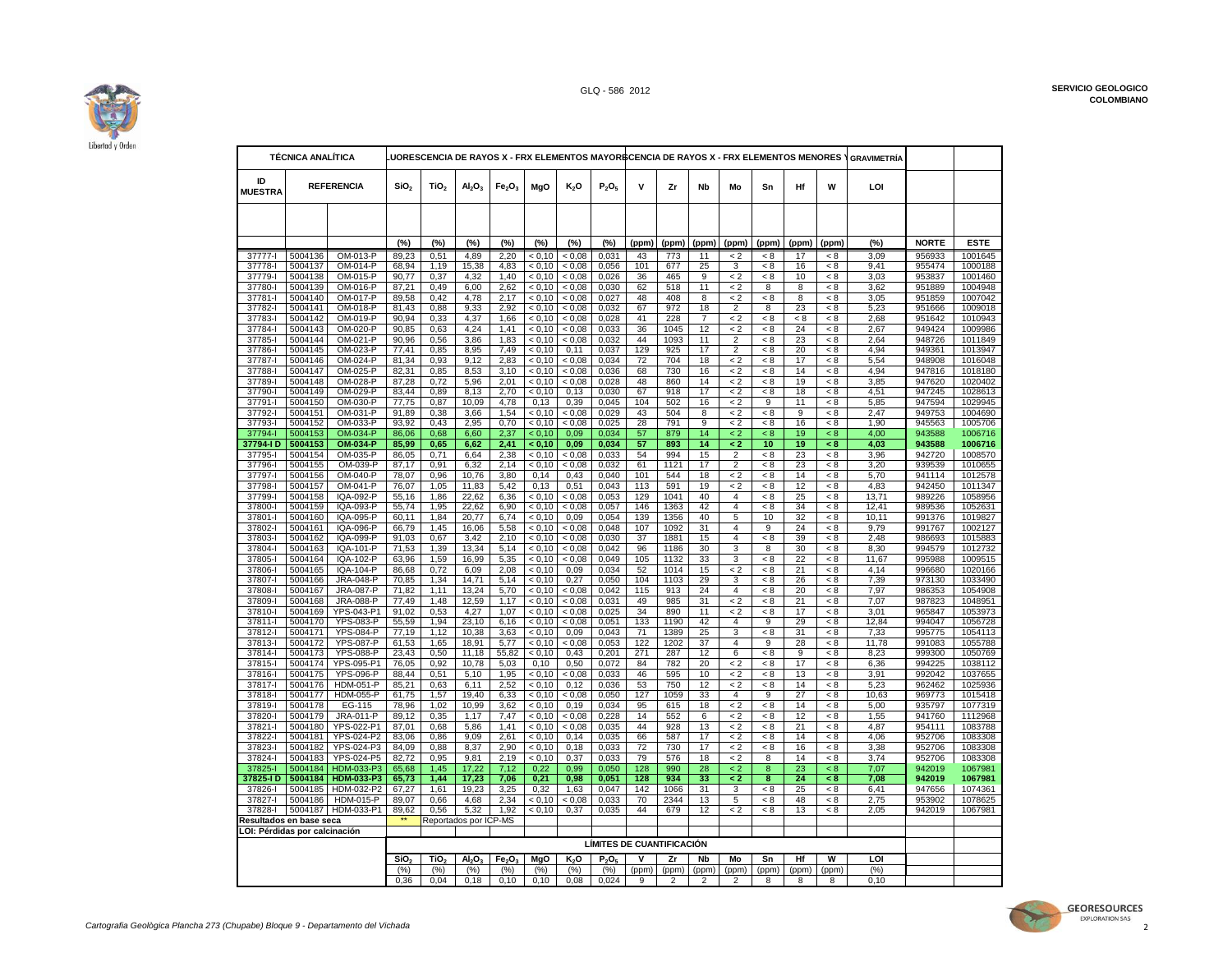

|                                    | <b>TÉCNICA ANALÍTICA</b> |                                 |                  |                  |                                |                                |                  | LUORESCENCIA DE RAYOS X - FRX ELEMENTOS MAYORBCENCIA DE RAYOS X - FRX ELEMENTOS MENORES |                               |            |              |                |                           |                |          |            | <b>GRAVIMETRÍA</b> |                  |                    |
|------------------------------------|--------------------------|---------------------------------|------------------|------------------|--------------------------------|--------------------------------|------------------|-----------------------------------------------------------------------------------------|-------------------------------|------------|--------------|----------------|---------------------------|----------------|----------|------------|--------------------|------------------|--------------------|
| ID<br><b>MUESTRA</b>               |                          | <b>REFERENCIA</b>               | SiO <sub>2</sub> | TiO <sub>2</sub> | Al <sub>2</sub> O <sub>3</sub> | Fe <sub>2</sub> O <sub>3</sub> | MgO              | K2O                                                                                     | P <sub>2</sub> O <sub>5</sub> | v          | Zr           | <b>Nb</b>      | Mo                        | Sn             | Hf       | W          | LOI                |                  |                    |
|                                    |                          |                                 |                  |                  |                                |                                |                  |                                                                                         |                               |            |              |                |                           |                |          |            |                    |                  |                    |
|                                    |                          |                                 | (%)              | (%)              | (%)                            | (%)                            | (%)              | (%)                                                                                     | (%)                           | (ppm)      | (ppm)        | (ppm)          | (ppm)                     | (ppm)          | (ppm)    | (ppm)      | (%)                | <b>NORTE</b>     | <b>ESTE</b>        |
| 37777-l                            | 5004136                  | OM-013-P                        | 89.23            | 0.51             | 4.89                           | 2.20                           | < 0.10           | < 0.08                                                                                  | 0.031                         | 43         | 773          | 11             | < 2                       | < 8            | 17       | < 8        | 3.09               | 956933           | 1001645            |
| 37778-l                            | 5004137                  | OM-014-P                        | 68,94            | 1,19             | 15,38                          | 4,83                           | < 0.10           | < 0,08                                                                                  | 0,056                         | 101        | 677          | 25             | 3                         | < 8            | 16       | < 8        | 9.41               | 955474           | 1000188            |
| 37779-l<br>37780-l                 | 5004138<br>5004139       | OM-015-P<br>OM-016-P            | 90,77<br>87,21   | 0,37<br>0,49     | 4,32<br>6,00                   | 1,40<br>2,62                   | < 0,10<br>< 0.10 | < 0,08<br>< 0,08                                                                        | 0,026<br>0,030                | 36<br>62   | 465<br>518   | 9<br>11        | $\lt 2$<br>$\lt 2$        | < 8<br>8       | 10<br>8  | - 8<br>< 8 | 3,03<br>3,62       | 953837<br>951889 | 1001460<br>1004948 |
| 37781-l                            | 5004140                  | OM-017-P                        | 89,58            | 0,42             | 4,78                           | 2,17                           | < 0.10           | < 0.08                                                                                  | 0,027                         | 48         | 408          | 8              | < 2                       | < 8            | 8        | < 8        | 3,05               | 951859           | 1007042            |
| 37782-l                            | 5004141                  | OM-018-P                        | 81,43            | 0,88             | 9,33                           | 2,92                           | < 0.10           | < 0.08                                                                                  | 0,032                         | 67         | 972          | 18             | $\overline{2}$            | 8              | 23       | < 8        | 5,23               | 951666           | 1009018            |
| 37783-l                            | 5004142                  | OM-019-P                        | 90,94            | 0,33             | 4,37                           | 1.66                           | < 0.10           | < 0,08                                                                                  | 0,028                         | 41         | 228          | $\overline{7}$ | $\lt 2$                   | < 8            | $\leq 8$ | < 8        | 2,68               | 951642           | 1010943            |
| 37784-I<br>37785-l                 | 5004143<br>5004144       | OM-020-P<br>OM-021-P            | 90,85<br>90,96   | 0,63<br>0,56     | 4,24<br>3,86                   | 1.41<br>1,83                   | < 0,10<br>< 0.10 | < 0.08<br>< 0.08                                                                        | 0,033<br>0,032                | 36<br>44   | 1045<br>1093 | 12<br>11       | $\lt 2$<br>$\overline{2}$ | < 8<br>< 8     | 24<br>23 | < 8<br>< 8 | 2,67<br>2,64       | 949424<br>948726 | 1009986<br>1011849 |
| 37786-l                            | 5004145                  | OM-023-P                        | 77,41            | 0,85             | 8,95                           | 7,49                           | < 0.10           | 0, 11                                                                                   | 0,037                         | 129        | 925          | 17             | $\overline{2}$            | < 8            | 20       | < 8        | 4,94               | 949361           | 1013947            |
| 37787-l                            | 5004146                  | OM-024-P                        | 81.34            | 0.93             | 9.12                           | 2,83                           | < 0.10           | < 0.08                                                                                  | 0.034                         | 72         | 704          | 18             | < 2                       | < 8            | 17       | < 8        | 5.54               | 948908           | 1016048            |
| 37788-l                            | 5004147                  | OM-025-P                        | 82,31            | 0,85             | 8,53                           | 3,10                           | < 0,10           | < 0,08                                                                                  | 0,036                         | 68         | 730          | 16             | $\rm < 2$                 | < 8            | 14       | < 8        | 4,94               | 947816           | 1018180            |
| 37789-l<br>37790-l                 | 5004148<br>5004149       | OM-028-P<br>OM-029-P            | 87,28<br>83,44   | 0,72<br>0,89     | 5,96<br>8,13                   | 2,01<br>2,70                   | < 0,10<br>< 0,10 | < 0,08<br>0, 13                                                                         | 0,028<br>0,030                | 48<br>67   | 860<br>918   | 14<br>17       | $\overline{2}$<br>$\,< 2$ | < 8<br>< 8     | 19<br>18 | < 8<br>< 8 | 3,85<br>4,51       | 947620<br>947245 | 1020402<br>1028613 |
| 37791-l                            | 5004150                  | OM-030-P                        | 77,75            | 0,87             | 10,09                          | 4,78                           | 0,13             | 0,39                                                                                    | 0,045                         | 104        | 502          | 16             | $\lt 2$                   | 9              | 11       | < 8        | 5,85               | 947594           | 1029945            |
| 37792-l                            | 5004151                  | OM-031-P                        | 91,89            | 0,38             | 3,66                           | 1,54                           | < 0.10           | < 0.08                                                                                  | 0,029                         | 43         | 504          | 8              | $\lt 2$                   | < 8            | 9        | < 8        | 2.47               | 949753           | 1004690            |
| 37793-1                            | 5004152                  | OM-033-P                        | 93,92            | 0,43             | 2,95                           | 0,70                           | < 0.10           | 0.08                                                                                    | 0,025                         | 28         | 791          | 9              | $\lt 2$                   | < 8            | 16       | < 8        | 1,90               | 945563           | 1005706            |
| 37794-l<br>37794-I D               | 5004153<br>5004153       | OM-034-P<br>OM-034-P            | 86,06<br>85,99   | 0,68<br>0,65     | 6,60<br>6,62                   | 2,37<br>2,41                   | < 0.10<br>< 0.10 | 0.09<br>0,09                                                                            | 0,034<br>0,034                | 57<br>57   | 879<br>893   | 14<br>14       | $\leq$ 2<br>$\leq$ 2      | < 8<br>10      | 19<br>19 | < 8<br>< 8 | 4,00<br>4,03       | 943588<br>943588 | 1006716<br>1006716 |
| 37795-I                            | 5004154                  | OM-035-P                        | 86,05            | 0,71             | 6,64                           | 2,38                           | < 0.10           | < 0.08                                                                                  | 0,033                         | 54         | 994          | 15             | 2                         | - 8            | 23       | < 8        | 3,96               | 942720           | 1008570            |
| 37796-l                            | 5004155                  | OM-039-P                        | 87.17            | 0.91             | 6,32                           | 2.14                           | < 0.10           | < 0.08                                                                                  | 0.032                         | 61         | 1121         | 17             | $\overline{2}$            | < 8            | 23       | < 8        | 3.20               | 939539           | 1010655            |
| 37797-l                            | 5004156                  | OM-040-P                        | 78,07            | 0,96             | 10,76                          | 3,80                           | 0,14             | 0,43                                                                                    | 0,040                         | 101        | 544          | 18             | $\lt 2$                   | < 8            | 14       | < 8        | 5,70               | 941114           | 1012578            |
| 37798-l<br>37799-l                 | 5004157<br>5004158       | OM-041-P<br>IQA-092-P           | 76,07            | 1,05             | 11,83                          | 5,42                           | 0,13<br>< 0.10   | 0,51                                                                                    | 0,043                         | 113<br>129 | 591<br>1041  | 19<br>40       | $\lt 2$                   | < 8            | 12       | < 8        | 4,83               | 942450<br>989226 | 1011347            |
| 37800-l                            | 5004159                  | IQA-093-P                       | 55,16<br>55,74   | 1,86<br>1,95     | 22,62<br>22,62                 | 6,36<br>6,90                   | < 0.10           | < 0,08<br>< 0.08                                                                        | 0,053<br>0,057                | 146        | 1363         | 42             | 4<br>4                    | < 8<br>< 8     | 25<br>34 | < 8<br>< 8 | 13,71<br>12,41     | 989536           | 1058956<br>1052631 |
| 37801-l                            | 5004160                  | IQA-095-P                       | 60,11            | 1,84             | 20,77                          | 6,74                           | < 0.10           | 0,09                                                                                    | 0,054                         | 139        | 1356         | 40             | 5                         | 10             | 32       | < 8        | 10.11              | 991376           | 1019827            |
| 37802-l                            | 5004161                  | IQA-096-P                       | 66,79            | 1,45             | 16,06                          | 5,58                           | < 0,10           | < 0,08                                                                                  | 0,048                         | 107        | 1092         | 31             | 4                         | $\overline{9}$ | 24       | $< 8\,$    | 9,79               | 991767           | 1002127            |
| 37803-l                            | 5004162                  | IQA-099-P                       | 91,03            | 0,67             | 3,42                           | 2,10                           | < 0.10           | < 0.08                                                                                  | 0,030                         | 37         | 1881         | 15             | $\overline{\mathbf{4}}$   | < 8            | 39       | - 8        | 2,48               | 986693           | 1015883            |
| 37804-l<br>37805-l                 | 5004163<br>5004164       | IQA-101-P<br>IQA-102-P          | 71,53<br>63,96   | 1,39<br>1,59     | 13,34<br>16,99                 | 5,14<br>5,35                   | < 0.10<br>< 0.10 | < 0.08<br>< 0.08                                                                        | 0,042<br>0.049                | 96<br>105  | 1186<br>1132 | 30<br>33       | 3<br>3                    | 8<br>< 8       | 30<br>22 | < 8<br>< 8 | 8,30<br>11.67      | 994579<br>995988 | 1012732<br>1009515 |
| 37806-l                            | 5004165                  | IQA-104-P                       | 86,68            | 0,72             | 6,09                           | 2,08                           | < 0,10           | 0,09                                                                                    | 0,034                         | 52         | 1014         | 15             | $\leq$ 2                  | < 8            | 21       | $< 8\,$    | 4,14               | 996680           | 1020166            |
| 37807-l                            | 5004166                  | <b>JRA-048-P</b>                | 70,85            | 1,34             | 14,71                          | 5,14                           | < 0,10           | 0,27                                                                                    | 0,050                         | 104        | 1103         | 29             | 3                         | < 8            | 26       | < 8        | 7,39               | 973130           | 1033490            |
| 37808-l                            | 5004167                  | JRA-087-P                       | 71,82            | 1,11             | 13,24                          | 5,70                           | < 0,10           | < 0,08                                                                                  | 0,042                         | 115        | 913          | 24             | $\overline{4}$            | < 8            | 20       | < 8        | 7,97               | 986353           | 1054908            |
| 37809-l<br>37810-l                 | 5004168<br>5004169       | JRA-088-P<br>YPS-043-P1         | 77,49<br>91,02   | 1,48<br>0,53     | 12,59<br>4,27                  | 1,17<br>1,07                   | < 0.10<br>< 0.10 | < 0,08<br>< 0.08                                                                        | 0,031<br>0,025                | 49<br>34   | 985<br>890   | 31<br>11       | $\lt 2$<br>$\leq$ 2       | < 8<br>< 8     | 21<br>17 | < 8<br>< 8 | 7,07<br>3,01       | 987823<br>965847 | 1048951<br>1053973 |
| 37811-I                            | 5004170                  | <b>YPS-083-P</b>                | 55,59            | 1,94             | 23,10                          | 6,16                           | < 0.10           | < 0.08                                                                                  | 0.051                         | 133        | 1190         | 42             | 4                         | 9              | 29       | < 8        | 12.84              | 994047           | 1056728            |
| 37812-l                            | 5004171                  | <b>YPS-084-P</b>                | 77,19            | 1,12             | 10,38                          | 3,63                           | < 0,10           | 0,09                                                                                    | 0,043                         | 71         | 1389         | 25             | 3                         | < 8            | 31       | $< 8$      | 7,33               | 995775           | 1054113            |
| 37813-l                            | 5004172                  | <b>YPS-087-P</b>                | 61,53            | 1,65             | 18,91                          | 5,77                           | < 0.10           | < 0.08                                                                                  | 0,053                         | 122        | 1202         | 37             | 4                         | 9              | 28       | - 8        | 11,78              | 991083           | 1055788            |
| 37814-I<br>37815-l                 | 5004173<br>5004174       | <b>YPS-088-P</b><br>YPS-095-P1  | 23,43<br>76.05   | 0,50<br>0.92     | 11,18<br>10.78                 | 55,82<br>5.03                  | < 0.10<br>0.10   | 0,43<br>0.50                                                                            | 0,201<br>0.072                | 271<br>84  | 287<br>782   | 12<br>20       | 6<br>$\lt 2$              | < 8<br>< 8     | 9<br>17  | < 8<br>< 8 | 8,23<br>6.36       | 999300<br>994225 | 1050769<br>1038112 |
| 37816-l                            | 5004175                  | <b>YPS-096-P</b>                | 88,44            | 0,51             | 5,10                           | 1,95                           | < 0,10           | < 0,08                                                                                  | 0,033                         | 46         | 595          | 10             | $\leq 2$                  | < 8            | 13       | < 8        | 3,91               | 992042           | 1037655            |
| 37817-l                            | 5004176                  | <b>HDM-051-P</b>                | 85,21            | 0,63             | 6,11                           | 2,52                           | < 0,10           | 0,12                                                                                    | 0,036                         | 53         | 750          | 12             | $\lt 2$                   | < 8            | 14       | < 8        | 5,23               | 962462           | 1025936            |
| 37818-I                            | 5004177                  | <b>HDM-055-P</b>                | 61,75            | 1,57             | 19,40                          | 6,33                           | < 0,10           | < 0.08                                                                                  | 0,050                         | 127        | 1059         | 33             | 4                         | 9              | 27       | < 8        | 10,63              | 969773           | 1015418            |
| 37819-l<br>37820-l                 | 5004178<br>5004179       | EG-115<br>JRA-011-P             | 78,96<br>89,12   | 1,02<br>0,35     | 10,99<br>1,17                  | 3,62<br>7.47                   | < 0.10<br>< 0.10 | 0, 19<br>< 0.08                                                                         | 0,034<br>0,228                | 95<br>14   | 615<br>552   | 18<br>6        | $\lt 2$<br>$\lt 2$        | < 8<br>< 8     | 14<br>12 | < 8<br>< 8 | 5,00<br>1,55       | 935797<br>941760 | 1077319<br>1112968 |
| 37821-l                            | 5004180                  | YPS-022-P1                      | 87,01            | 0,68             | 5,86                           | 1,41                           | < 0,10           | 0.08                                                                                    | 0,035                         | 44         | 928          | 13             | $\lt 2$                   | < 8            | 21       | $\leq 8$   | 4,87               | 954111           | 1083788            |
| 37822-I                            | 5004181                  | <b>YPS-024-P2</b>               | 83,06            | 0,86             | 9,09                           | 2,61                           | < 0,10           | 0,14                                                                                    | 0,035                         | 66         | 587          | 17             | $\overline{2}$            | < 8            | 14       | < 8        | 4,06               | 952706           | 1083308            |
| 37823-l                            | 5004182                  | YPS-024-P3                      | 84,09            | 0,88             | 8,37                           | 2,90                           | < 0.10           | 0, 18                                                                                   | 0,033                         | 72         | 730          | 17             | $\lt 2$                   | < 8            | 16       | < 8        | 3,38               | 952706           | 1083308            |
| 37824-I<br>37825-l                 | 5004183<br>5004184       | <b>YPS-024-P5</b><br>HDM-033-P3 | 82,72<br>65,68   | 0,95<br>1,45     | 9,81<br>17,22                  | 2,19<br>7,12                   | < 0.10<br>0,22   | 0,37<br>0.99                                                                            | 0,033<br>0,050                | 79<br>128  | 576<br>990   | 18<br>28       | < 2<br>$\lt 2$            | 8<br>8         | 14<br>23 | < 8<br>< 8 | 3.74<br>7,07       | 952706<br>942019 | 1083308<br>1067981 |
| 37825-I D                          | 5004184                  | HDM-033-P3                      | 65,73            | 1,44             | 17,23                          | 7,06                           | 0,21             | 0,98                                                                                    | 0,051                         | 128        | 934          | 33             | $\leq$ 2                  | 8              | 24       | < 8        | 7,08               | 942019           | 1067981            |
| 37826-l                            | 5004185                  | HDM-032-P2                      | 67,27            | 1,61             | 19,23                          | 3,25                           | 0,32             | 1,63                                                                                    | 0,047                         | 142        | 1066         | 31             | $\overline{3}$            | < 8            | 25       | < 8        | 6,41               | 947656           | 1074361            |
| 37827-l                            | 5004186                  | HDM-015-P                       | 89,07            | 0,66             | 4,68                           | 2,34                           | < 0,10           | < 0.08                                                                                  | 0,033                         | 70         | 2344         | 13             | 5                         | < 8            | 48       | < 8        | 2,75               | 953902           | 1078625            |
| 37828-I<br>Resultados en base seca | 5004187                  | HDM-033-P1                      | 89,62<br>**      | 0,56             | 5,32                           | 1,92                           | < 0.10           | 0,37                                                                                    | 0,035                         | 44         | 679          | 12             | $\leq$ 2                  | < 8            | 13       | < 8        | 2,05               | 942019           | 1067981            |
| OI: Pérdidas por calcinación       |                          |                                 |                  |                  | Reportados por ICP-MS          |                                |                  |                                                                                         |                               |            |              |                |                           |                |          |            |                    |                  |                    |
|                                    |                          |                                 |                  |                  |                                |                                |                  |                                                                                         | LÍMITES DE CUANTIFICACIÓN     |            |              |                |                           |                |          |            |                    |                  |                    |
|                                    |                          |                                 | SiO <sub>2</sub> | TiO.             | AI <sub>2</sub> O <sub>2</sub> | Fe <sub>2</sub> O <sub>3</sub> | MgO              | K <sub>2</sub> O                                                                        | P <sub>2</sub> O <sub>r</sub> |            | Zr           | Nb             | Mo                        | Sn             | Hf       | W          | LOI                |                  |                    |
|                                    |                          |                                 | (%)              | (%)              | (%)                            | (%)                            | (%)              | (%)                                                                                     | (%)                           | (ppm)      | (ppm)        | (ppm)          | (ppm)                     | (ppm)          | (ppm)    | (ppm)      | (%)                |                  |                    |
|                                    |                          |                                 | 0.36             | 0.04             | 0.18                           | 0.10                           | 0.10             | 0.08                                                                                    | 0.024                         | 9          | 2            | 2              | 2                         | 8              | 8        | 8          | 0,10               |                  |                    |



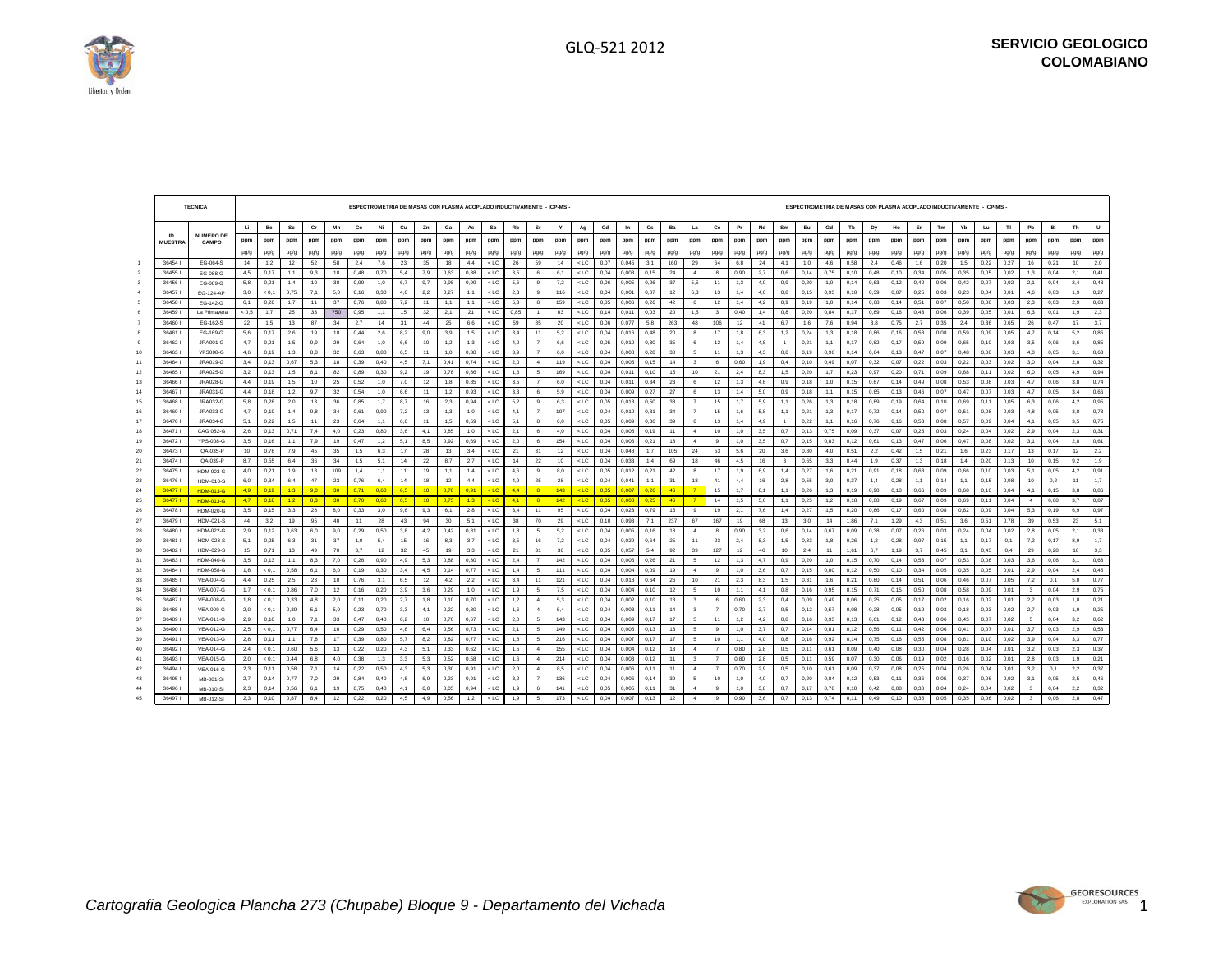┑

┱



 $\Box$ 

| Mn<br>Co<br>Se<br>Rb<br>$_{\rm Cd}$<br>$\mathbf{c}\mathbf{s}$<br>Ba<br>H.<br>Be<br><b>Sc</b><br>Cr<br>Ni<br>Cu<br>Zn<br>Ga<br>Sr<br>Ag<br>La<br>Ce<br>Pr<br>As<br>Y<br>In                                                                                                                                        |                                                                                                                                                                                                         |
|------------------------------------------------------------------------------------------------------------------------------------------------------------------------------------------------------------------------------------------------------------------------------------------------------------------|---------------------------------------------------------------------------------------------------------------------------------------------------------------------------------------------------------|
|                                                                                                                                                                                                                                                                                                                  | Eu<br>Gd<br>Tb<br>Bi<br><b>U</b><br>Nd<br>Sm<br>Ho<br>Er<br>Tm<br>Yb<br>Lu<br>T1<br>Pb<br>Th<br>Dy                                                                                                      |
| <b>NUMERO DE</b><br>ID<br>ppm<br>ppm<br>ppm<br>ppm<br>ppm<br>ppm<br>ppm<br>ppm<br>ppm<br>ppm<br>ppm<br>ppm<br>ppm<br>ppm<br>ppm<br>ppm<br>ppm<br>ppm<br>ppm<br>ppm<br>ppm<br>ppm<br>ppm<br><b>MUESTRA</b><br>CAMPO                                                                                               | ppm<br>ppm<br>ppm<br>ppm<br>ppm<br>ppm<br>ppm<br>ppm<br>ppm<br>ppm<br>ppm<br>ppm<br>ppm<br>ppm<br>ppm<br>ppm                                                                                            |
| $\mu$ g/g<br>$\mu$ g/g<br>$\mu$ g/g<br>$\mu$ g/g<br>$\mu$ g/g<br>$\mu$ g/g<br>$\mu$ g/g<br>$\mu$ g/g<br>$\mu$ g/g<br>$\mu$ g/g<br>$\mu$ g/g<br>$\mu$ g/g<br>µg/g<br>$\mu$ g/g<br>$\mu$ g/g<br>$\mu$ g/g<br>$\mu$ g/g<br>$\mu$ g/g<br>$\mu$ g/g<br>$\mu$ g/g<br>$\mu$ g/g<br>$\mu$ g/g<br>$\mu$ g/g               | $\mu$ g/g<br>$\mu$ g/g<br>$\mu$ g/g<br>$\mu$ g/g<br>$\mu$ g/g<br>$\mu$ g/g<br>$\mu$ g/g<br>$\mu$ g/g<br>$\mu$ g/g<br>$\mu$ g/g<br>$\mu$ g/g<br>$\mu$ g/g<br>$\mu$ g/g<br>$\mu$ g/g<br>$\mu$ g/g<br>µg/g |
| $<$ LC<br>$<$ LC<br>0.045<br>3,1<br>160<br>6,8<br>36454<br>14<br>1,2<br>12<br>52<br>58<br>2,4<br>7,6<br>23<br>35<br>18<br>4.4<br>26<br>59<br>14<br>0.07<br>29<br>64<br>EG-064-S                                                                                                                                  | 0.58<br>0.46<br>1,5<br>0,22<br>0,21<br>2,0<br>24<br>4.1<br>1,0<br>4,6<br>2,4<br>1,6<br>0.20<br>0.27<br>16<br>10                                                                                         |
| 0.15<br>364551<br>0.17<br>0.48<br>0.88<br>$<$ LC<br>$<$ LC<br>0.90<br>4,5<br>1,1<br>9.3<br>18<br>0.70<br>5,4<br>7,9<br>0.63<br>3.5<br>6<br>6,1<br>0.04<br>0.003<br>24<br>$\sim$<br>$\mathbf{R}$<br>EG-088-G                                                                                                      | 2,7<br>0.14<br>0,75<br>0.10<br>0.34<br>0.35<br>0,05<br>0.04<br>0,41<br>0.6<br>0.10<br>0.48<br>0.05<br>0.02<br>1,3<br>2,1                                                                                |
| 364561<br>0.21<br>38<br>0.99<br>9.7<br>$<$ LC<br>5.6<br>7.2<br>$<$ LC<br>0.06<br>0.26<br>37<br>5.5<br>EG-089-G<br>5.8<br>1.4<br>10<br>1.0<br>6.7<br>0.98<br>0.99<br>9<br>0.005<br>11<br>1,3                                                                                                                      | 0.12<br>0.04<br>0.48<br>0.20<br>1.0<br>0.14<br>0.63<br>0.42<br>0.42<br>0.07<br>0.02<br>2.1<br>2,4<br>4.0<br>0.9<br>0.06                                                                                 |
| 5.0<br>2,2<br>$<$ LC<br>36457<br>< 0.1<br>0.75<br>7.1<br>0.16<br>0.30<br>4.0<br>0.27<br>1.1<br>$<$ LC<br>2.3<br>116<br>0.04<br>0.001<br>0.07<br>12<br>6.3<br>1,4<br>EG-124-AP<br>3.0<br>9<br>13                                                                                                                  | 0.93<br>0.07<br>0,27<br>4.0<br>0.8<br>0.15<br>0.10<br>0.39<br>0.25<br>0.03<br>0.23<br>0.04<br>0.01<br>4.6<br>0.03<br>1.9                                                                                |
| 364581<br>37<br>$<$ LC<br>0,26<br>1,4<br>6,1<br>0,20<br>1.7<br>11<br>0,76<br>0,80<br>7,2<br>11<br>1,1<br>1,1<br>$<$ LC<br>5,3<br>159<br>0,05<br>0,006<br>42<br>12<br>EG-142-G<br>8<br>6                                                                                                                          | 0,19<br>1,0<br>0,14<br>0,14<br>0,50<br>0,03<br>0,03<br>0,63<br>4,2<br>0,9<br>0.68<br>0,51<br>0,07<br>0,08<br>2,3<br>2,9                                                                                 |
| 1,7<br>36459<br>750<br>0,95<br>1,1<br>32<br>0,85<br>$<$ LC<br>0,011<br>0,03<br>20<br>1,5<br>0,40<br>La Primavera<br>< 0.5<br>25<br>33<br>15<br>2,1<br>21<br>$<$ LC<br>63<br>0,14<br>$\overline{\mathbf{3}}$<br>$\overline{1}$                                                                                    | 1,4<br>0,8<br>0,84<br>0,17<br>0,16<br>0,43<br>0,39<br>0.05<br>0,01<br>0,01<br>1,9<br>2,3<br>0,20<br>0,89<br>0,06<br>6,3                                                                                 |
| 364601<br>1,5<br>13<br>87<br>34<br>2.7<br>14<br>44<br>6.6<br>$<$ LC<br>59<br>85<br>20<br>$<$ LC<br>0.06<br>0.077<br>5,8<br>263<br>48<br>106<br>12<br>EG-162-S<br>22<br>31<br>25                                                                                                                                  | 0.94<br>2,4<br>3,7<br>41<br>6.7<br>1,6<br>7,6<br>3,8<br>0.75<br>2.7<br>0.35<br>0,36<br>0.65<br>0.47<br>17<br>26                                                                                         |
| 36461<br>0.17<br>10<br>0.44<br>9,0<br>$<$ LC<br>1,8<br>EG-169-G<br>5,6<br>2,6<br>19<br>2.6<br>8,2<br>3,9<br>1,5<br>$<$ LC<br>3,4<br>11<br>5,2<br>0,04<br>0.016<br>0.48<br>20<br>8<br>17<br>8                                                                                                                     | 1,2<br>1,3<br>0.16<br>0,58<br>0,09<br>0.14<br>5,2<br>0,85<br>6,3<br>0.24<br>0.18<br>0,86<br>0.08<br>0,59<br>0.05<br>4,7                                                                                 |
| 364621<br>0.21<br>29<br>0.64<br>10<br>$<$ LC<br>0.30<br>1,4<br>9.9<br>1.0<br>6.6<br>1,2<br>1.3<br>$<$ LC<br>4.0<br>$\overline{7}$<br>6.6<br>0.05<br>0.010<br>35<br>12<br>JRA001-G<br>4,7<br>1.5<br>6                                                                                                             | 0.21<br>1.1<br>0.17<br>0.17<br>0.65<br>0.10<br>0.06<br>0.85<br>4.8<br>0.82<br>0.59<br>0.09<br>0.03<br>3.5<br>3.6<br>$\overline{1}$                                                                      |
| 364631<br>YPS008-G<br>0, 19<br>32<br>0,63<br>11<br>$<$ LC<br>0,28<br>30<br>1,3<br>10<br>1,3<br>8,8<br>0,80<br>6,5<br>1,0<br>0,88<br>$<$ LC<br>3,9<br>$\overline{7}$<br>6,0<br>0,04<br>0,008<br>$5\overline{5}$<br>11<br>4,6                                                                                      | 0,19<br>0,96<br>0,14<br>0,64<br>0,13<br>0,47<br>0,48<br>0,08<br>0,05<br>3,1<br>0,63<br>4,3<br>0,8<br>0,07<br>0,03<br>4,0                                                                                |
| 36464<br>JRA019-G<br>0,67<br>5,3<br>0,39<br>$<$ LC<br>119<br>$<$ LC<br>0,04<br>0, 15<br>14<br>0,60<br>11<br>3,4<br>0,13<br>18<br>0,40<br>4,5<br>7,1<br>0,41<br>0,74<br>2,0<br>$\sim$<br>0,005<br>$\overline{\mathbf{3}}$<br>6                                                                                    | 0,4<br>0,10<br>0,49<br>0,07<br>0,32<br>0,07<br>0,22<br>0,22<br>0,03<br>0,02<br>0,04<br>2,0<br>0,32<br>1,9<br>0,03<br>3,0                                                                                |
| 36465<br>JRA025-G<br>0,13<br>82<br>0,89<br>0,30<br>19<br>0,78<br>$<$ LC<br>1,6<br>169<br>$<$ LC<br>0,04<br>0,011<br>0, 10<br>15<br>10<br>21<br>2,4<br>12<br>3,2<br>1,5<br>8,1<br>9,2<br>0,86<br>5                                                                                                                | 0,20<br>8,3<br>1,5<br>0,20<br>1,7<br>0,23<br>0,97<br>0,71<br>0,68<br>0,11<br>0,02<br>6,0<br>0,05<br>4,9<br>0,94<br>0,09                                                                                 |
| $<$ LC<br>0,34<br>13<br>364661<br>JRA028-G<br>4,4<br>0.19<br>1.5<br>10<br>25<br>0,52<br>1.0<br>7,0<br>12<br>1,8<br>0.85<br>$<$ LC<br>3.5<br>6.0<br>0,04<br>0.011<br>23<br>12<br>1,3<br>$\overline{7}$<br>6                                                                                                       | 1,0<br>0.15<br>0.14<br>0.74<br>4,6<br>0.9<br>0,18<br>0.67<br>0.49<br>0.08<br>0,53<br>0,08<br>0.03<br>4.7<br>0.06<br>3,8                                                                                 |
| JRA031-G<br>$<$ LC<br>0,27<br>27<br>1,4<br>14<br>36467<br>4,4<br>0.18<br>1,2<br>9.7<br>32<br>0,54<br>1.0<br>6.6<br>11<br>1,2<br>0.93<br>$<$ LC<br>3,3<br>5,9<br>0,04<br>0.009<br>6<br>13<br>-6<br>$\overline{z}$                                                                                                 | 1,1<br>0.15<br>0.13<br>0,07<br>0,05<br>0,66<br>5,0<br>0.9<br>0.18<br>0.65<br>0.46<br>0.07<br>0.47<br>0.03<br>4.7<br>3,4                                                                                 |
| 36468<br><b>JRA032-G</b><br>0,28<br>13<br>36<br>0,85<br>1.7<br>16<br>2,3<br>0.94<br>$<$ LC<br>5,2<br>6,3<br>$<$ LC<br>0.05<br>0,013<br>0.50<br>38<br>15<br>1,7<br>15<br>5,8<br>2.0<br>8.7<br>$\mathbf{a}$                                                                                                        | 5,9<br>1.1<br>0,26<br>1,3<br>0.18<br>0.89<br>0,19<br>0,64<br>0.69<br>0,11<br>0.05<br>0,06<br>4,2<br>0,95<br>0.10<br>6,3                                                                                 |
| 36469<br><b>JRA033-G</b><br>34<br>7,2<br>13<br>$<$ LC<br>107<br>$<$ LC<br>0,31<br>34<br>1,6<br>16<br>4,7<br>0, 19<br>1,4<br>9.8<br>0,61<br>0.90<br>1,3<br>1,0<br>4,1<br>$\overline{7}$<br>0,04<br>0,010<br>$\overline{7}$<br>15                                                                                  | 0.21<br>1,3<br>0.17<br>0,72<br>0,14<br>0,50<br>0,51<br>0,08<br>0,05<br>3,8<br>0,73<br>5,8<br>1,1<br>0.07<br>0.03<br>4,8                                                                                 |
| <b>JRA034-G</b><br>0,22<br>23<br>0.64<br>1,5<br>0.59<br>$<$ LC<br>$<$ LC<br>0.05<br>0.36<br>1,4<br>17<br>36470<br>5,1<br>1.5<br>11<br>1.1<br>6.6<br>11<br>5.1<br>$\mathbf{R}$<br>6.0<br>0.009<br>39<br>$\mathbf{f}$<br>13                                                                                        | 4.9<br>0.22<br>1.1<br>0.16<br>0.16<br>0.53<br>0.57<br>0,09<br>0.04<br>0,05<br>3.5<br>0,75<br>0.76<br>0.08<br>4.1                                                                                        |
| 36471<br>CAG 082-G<br>0.13<br>0.71<br>4.0<br>3,6<br>4.1<br>0.85<br>$<$ LC<br>2.1<br>4.0<br>$<$ LC<br>0.04<br>0, 19<br>11<br>10<br>1.0<br>18<br>2,6<br>7.4<br>0,23<br>0.80<br>1.0<br>6<br>0.005<br>$\sim$                                                                                                         | 0,13<br>0,75<br>0.09<br>0.37<br>0.07<br>0.25<br>0,24<br>0,04<br>2,9<br>0,04<br>2,3<br>0,31<br>3,5<br>0.7<br>0.03<br>0.02                                                                                |
| 364721<br><b>YPS-008-G</b><br>3.5<br>0.16<br>7.9<br>19<br>0.47<br>1.2<br>8.5<br>0.92<br>0.69<br>$<$ LC<br>2.0<br>154<br>$<$ LC<br>0.04<br>0.21<br>18<br>9<br>1.0<br>19<br>1.1<br>5.1<br>6<br>0.006<br>$\mathbf{4}$                                                                                               | 3.5<br>0.7<br>0.15<br>0.83<br>0.12<br>0.61<br>0.13<br>0.47<br>0.47<br>0.08<br>0.02<br>3.1<br>0.04<br>2.8<br>0.61<br>0.06                                                                                |
| $<$ LC<br>1,7<br>20<br>364731<br>IQA-035-P<br>0,78<br>7.9<br>45<br>35<br>1,5<br>17<br>28<br>3,4<br>$<$ LC<br>21<br>31<br>12<br>0,04<br>0,048<br>105<br>24<br>53<br>5,6<br>10<br>6,3<br>13<br>IQA-039-P<br>34<br>2.7                                                                                              | 2,2<br>20<br>3,6<br>0,80<br>4,0<br>0,51<br>2,2<br>0,42<br>1,5<br>0,21<br>1,6<br>0,23<br>0,17<br>13<br>0,17<br>12<br>0.65<br>0.18<br>$\mathbf{3}$                                                        |
| 1,5<br>22<br>$<$ LC<br>$<$ LC<br>1,4<br>4,5<br>21<br>36474<br>8,7<br>0,55<br>6.4<br>36<br>5.1<br>14<br>8.7<br>14<br>22<br>10<br>0.04<br>0.033<br>69<br>18<br>46<br><b>HDM-003-G</b><br>17<br>36475<br>13<br>109<br>1.1<br>$\mathbf{q}$<br>0.05<br>$\mathbf{a}$                                                   | 0,44<br>0,37<br>1,4<br>0,20<br>0,15<br>1,9<br>16<br>3,3<br>1,9<br>1,3<br>0,13<br>10<br>9,2<br>0,91<br>0.63<br>0.09<br>0.03                                                                              |
| 22<br>1,4<br>19<br>1,4<br>$<$ LC<br>4,6<br>$<$ LC<br>0,21<br>42<br>1,9<br>4,0<br>0,21<br>1,9<br>11<br>1,1<br>8,0<br>0,012<br>23<br>12<br>$<$ LC<br>4.9<br>$<$ LC<br>1.1<br>36476<br><b>HDM-010-S</b><br>6.0<br>0.34<br>6.4<br>47<br>14<br>18<br>4.4<br>25<br>28<br>0.04<br>0.041<br>31<br>18<br>41<br>4.4<br>6.4 | 1,4<br>0,27<br>1,6<br>0,21<br>0,18<br>0,66<br>0,05<br>4,2<br>6,9<br>0,91<br>0, 10<br>5,1<br>1.7<br>2.8<br>0.55<br>1.1<br>0.2<br>16<br>0.37<br>1.4<br>0.28<br>1.1<br>0.14<br>0.15<br>0.08<br>10<br>11    |
| 23<br>0,76<br>$<$ LC<br>0.26<br>24<br>36477<br><b>HDM-013-G</b><br>4.9<br>0.19<br>1.3<br>9.0<br>30 <sup>°</sup><br>0.71<br>6.5<br>$10-10$<br>0.78<br>0.91<br>4.4<br>$^{\circ}$ 8<br>143<br>$<$ LC<br>46<br>$\overline{7}$<br>15<br>1.7<br>0.60<br>0.05<br>0.007                                                  | 3,0<br>0.86<br>1.1<br>0.26<br>1,3<br>0.19<br>0.18<br>0.66<br>0.68<br>0.04<br>0,15<br>3,8<br>6.1<br>0.90<br>0.09<br>4.1                                                                                  |
| $10-10$<br>$<$ LC<br>4,1<br>$<$ LC $<$<br>0,25<br>25<br>36477<br><b>HDM-013-G</b><br>4,7<br>0,18<br>1,2<br>8,3<br>30<br>0,70<br>0,60<br>6,5<br>0,75<br>1,3<br>8<br>142<br>0.05<br>46<br>$\mathbf{z}$<br>14<br>1,5<br>0.008                                                                                       | 0, 10<br>1,1<br>3,7<br>0,87<br>5,6<br>0.25<br>1,2<br>0,18<br>0,19<br>0,67<br>0,09<br>0,69<br>0, 11<br>0,04<br>0,08<br>$\overline{4}$                                                                    |
| HDM-020-G<br>$<$ LC<br>26<br>364781<br>3,5<br>0,15<br>3,3<br>8,0<br>0,33<br>9,6<br>9,3<br>2,8<br>$<$ LC<br>3,4<br>95<br>0,04<br>0,79<br>15<br>19<br>2,1<br>28<br>3,0<br>6,1<br>11<br>0,023<br>9                                                                                                                  | 0,88<br>0,97<br>1,4<br>0,27<br>1,5<br>0,20<br>0,17<br>0,60<br>0,62<br>0,09<br>0,04<br>5,3<br>0, 19<br>6,9<br>7,6<br>0,86<br>0,08                                                                        |
| 27<br>364791<br>HDM-021-S<br>40<br>94<br>5,1<br>$<$ LC<br>70<br>$<$ LC<br>0,10<br>7,1<br>237<br>67<br>167<br>19<br>44<br>3,2<br>19<br>95<br>11<br>43<br>30<br>38<br>29<br>0.093<br>28                                                                                                                            | 5,1<br>3,0<br>14<br>7,1<br>1,29<br>0.51<br>3,6<br>0,78<br>0,53<br>23<br>68<br>13<br>1,86<br>4,3<br>0,51<br>39                                                                                           |
| HDM-022-G<br>4,2<br>0, 16<br>0,90<br>28<br>364801<br>2,9<br>0, 12<br>0,63<br>9,0<br>0,29<br>0,50<br>3,8<br>0,42<br>0,81<br>$<$ LC<br>1,8<br>5,2<br>$<$ LC<br>0,04<br>18<br>6.0<br>-5<br>0.005<br>$\overline{4}$<br>8                                                                                             | 0,07<br>0,33<br>0,6<br>0,14<br>0,67<br>0,38<br>0,26<br>0,24<br>0,02<br>2,8<br>0,05<br>2,1<br>3,2<br>0.09<br>0,03<br>0.04                                                                                |
| 29<br>36481<br>0.25<br>37<br>1,0<br>16<br>$<$ LC<br>7,2<br>$<$ LC $\,$<br>0,04<br>0,64<br>2,4<br><b>HDM-023-S</b><br>5,1<br>6,3<br>31<br>5,4<br>15<br>8,3<br>3,7<br>3,5<br>16<br>0,029<br>25<br>11<br>23                                                                                                         | 0,33<br>1,8<br>0,28<br>0,97<br>1,1<br>0,17<br>7,2<br>0,17<br>8,9<br>1,7<br>8,3<br>1,5<br>0,26<br>1,2<br>0,15<br>0,1                                                                                     |
| 30<br>364821<br><b>HDM-029-S</b><br>0.71<br>70<br>3.7<br>12<br>45<br>$<$ LC<br>$<$ LC<br>0.05<br>5.4<br>92<br>127<br>12<br>15<br>13<br>49<br>32<br>19<br>3.3<br>21<br>31<br>36<br>0.057<br>39                                                                                                                    | 2.4<br>11<br>1.61<br>1.19<br>3.7<br>0.45<br>3.1<br>0,43<br>0,28<br>16<br>3,3<br>46<br>10<br>6.7<br>0.4<br>29                                                                                            |
| 31<br>36483<br>3.5<br>0.13<br>7.0<br>0.26<br>0.90<br>4.9<br>5.3<br>0.88<br>0.80<br>$<$ LC<br>2.4<br>142<br>$<$ LC<br>0.04<br>0.006<br>0.26<br>21<br>12<br>1.3<br><b>HDM-040-G</b><br>1.1<br>8.3<br>$\overline{7}$<br>5                                                                                           | 4.7<br>0.9<br>0.20<br>1.0<br>0.15<br>0.70<br>0.14<br>0.53<br>0.07<br>0.53<br>0.08<br>0.03<br>3.6<br>0.06<br>3.1<br>0,68                                                                                 |
| 32<br>36484<br><b>HDM-058-G</b><br>< 0.1<br>0.58<br>6.0<br>0.19<br>0.30<br>4.5<br>0.14<br>$<$ LC<br>111<br>$<$ LC<br>0.04<br>0.09<br>19<br>1.0<br>1.8<br>6.1<br>3.4<br>0.77<br>1.4<br>- 5<br>0.004<br>$\overline{a}$<br>$\mathbf{a}$                                                                             | 0.7<br>0.15<br>0.80<br>0.12<br>0.50<br>0.10<br>0.34<br>0.05<br>0.35<br>0.05<br>0.01<br>2.9<br>0.04<br>2.4<br>0.45<br>3.6                                                                                |
| 33<br>36485<br>0,25<br>2,5<br>10<br>0,76<br>6,5<br>12<br>4,2<br>2,2<br>$<$ LC<br>3,4<br>11<br>121<br>$<$ LC<br>0,04<br>0,018<br>0,64<br>10<br>21<br>2,3<br><b>VEA-004-G</b><br>4,4<br>23<br>3,1<br>26                                                                                                            | 8,3<br>1,5<br>0,31<br>1,6<br>0,21<br>0,80<br>0,14<br>0,51<br>0,06<br>0,46<br>0,07<br>0,05<br>7,2<br>0,1<br>5,0<br>0,77                                                                                  |
| 34<br>0, 10<br>364861<br><b>VEA-007-G</b><br>1,7<br>< 0.1<br>0.86<br>7,0<br>12<br>0, 16<br>0,20<br>3,9<br>3,6<br>0,29<br>1,0<br>$<$ LC<br>1,9<br>5<br>7,5<br>$<$ LC<br>0,04<br>0,004<br>12<br>5<br>10<br>1,1                                                                                                     | 0,58<br>0,04<br>0,75<br>4.1<br>0.8<br>0,16<br>0,95<br>0, 15<br>0,71<br>0,15<br>0,50<br>0,08<br>0,09<br>0,01<br>2,9<br>$_{3}$                                                                            |
| 35<br>$<$ LC<br>1,2<br>$<$ LC<br>0,60<br>36487<br><b>VEA-008-G</b><br>1,8<br>< 0.1<br>0,33<br>4.8<br>2,0<br>0, 11<br>0,20<br>2,7<br>1,8<br>0, 10<br>0,70<br>$\overline{4}$<br>5,3<br>0,04<br>0,002<br>0, 10<br>13<br>$\overline{\mathbf{3}}$<br>6                                                                | 2,3<br>0,02<br>0,21<br>0,4<br>0,09<br>0,49<br>0,06<br>0,25<br>0,05<br>0,17<br>0,02<br>0, 16<br>0,01<br>2,2<br>0,03<br>1,8                                                                               |
| 36<br>5.0<br>$<$ LC<br>$<$ LC<br>0.11<br>36488<br><b>VEA-009-G</b><br>2,0<br>< 0.1<br>0.39<br>5.1<br>0,23<br>0.70<br>3.3<br>4.1<br>0,22<br>0.80<br>1.6<br>$\sim$<br>5,4<br>0.04<br>0.003<br>14<br>$\overline{\mathbf{3}}$<br>$\overline{7}$<br>0.70                                                              | 0,12<br>0.57<br>0,05<br>0.18<br>2,7<br>0,03<br>0,25<br>2,7<br>0.5<br>0.08<br>0,28<br>0.19<br>0.03<br>0,03<br>0.02<br>1,9                                                                                |
| 37<br>$<$ LC<br>0.17<br>17<br>36489<br><b>VEA-011-G</b><br>2.9<br>0.10<br>1,0<br>7.1<br>33<br>0.47<br>0.40<br>6.2<br>10<br>0.70<br>0.67<br>$<$ LC<br>2,0<br>143<br>0.04<br>0.009<br>5<br>11<br>1,2<br>- 5                                                                                                        | 0.07<br>0,62<br>4,2<br>0.8<br>0.16<br>0.93<br>0.13<br>0.61<br>0.12<br>0,43<br>0.06<br>0.45<br>0.02<br>0.04<br>3,2<br>- 5                                                                                |
| 38<br>364901<br>VEA-012-G<br>0,77<br>6,4<br>16<br>0,29<br>6,4<br>$<$ LC<br>2,1<br>149<br>$<$ LC<br>0,04<br>0,13<br>13<br>1,0<br>2,5<br>< 0.1<br>0,50<br>4,8<br>0,56<br>0,73<br>5<br>0,005<br>$\overline{\phantom{0}}$<br>9                                                                                       | 3,7<br>0.7<br>0,14<br>0,81<br>0,12<br>0.56<br>0,11<br>0,42<br>0,41<br>0.07<br>0,01<br>3,7<br>0,03<br>2,9<br>0,53<br>0,06                                                                                |
| 39<br>36491<br>VEA-013-G<br>0, 11<br>1,1<br>7,8<br>17<br>0,39<br>5,7<br>8,2<br>$<$ LC<br>1,8<br>216<br>$<$ LC<br>0,17<br>17<br>$\overline{\phantom{0}}$<br>1,1<br>2,8<br>0,80<br>0,82<br>0,77<br>5<br>0,04<br>0,007<br>10                                                                                        | 4,0<br>0,8<br>0,16<br>0,92<br>0,14<br>0,16<br>0,55<br>0,61<br>0, 10<br>0,02<br>3,9<br>0,04<br>3,3<br>0,77<br>0,75<br>0,08                                                                               |
| 40<br><b>VEA-014-G</b><br>5.6<br>5,1<br>0,62<br>$<$ LC<br>1,5<br>$<$ LC<br>0,80<br>364921<br>2,4<br>< 0.1<br>0,60<br>13<br>0,22<br>0,20<br>4,3<br>0,33<br>$\sim$<br>155<br>0,04<br>0.004<br>0, 12<br>13<br>$\sim$<br>$\mathcal{I}$                                                                               | 0.5<br>0,11<br>0,61<br>0,08<br>0,28<br>0,04<br>0,01<br>3,2<br>0,03<br>0,37<br>2,8<br>0,09<br>0.40<br>0,30<br>0.04<br>2,3                                                                                |
| 364931<br>VEA-015-G<br>${}_{0.1}$<br>6,8<br>4,0<br>0,38<br>1,3<br>3,3<br>5,3<br>0,52<br>0,58<br>$<$ LC<br>1,6<br>214<br>$<$ LC<br>0,04<br>0, 12<br>11<br>$\overline{\mathbf{3}}$<br>$\overline{7}$<br>0,80<br>41<br>2,0<br>0,44<br>$\sim$<br>0,003                                                               | 2,8<br>0,5<br>0,11<br>0,59<br>0,07<br>0,30<br>0,06<br>0,19<br>0,02<br>0, 16<br>0,02<br>0,01<br>2,8<br>0,03<br>1,9<br>0,21                                                                               |
| $<$ LC<br>42<br>364941<br><b>VEA-016-G</b><br>2,3<br>0.11<br>0,58<br>7.1<br>14<br>0,22<br>0.50<br>4.3<br>5,3<br>0,30<br>0.91<br>$<$ LC<br>2.0<br>$\sim$<br>8,5<br>0,04<br>0.006<br>0.11<br>11<br>$\sim$<br>0.70<br>$\overline{7}$                                                                                | 0,08<br>0.04<br>2,9<br>0.5<br>0.10<br>0,61<br>0.09<br>0.37<br>0,25<br>0.04<br>0,26<br>0.01<br>3,2<br>0,1<br>2,2<br>0,37                                                                                 |
| 36495<br>29<br>0,84<br>6,9<br>3,2<br>$<$ LC<br>0,14<br>39<br>1,0<br>43<br>MB-001-SI<br>2,7<br>0,14<br>0,77<br>7,0<br>0,40<br>4,8<br>0,23<br>0,91<br>$<$ LC<br>$\overline{7}$<br>136<br>0,04<br>0,006<br>$5\overline{5}$<br>10                                                                                    | 0,84<br>0,12<br>0,11<br>0,06<br>0,05<br>2,5<br>0,46<br>4,0<br>0,7<br>0,20<br>0,53<br>0,36<br>0,05<br>0,37<br>0,02<br>3,1                                                                                |
| 36496<br>MB-010-SI<br>0,56<br>0,75<br>0,40<br>0,05<br>$<$ LC<br>1.9<br>141<br>$<$ LC<br>0,05<br>0,11<br>31<br>1,0<br>44<br>2,3<br>0,14<br>6.1<br>19<br>4,1<br>6,0<br>0,94<br>6<br>0,005<br>4<br>$\mathbf{q}$                                                                                                     | 0,32<br>3,8<br>0.7<br>0,17<br>0,78<br>0.10<br>0,08<br>0,30<br>0,24<br>0.04<br>0,02<br>0,04<br>2,2<br>0.42<br>0,04<br>$_{3}$                                                                             |
| 2,3<br>0, 10<br>0,87<br>12<br>0,22<br>0,20<br>4,5<br>4,9<br>0,56<br>1,2<br>$<$ LC $\,$<br>1,9<br>173<br>$<$ LC<br>0,13<br>12<br>0,90<br>364971<br>MB-012-SI<br>8,4<br>5<br>0,04<br>0,007<br>4<br>9<br>45                                                                                                         | 3,6<br>0,7<br>0,13<br>0,74<br>0,11<br>0,49<br>0,10<br>0,35<br>0,05<br>0,35<br>0,06<br>0,02<br>0,06<br>2,8<br>0,47<br>$\overline{\mathbf{3}}$                                                            |

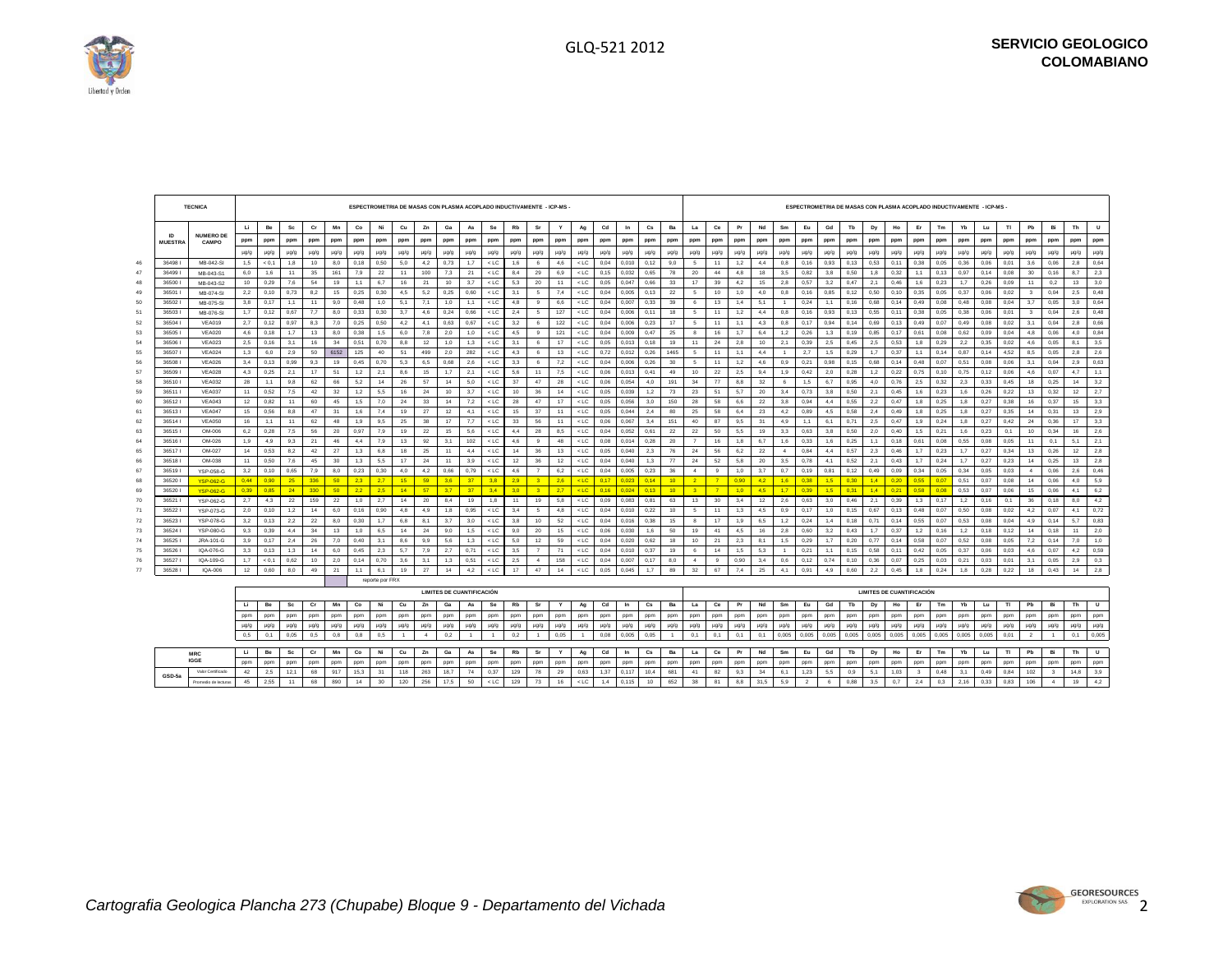$\overline{\phantom{a}}$ 



 $\sqrt{2}$ 

|          |                                | <b>TECNICA</b>                 |           |             |             |           |           |             | ESPECTROMETRIA DE MASAS CON PLASMA ACOPLADO INDUCTIVAMENTE - ICP-MS |                |              |                                  |            |                  |            |                |            |                  |              |                |                        |                 |                 |                |            |            |                |                | ESPECTROMETRIA DE MASAS CON PLASMA ACOPLADO INDUCTIVAMENTE - ICP-MS - |               |                                  |              |              |               |              |              |              |                          |              |            |             |
|----------|--------------------------------|--------------------------------|-----------|-------------|-------------|-----------|-----------|-------------|---------------------------------------------------------------------|----------------|--------------|----------------------------------|------------|------------------|------------|----------------|------------|------------------|--------------|----------------|------------------------|-----------------|-----------------|----------------|------------|------------|----------------|----------------|-----------------------------------------------------------------------|---------------|----------------------------------|--------------|--------------|---------------|--------------|--------------|--------------|--------------------------|--------------|------------|-------------|
|          |                                |                                | <b>Li</b> | Be          | Sc          | Cr        | Mn        | Co          | Ni                                                                  | Cu             | Zn           | Ga                               | As         | Se               | <b>Rb</b>  | Sr             | Y          | Ag               | Cd           | In             | $\mathbf{c}\mathbf{s}$ | Ba              | La              | Ce             | Pr         | Nd         | Sm             | Eu             | Gd                                                                    | Tb            | Dy                               | Ho           | Er           | Tm            | Yb           | Lu           | TI.          | Pb                       | Bi           | Th         | $\cup$      |
|          | $\mathsf{I}$<br><b>MUESTRA</b> | <b>NUMERO DE</b><br>CAMPO      | ppm       | ppm         | ppm         | ppm       | ppm       | ppm         | ppm                                                                 | ppm            | ppm          | ppm                              | ppm        | ppm              | ppm        | ppm            | ppm        | ppm              | ppm          | ppm            | ppm                    | ppm             | ppm             | ppm            | ppm        | ppm        | ppm            | ppm            | ppm                                                                   | ppm           | ppm                              | ppm          | ppm          | ppm           | ppm          | ppm          | ppm          | ppm                      | ppm          | ppm        | ppm         |
|          |                                |                                | $\mu q/q$ | $\mu$ g/g   | $\mu$ g/g   | $\mu$ g/g | $\mu$ g/g | $\mu$ g/g   | $\mu$ g/g                                                           | $\mu$ g/g      | µg/g         | $\mu$ g/g                        | $\mu$ g/g  | $\mu$ g/g        | $\mu$ g/g  | $\mu$ g/g      | $\mu$ g/g  | $\mu$ g/g        | µg/g         | $\mu$ g/g      | $\mu$ g/g              | $\mu$ g/g       | $\mu$ g/g       | $\mu$ g/g      | $\mu$ g/g  | $\mu$ g/g  | $\mu$ g/g      | $\mu$ g/g      | $\mu$ g/g                                                             | $\mu$ g/g     | $\mu$ g/g                        | µg/g         | $\mu$ g/g    | $\mu$ g/g     | $\mu$ g/g    | $\mu$ g/g    | $\mu$ g/g    | $\mu$ g/g                | $\mu$ g/g    | $\mu$ g/g  | µg/g        |
| 46       | 36498                          | MB-042-SI                      | 1,5       | < 0.1       | 1,8         | 10        | 8,0       | 0,18        | 0.50                                                                | 5,0            | 4,2          | 0,73                             | 1,7        | $<$ LC           | 1,6        | -6             | 4.6        | $<$ LC           | 0,04         | 0.010          | 0, 12                  | 9,0             | $5^{\circ}$     | 11             | 1,2        | 4,4        | 0,8            | 0,16           | 0.93                                                                  | 0,13          | 0,53                             | 0.11         | 0,38         | 0,05          | 0,36         | 0,06         | 0,01         | 3,6                      | 0,06         | 2,8        | 0,64        |
| 47       | 364991                         | MB-043-S1                      | 6.0       | 1.6         | 11          | 35        | 161       | 7,9         | 22                                                                  | 11             | 100          | 7,3                              | 21         | $<$ LC $\,$      | 8,4        | 29             | 6,9        | $<$ LC           | 0.15         | 0.032          | 0.65                   | 78              | 20              | 44             | 4.8        | 18         | 3,5            | 0,82           | 3,8                                                                   | 0.50          | 1.8                              | 0,32         | 1,1          | 0.13          | 0,97         | 0.14         | 0.08         | 30                       | 0.16         | 8,7        | 2,3         |
| 48       | 36500                          | MB-043-S2                      | 10        | 0,29        | 7,6         | 54        | 19        | 1,1         | 6.7                                                                 | 16             | 21           | 10                               | 3.7        | $<$ LC           | 5,3        | 20             | 11         | $<$ LC           | 0,05         | 0.047          | 0.66                   | 33              | 17              | 39             | 4,2        | 15         | 2,8            | 0.57           | 3,2                                                                   | 0.47          | 2.1                              | 0.46         | 1,6          | 0,23          | 1.7          | 0.26         | 0,09         | 11                       | 0.2          | 13         | 3,0         |
| 49       | 36501                          | MB-074-SI                      | 2,2       | 0.10        | 0,73        | 8,2       | 15        | 0,25        | 0,30                                                                | 4,5            | 5,2          | 0,25                             | 0.60       | $<$ LC $\,$      | 3,1        | 5              | 7,4        | $<$ LC           | 0,04         | 0.005          | 0, 13                  | $22\,$          | 5               | 10             | 1,0        | 4,0        | 0,8            | 0,16           | 0,85                                                                  | 0,12          | 0,50                             | 0,10         | 0,35         | 0,05          | 0,37         | 0,06         | 0,02         | $\mathbf{3}$             | 0.04         | 2,5        | 0,48        |
| 50       | 365021                         | MB-075-SI                      | 3,8       | 0.17        | 1,1         | 11        | 9.0       | 0.48        | 1.0                                                                 | 5,1            | 7.1          | 1,0                              | 1.1        | $<$ LC           | 4,8        | 9              | 6.6        | $<$ LC           | 0,04         | 0.007          | 0.33                   | 39              | 6               | 13             | 1,4        | 5,1        |                | 0.24           | 1,1                                                                   | 0, 16         | 0.68                             | 0.14         | 0.49         | 0,08          | 0.48         | 0.08         | 0,04         | 3.7                      | 0.05         | 3,0        | 0,64        |
| 51       | 365031                         | MB-076-SI                      | 1,7       | 0, 12       | 0,67        | 7,7       | 8,0       | 0,33        | 0,30                                                                | 3,7            | 4,6          | 0,24                             | 0,66       | $<$ LC $\,$      | 2,4        | 5              | 127        | $<$ LC           | 0,04         | 0,006          | 0, 11                  | 18              | $5\overline{5}$ | 11             | 1,2        | 4,4        | 0,8            | 0,16           | 0,93                                                                  | 0,13          | 0,55                             | 0,11         | 0,38         | 0,05          | 0,38         | 0,06         | 0,01         | $\mathbf{3}$             | 0.04         | 2,6        | 0,48        |
| 52       | 365041                         | VEA019                         | 2,7       | 0,12        | 0,97        | 8,3       | 7,0       | 0,25        | 0,50                                                                | 4,2            | 4,1          | 0,63                             | 0,67       | $<$ LC $\,$      | 3,2        | 6              | 122        | $<$ LC           | 0,04         | 0.006          | 0,23                   | 17              | $5\overline{5}$ | 11             | 1,1        | 4,3        | 0,8            | 0,17           | 0.94                                                                  | 0,14          | 0,69                             | 0,13         | 0,49         | 0,07          | 0,49         | 0,08         | 0,02         | 3,1                      | 0.04         | 2,8        | 0,66        |
| 53       | 365051                         | <b>VEA020</b>                  | 4,6       | 0.18        | 1,7         | 13        | 8,0       | 0,38        | 1,5                                                                 | 6,0            | 7.8          | 2,0                              | 1,0        | $<$ LC           | 4,5        | 9              | 121        | $<$ LC           | 0,04         | 0.009          | 0,47                   | 25              | 8               | 16             | 1,7        | 6,4        | 1,2            | 0,26           | 1,3                                                                   | 0,19          | 0.85                             | 0.17         | 0,61         | 0,08          | 0,62         | 0,09         | 0,04         | 4.8                      | 0.06         | 4,0        | 0,84        |
| 54       | 36506                          | <b>VEA023</b>                  | 2,5       | 0.16        | 3,1         | 16        | 34        | 0.51        | 0,70                                                                | 8,8            | 12           | 1,0                              | 1,3        | $<$ LC           | 3,1        | 6              | 17         | $<$ LC           | 0,05         | 0.013          | 0.18                   | 19              | 11              | 24             | 2.8        | 10         | 2,1            | 0,39           | 2,5                                                                   | 0,45          | 2,5                              | 0.53         | 1,8          | 0,29          | 2,2          | 0,35         | 0,02         | 4.6                      | 0.05         | 8,1        | 3,5         |
| 55       | 36507                          | <b>VEA024</b>                  | 1,3       | 6,0         | 2,9         | 50        | 6152      | 125         | 40                                                                  | 51             | 499          | 2,0                              | 282        | $<$ LC $\,$      | 4,3        | 6              | 13         | $<$ LC           | 0,72         | 0,012          | 0,26                   | 1465            | 5               | 11             | 1,1        | 4,4        | $\overline{1}$ | 2,7            | 1,5                                                                   | 0,29          | 1,7                              | 0,37         | 1,1          | 0.14          | 0,87         | 0,14         | 4,52         | 8,5                      | 0,05         | 2,8        | 2,6         |
| 56<br>57 | 36508                          | <b>VEA026</b>                  | 3,4       | 0, 13       | 0,99<br>2,1 | 9,3<br>17 | 19<br>51  | 0,45<br>1,2 | 0,70<br>2,1                                                         | 5,3            | 6,5<br>15    | 0,68<br>1,7                      | 2,6<br>2,1 | $<$ LC<br>$<$ LC | 3,3<br>5,6 | 6<br>11        | 7,2<br>7.5 | $<$ LC<br>$<$ LC | 0,04<br>0,06 | 0.006          | 0,26<br>0,41           | 30<br>49        | 5<br>10         | 11<br>22       | 1,2<br>2,5 | 4,6<br>9,4 | 0,9<br>1,9     | 0,21<br>0,42   | 0.98<br>2,0                                                           | 0, 15<br>0,28 | 0,68<br>1,2                      | 0.14<br>0,22 | 0.48<br>0,75 | 0,07<br>0, 10 | 0,51<br>0,75 | 0,08<br>0,12 | 0,06<br>0,06 | 3,1<br>4,6               | 0.04<br>0,07 | 2,9<br>4,7 | 0,63<br>1,1 |
| 58       | 36509<br>365101                | <b>VEA028</b><br><b>VEA032</b> | 4,3<br>28 | 0,25<br>1,1 | 9,8         | 62        | 66        | 5,2         | 14                                                                  | 8,6<br>26      | 57           | 14                               | 5,0        | $<$ LC           | 37         | 47             | 28         | $<$ LC           | 0,06         | 0,013<br>0,054 | 4,0                    | 191             | 34              | 77             | 8,8        | 32         | 6              | 1,5            | 6,7                                                                   | 0,95          | 4,0                              | 0,76         | 2,5          | 0,32          | 2,3          | 0,33         | 0,45         | 18                       | 0,25         | 14         | 3,2         |
| 59       | 365111                         | <b>VEA037</b>                  | 11        | 0.52        | 7,5         | 42        | 32        | 1.2         | 5.5                                                                 | 16             | 24           | 10                               | 3.7        | $<$ LC           | 10         | 36             | 14         | $<$ LC           | 0.05         | 0.039          | 1.2                    | 73              | 23              | 51             | 5.7        | 20         | 3.4            | 0.73           | 3.8                                                                   | 0.50          | 2.1                              | 0.45         | 1.6          | 0.23          | 1,6          | 0.26         | 0.22         | 13                       | 0.32         | 12         | 2,7         |
| 60       | 365121                         | <b>VEA043</b>                  | 12        | 0.82        | 11          | 60        | 45        | 1.5         | 7.0                                                                 | 24             | 33           | 14                               | 7.2        | $<$ LC           | 28         | 47             | 17         | $<$ LC           | 0.05         | 0.056          | 3.0                    | 150             | 28              | 58             | 6.6        | 22         | 3.8            | 0.94           | 4.4                                                                   | 0.55          | 2.2                              | 0.47         | 1.8          | 0.25          | 1.8          | 0.27         | 0.38         | 16                       | 0.37         | 15         | 3,3         |
| 61       | 365131                         | <b>VEA047</b>                  | 15        | 0.56        | 8,8         | 47        | 31        | 1,6         | 7,4                                                                 | 19             | 27           | 12                               | 4.1        | $<$ LC           | 15         | 37             | 11         | $<$ LC           | 0,05         | 0.044          | 2.4                    | 80              | 25              | 58             | 6.4        | 23         | 4.2            | 0,89           | 4.5                                                                   | 0.58          | 2,4                              | 0.49         | 1.8          | 0,25          | 1,8          | 0,27         | 0,35         | 14                       | 0.31         | 13         | 2,9         |
| 62       | 365141                         | <b>VEA050</b>                  | 16        | 1,1         | 11          | 62        | 48        | 1,9         | 9,5                                                                 | 25             | 38           | 17                               | 7,7        | $<$ LC           | 33         | 56             | 11         | $<$ LC           | 0,06         | 0.067          | 3.4                    | 151             | 40              | 87             | 9,5        | 31         | 4,9            | 1.1            | 6.1                                                                   | 0,71          | 2,5                              | 0.47         | 1,9          | 0,24          | 1,8          | 0,27         | 0,42         | 24                       | 0,36         | 17         | 3,3         |
| 63       | 365151                         | OM-006                         | 6,2       | 0,28        | 7,5         | 56        | 20        | 0,97        | 7,9                                                                 | 19             | 22           | 15                               | 5,6        | $<$ LC           | 4,4        | 28             | 8,5        | $<$ LC           | 0,04         | 0,052          | 0,61                   | 22              | 22              | 50             | 5,5        | 19         | 3,3            | 0,63           | 3,8                                                                   | 0,50          | 2,0                              | 0,40         | 1,5          | 0,21          | 1,6          | 0,23         | 0,1          | 10                       | 0,34         | 16         | 2,6         |
| 64       | 365161                         | OM-026                         | 1,9       | 4,9         | 9,3         | 21        | 46        | 4,4         | 7,9                                                                 | 13             | 92           | 3,1                              | 102        | $<$ LC           | 4,6        | $\mathbf{a}$   | 48         | $<$ LC           | 0,08         | 0.014          | 0,28                   | 20              | $\overline{7}$  | 16             | 1,8        | 6,7        | 1,6            | 0,33           | 1,6                                                                   | 0,25          | 1,1                              | 0,18         | 0,61         | 0,08          | 0,55         | 0,08         | 0,05         | 11                       | 0,1          | 5,1        | 2,1         |
| 65       | 36517                          | OM-027                         | 14        | 0.53        | 8.2         | 42        | 27        | 1.3         | 6.8                                                                 | 18             | 25           | 11                               | 4.4        | $<$ LC           | 14         | 36             | 13         | $<$ LC           | 0.05         | 0.040          | 2.3                    | 76              | 24              | 56             | 6.2        | 22         | $\mathbf{A}$   | 0.84           | 4.4                                                                   | 0.57          | 2.3                              | 0.46         | 1.7          | 0.23          | 1.7          | 0.27         | 0.34         | 13                       | 0.26         | 12         | 2.8         |
| 66       | 365181                         | OM-038                         | 11        | 0.50        | 7.6         | 45        | 30        | 1.3         | 5.5                                                                 | 17             | 24           | 11                               | 3.9        | $<$ LC           | 12         | 36             | 12         | $<$ LC           | 0.04         | 0.040          | 1.3                    | 77              | 24              | 52             | 5.8        | 20         | 3.5            | 0.78           | 4.1                                                                   | 0.52          | 2.1                              | 0.43         | 1.7          | 0.24          | 1.7          | 0.27         | 0.23         | 14                       | 0.25         | 13         | 2.8         |
| 67       | 365191                         | <b>YSP-058-G</b>               | 3.2       | 0.10        | 0.65        | 7.9       | 8.0       | 0.23        | 0.30                                                                | 4.0            | 4.2          | 0.66                             | 0.79       | $<$ LC           | 4.6        | $\overline{7}$ | 6.2        | $<$ LC           | 0.04         | 0.005          | 0.23                   | 36              | $\sim$          | $\overline{a}$ | 1.0        | 3.7        | 0.7            | 0.19           | 0.81                                                                  | 0.12          | 0.49                             | 0.09         | 0.34         | 0.05          | 0.34         | 0.05         | 0.03         | $\mathbf{4}$             | 0.06         | 2.6        | 0.46        |
| 68       | 36520                          | <b>YSP-062-G</b>               | 0.44      | 0.90        | 25          | 336       | 50        | $2.3 -$     | 2.7                                                                 | 15             | 59           | 3.6                              | 37         | 3.8              | 2.9        | $\mathbf{R}$   | 2.6        | $<$ LC           | 0.17         | 0.02           | 0.14                   | 10 <sup>1</sup> | 2 <sup>7</sup>  | $\overline{7}$ | 0.90       | 4.2        | 1.6            | 0.38           | 1.5                                                                   | 0.30          | 14                               | 0.20         | 0.55         | 0.07          | 0.51         | 0.07         | 0.08         | 14                       | 0.06         | 4.0        | 5,9         |
| 69       | 36520                          | <b>YSP-062-G</b>               | 0.39      | 0.85        | 24          | 330       | 50        | 2.2         | 2.5                                                                 | 14             | 57           | 3.7                              | 37         | 3.4              | 3.0        | $\mathbf{3}$   | 2.7        | $<$ LC           | 0.16         | 0.024          | 0.13                   | 10 <sup>1</sup> | $\overline{3}$  | $\overline{7}$ | 1.0        | 4.5        | 1.7            | 0.39           | 1.5                                                                   | 0.31          | 1.4                              | 0.21         | 0.58         | 0.08          | 0.53         | 0.07         | 0.06         | 15                       | 0.06         | 4.1        | 6,2         |
| 70       | 36521                          | YSP-062-G                      | 2.7       | 4,3         | 22          | 159       | 22        | 1,0         | 2,7                                                                 | 14             | 20           | 8,4                              | 19         | 1,8              | 11         | 19             | 5,8        | $<$ LC           | 0,09         | 0.083          | 0,81                   | 63              | 13              | 30             | 3.4        | 12         | 2,6            | 0,63           | 3,0                                                                   | 0,46          | 2,1                              | 0.39         | 1,3          | 0.17          | 1,2          | 0.16         | 0,1          | 36                       | 0.18         | 8,0        | 4,2         |
| 71       | 36522                          | YSP-073-G                      | 20        | 0.10        | 1,2         | 14        | 6.0       | 0.16        | 0.90                                                                | 4.8            | 4.9          | 1.8                              | 0.95       | $<$ LC           | 3.4        | - 5            | 4.8        | $<$ LC           | 0.04         | 0.010          | 0.22                   | 10              | 5               | 11             | 1.3        | 4.5        | 0.9            | 0.17           | 1.0                                                                   | 0.15          | 0.67                             | 0.13         | 0.48         | 0.07          | 0.50         | 0.08         | 0.02         | 4.2                      | 0.07         | 4.1        | 0,72        |
| 72       | 36523                          | <b>YSP-078-G</b>               | 3.2       | 0.13        | 2,2         | 22        | 8.0       | 0.30        | 1.7                                                                 | 6.8            | 8.1          | 3.7                              | 3.0        | $<$ LC           | 3.8        | 10             | 52         | $<$ LC           | 0,04         | 0.016          | 0.38                   | 15              | $\mathbf{a}$    | 17             | 1.9        | 6.5        | 1,2            | 0.24           | 1,4                                                                   | 0.18          | 0.71                             | 0.14         | 0.55         | 0.07          | 0.53         | 0.08         | 0.04         | 49                       | 0.14         | 5.7        | 0.83        |
| 73       | 36524                          | <b>YSP-080-G</b>               | 9.3       | 0.39        | 4,4         | 34        | 13        | 1,0         | 6.5                                                                 | 14             | 24           | 9,0                              | 1,5        | $<$ LC           | 9,0        | 20             | 15         | $<$ LC           | 0,06         | 0.030          | 1.6                    | 50              | 19              | 41             | 4.5        | 16         | 2,8            | 0.60           | 3,2                                                                   | 0,43          | 1.7                              | 0.37         | 1,2          | 0.16          | 1,2          | 0.18         | 0,12         | 14                       | 0.18         | 11         | 2,0         |
| 74       | 36525                          | JRA-101-G                      | 3.9       | 0.17        | 2.4         | 26        | 7.0       | 0.40        | 3.1                                                                 | 8.6            | 9.9          | 5.6                              | 1.3        | $<$ LC           | 5.0        | 12             | 59         | $<$ LC           | 0.04         | 0.020          | 0.62                   | 18              | 10              | 21             | 2.3        | 8.1        | 1.5            | 0.29           | 1.7                                                                   | 0.20          | 0.77                             | 0.14         | 0.58         | 0.07          | 0.52         | 0.08         | 0.05         | 7.2                      | 0.14         | 7.0        | 1.0         |
| 75       | 36526                          | IQA-076-G                      | 3.3       | 0.13        | 1,3         | 14        | 6.0       | 0.45        | 2.3                                                                 | 5.7            | 7.9          | 2.7                              | 0.71       | $<$ LC           | 3.5        | $\overline{7}$ | 71         | $<$ LC           | 0.04         | 0.010          | 0.37                   | 19              | 6               | 14             | 1.5        | 5,3        | $\overline{1}$ | 0.21           | 1.1                                                                   | 0.15          | 0.58                             | 0.11         | 0.42         | 0.05          | 0.37         | 0.06         | 0.03         | 4.6                      | 0.07         | 4.2        | 0,59        |
| 76       | 36527                          | IQA-109-G                      | 1.7       | < 0.1       | 0,62        | 10        | 2.0       | 0.14        | 0.70                                                                | 3.6            | 3.1          | 1,3                              | 0.51       | $<$ LC           | 2.5        | $\overline{a}$ | 158        | $<$ LC           | 0,04         | 0.007          | 0.17                   | 8.0             | $\overline{a}$  | $\overline{9}$ | 0.90       | 3,4        | 0,6            | 0.12           | 0.74                                                                  | 0.10          | 0.36                             | 0.07         | 0.25         | 0.03          | 0,21         | 0.03         | 0,01         | 3.1                      | 0.05         | 2,9        | 0,3         |
| 77       | 36528                          | IQA-006                        | 12        | 0,60        | 8,0         | 49        | 21        | 1,1         | 6,1                                                                 | 19             | 27           | 14                               | 4,2        | $<$ LC           | 17         | 47             | 14         | $<$ LC           | 0,05         | 0.045          | 1.7                    | 89              | 32              | 67             | 7,4        | 25         | 4,1            | 0,91           | 4,9                                                                   | 0,60          | 2,2                              | 0.45         | 1,8          | 0,24          | 1,8          | 0,28         | 0,22         | 18                       | 0.43         | 14         | 2,8         |
|          |                                |                                |           |             |             |           |           |             | reporte por FRX                                                     |                |              |                                  |            |                  |            |                |            |                  |              |                |                        |                 |                 |                |            |            |                |                |                                                                       |               |                                  |              |              |               |              |              |              |                          |              |            |             |
|          |                                |                                |           |             |             |           |           |             |                                                                     |                |              | <b>LIMITES DE CUANTIFICACIÓN</b> |            |                  |            |                |            |                  |              |                |                        |                 |                 |                |            |            |                |                |                                                                       |               | <b>LIMITES DE CUANTIFICACIÓN</b> |              |              |               |              |              |              |                          |              |            |             |
|          |                                |                                | -14       | Be          | Sc          | Cr        | Mn        | Co          | Ni                                                                  | Cu             | Zn           | Ga                               | As         | Se               | Rb         | Sr             | Y          | Ag               | $_{\rm Cd}$  | In             | $\mathbf{c}\mathbf{s}$ | Ba              | La              | Ce             | Pr         | Nd         | Sm             | Eu             | Gd                                                                    | Tb            | Dy                               | Ho           | Er           | Tm            | Yb           | Lu           | T1           | Pb                       | Bi           | Th         | U           |
|          |                                |                                | ppm       | ppm         | ppm         | ppm       | ppm       | ppm         | ppm                                                                 | ppm            | ppm          | ppm                              | ppm        | ppm              | ppm        | ppm            | ppm        | ppm              | ppm          | ppm            | ppm                    | ppm             | ppm             | ppm            | ppm        | ppm        | ppm            | ppm            | ppm                                                                   | ppm           | ppm                              | ppm          | ppm          | ppm           | ppm          | ppm          | ppm          | ppm                      | ppm          | ppm        | ppm         |
|          |                                |                                | $\mu$ g/g | $\mu$ g/g   | µg/g        | $\mu$ g/g | $\mu$ g/g | $\mu$ g/g   | $\mu$ g/g                                                           | $\mu$ g/g      | µg/g         | $\mu$ g/g                        | $\mu$ g/g  | $\mu$ g/g        | µg/g       | $\mu$ g/g      | $\mu$ g/g  | $\mu$ g/g        | µg/g         | $\mu$ g/g      | $\mu$ g/g              | $\mu$ g/g       | $\mu$ g/g       | $\mu$ g/g      | $\mu$ g/g  | $\mu$ g/g  | $\mu$ g/g      | $\mu$ g/g      | $\mu$ g/g                                                             | $\mu$ g/g     | µg/g                             | $\mu$ g/g    | $\mu$ g/g    | $\mu$ g/g     | $\mu$ g/g    | $\mu$ g/g    | $\mu$ g/g    | $\mu$ g/g                | µg/g         | µg/g       | µg/g        |
|          |                                |                                | 0,5       | 0,1         | 0,05        | 0,5       | 0,8       | 0,8         | 0,5                                                                 | $\overline{1}$ | $\mathbf{4}$ | 0,2                              |            | $\overline{1}$   | 0,2        | $\overline{1}$ | 0,05       | $\overline{1}$   | 0,08         | 0,005          | 0,05                   |                 | 0,1             | 0,1            | 0,1        | 0,1        | 0,005          | 0,005          | 0,005                                                                 | 0,005         | 0.005                            | 0,005        | 0,005        | 0,005         | 0,005        | 0,005        | 0,01         | $\overline{\phantom{a}}$ |              | 0,1        | 0,005       |
|          |                                | <b>MRC</b>                     | LI.       | Be          | Sc          | <b>Cr</b> | Mn        | Co          | Ni                                                                  | Cu             | Zn           | Ga                               | As         | Se               | Rb         | Sr             | Y          | Ag               | Cd           | In             | Cs                     | Ba              | La              | Ce             | Pr         | Nd         | Sm             | Eu             | Gd                                                                    | Tb            | Dy                               | Ho           | Er           | Tm            | Yb           | Lu           | TI           | Pb                       | Bi           | Th         | U           |
|          |                                | <b>IGGE</b>                    | ppm       | ppm         | ppm         | ppm       | ppm       | ppm         | ppm                                                                 | ppm            | ppm          | ppm                              | ppm        | ppm              | ppm        | ppm            | ppm        | ppm              | ppm          | ppm            | ppm                    | ppm             | ppm             | ppm            | ppm        | ppm        | ppm            | ppm            | ppm                                                                   | ppm           | ppm                              | ppm          | ppm          | ppm           | ppm          | ppm          | ppm          | ppm                      | ppm          | ppm        | ppm         |
|          |                                | Valor Certificado              | 42        | 2,5         | 12,1        | 68        | 917       | 15,3        | 31                                                                  | 118            | 263          | 18,7                             | 74         | 0,37             | 129        | 78             | 29         | 0,63             | 1,37         | 0.117          | 10,4                   | 681             | 41              | 82             | 9,3        | 34         | 6,1            | 1,23           | 5,5                                                                   | 0,9           | 5,1                              | 1,03         | -3           | 0,48          | 3,1          | 0,49         | 0,84         | 102                      | $\mathbf{3}$ | 14,8       | 3,9         |
|          | GSD-5a                         | Promedio de lecturas           | 45        | 2.55        | 11          | 68        | 890       | 14          | 30                                                                  | 120            | 256          | 17,5                             | 50         | $<$ LC $\,$      | 129        | 73             | 16         | $<$ LC           | 1,4          | 0.115          | 10                     | 652             | 38              | 81             | 8,8        | 31.5       | 5,9            | $\overline{2}$ | 6                                                                     | 0,88          | 3,5                              | 0.7          | 2,4          | 0,3           | 2.16         | 0,33         | 0,83         | 106                      | $\mathbf{A}$ | 19         | 4,2         |

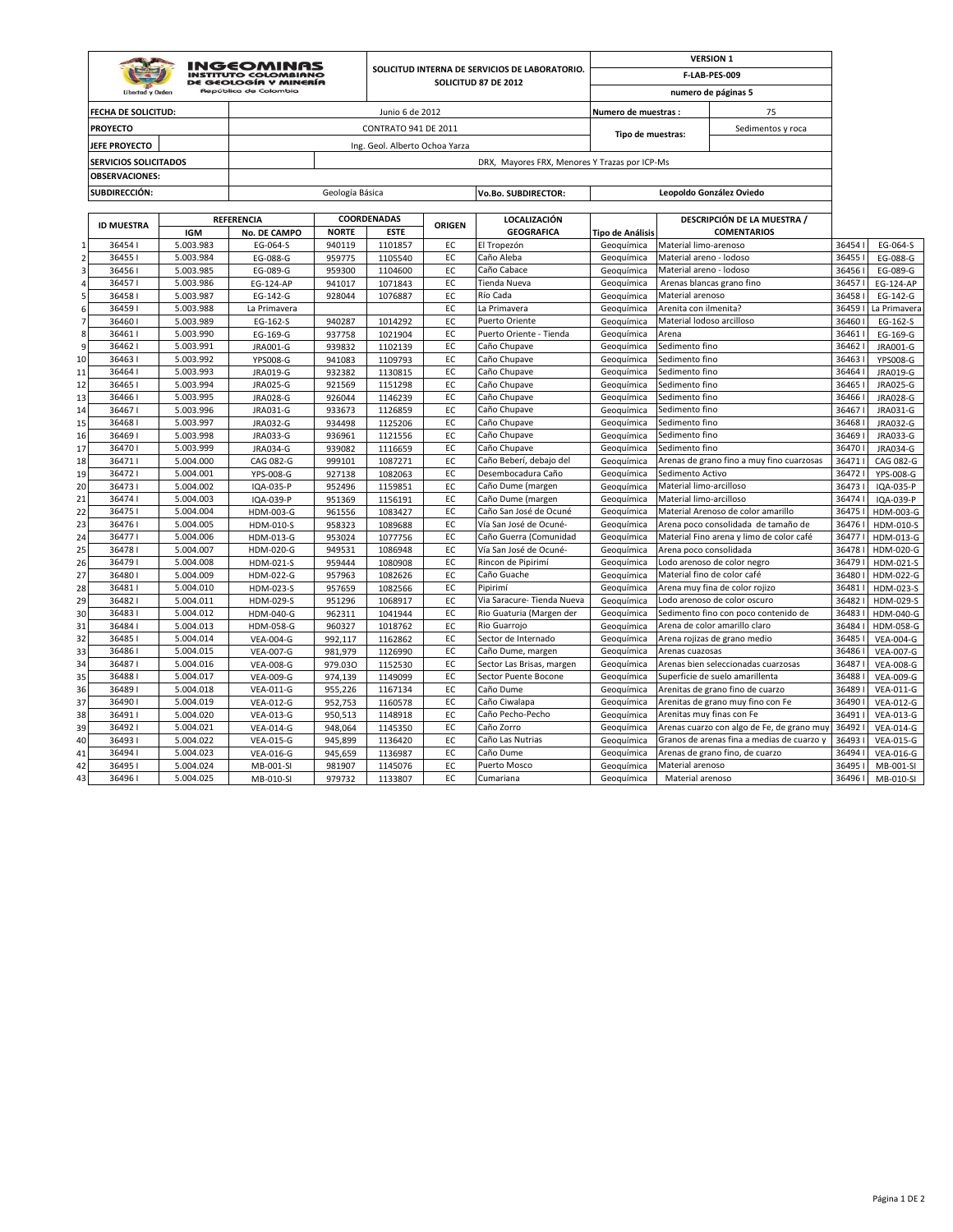|                         |                              |            | <b>INGEOMINAS</b>                                                             |                 |                                |        | SOLICITUD INTERNA DE SERVICIOS DE LABORATORIO. |                         |                           | <b>VERSION 1</b>                           |        |                  |
|-------------------------|------------------------------|------------|-------------------------------------------------------------------------------|-----------------|--------------------------------|--------|------------------------------------------------|-------------------------|---------------------------|--------------------------------------------|--------|------------------|
|                         | <b>Libertad y Orden</b>      |            | <b>INSTITUTO COLOMBIANO</b><br>DE GEOLOGÍA Y MINERÍA<br>República de Colombia |                 |                                |        | SOLICITUD 87 DE 2012                           |                         |                           | F-LAB-PES-009<br>numero de páginas 5       |        |                  |
|                         | <b>FECHA DE SOLICITUD:</b>   |            |                                                                               |                 | Junio 6 de 2012                |        |                                                | Numero de muestras :    |                           | 75                                         |        |                  |
|                         |                              |            |                                                                               |                 |                                |        |                                                |                         |                           |                                            |        |                  |
|                         | <b>PROYECTO</b>              |            |                                                                               |                 | <b>CONTRATO 941 DE 2011</b>    |        |                                                | Tipo de muestras:       |                           | Sedimentos y roca                          |        |                  |
|                         | <b>JEFE PROYECTO</b>         |            |                                                                               |                 | Ing. Geol. Alberto Ochoa Yarza |        |                                                |                         |                           |                                            |        |                  |
|                         | <b>SERVICIOS SOLICITADOS</b> |            |                                                                               |                 |                                |        | DRX, Mayores FRX, Menores Y Trazas por ICP-Ms  |                         |                           |                                            |        |                  |
|                         | <b>OBSERVACIONES:</b>        |            |                                                                               |                 |                                |        |                                                |                         |                           |                                            |        |                  |
|                         | SUBDIRECCIÓN:                |            |                                                                               | Geología Básica |                                |        | Vo.Bo. SUBDIRECTOR:                            |                         |                           | Leopoldo González Oviedo                   |        |                  |
|                         |                              |            | <b>REFERENCIA</b>                                                             |                 | COORDENADAS                    |        | LOCALIZACIÓN                                   |                         |                           | DESCRIPCIÓN DE LA MUESTRA /                |        |                  |
|                         | <b>ID MUESTRA</b>            | <b>IGM</b> | No. DE CAMPO                                                                  | <b>NORTE</b>    | <b>ESTE</b>                    | ORIGEN | <b>GEOGRAFICA</b>                              | <b>Tipo de Análisis</b> |                           | <b>COMENTARIOS</b>                         |        |                  |
| $\mathbf{1}$            | 364541                       | 5.003.983  | EG-064-S                                                                      | 940119          | 1101857                        | EC     | El Tropezón                                    | Geoguímica              | Material limo-arenoso     |                                            | 364541 | EG-064-S         |
| $\overline{2}$          | 364551                       | 5.003.984  | EG-088-G                                                                      | 959775          | 1105540                        | EC     | Caño Aleba                                     | Geoguímica              | Material areno - lodoso   |                                            | 36455  | EG-088-G         |
| $\overline{\mathbf{3}}$ | 364561                       | 5.003.985  | EG-089-G                                                                      | 959300          | 1104600                        | EC     | Caño Cabace                                    | Geoguímica              | Material areno - lodoso   |                                            | 364561 | EG-089-G         |
| 4                       | 364571                       | 5.003.986  | <b>EG-124-AP</b>                                                              | 941017          | 1071843                        | EC     | Tienda Nueva                                   | Geoguímica              |                           | Arenas blancas grano fino                  | 364571 | EG-124-AP        |
| 5                       | 364581                       | 5.003.987  | EG-142-G                                                                      | 928044          | 1076887                        | EC     | Río Cada                                       | Geoquímica              | Material arenoso          |                                            | 364581 | EG-142-G         |
| 6                       | 364591                       | 5.003.988  | La Primavera                                                                  |                 |                                | EC     | La Primavera                                   | Geoquímica              | Arenita con ilmenita?     |                                            | 36459  | La Primavera     |
| $\overline{7}$          | 364601                       | 5.003.989  | EG-162-S                                                                      | 940287          | 1014292                        | EC     | Puerto Oriente                                 | Geoguímica              | Material lodoso arcilloso |                                            | 364601 | EG-162-S         |
| 8                       | 364611                       | 5.003.990  | EG-169-G                                                                      | 937758          | 1021904                        | EC     | Puerto Oriente - Tienda                        | Geoguímica              | Arena                     |                                            | 364611 | EG-169-G         |
| $\overline{9}$          | 364621                       | 5.003.991  | JRA001-G                                                                      | 939832          | 1102139                        | EC     | Caño Chupave                                   | Geoquímica              | Sedimento fino            |                                            | 364621 | JRA001-G         |
| 10                      | 364631                       | 5.003.992  | YPS008-G                                                                      | 941083          | 1109793                        | EC     | Caño Chupave                                   | Geoguímica              | Sedimento fino            |                                            | 364631 | YPS008-G         |
| 11                      | 364641                       | 5.003.993  | JRA019-G                                                                      | 932382          | 1130815                        | EC     | Caño Chupave                                   | Geoguímica              | Sedimento fino            |                                            | 364641 | JRA019-G         |
| 12                      | 364651                       | 5.003.994  | JRA025-G                                                                      | 921569          | 1151298                        | EC     | Caño Chupave                                   | Geoguímica              | Sedimento fino            |                                            | 364651 | JRA025-G         |
| 13                      | 364661                       | 5.003.995  | <b>JRA028-G</b>                                                               | 926044          | 1146239                        | EC     | Caño Chupave                                   | Geoguímica              | Sedimento fino            |                                            | 36466  | JRA028-G         |
| 14                      | 36467                        | 5.003.996  | JRA031-G                                                                      | 933673          | 1126859                        | EC     | Caño Chupave                                   | Geoquímica              | Sedimento fino            |                                            | 36467  | JRA031-G         |
| 15                      | 364681                       | 5.003.997  | JRA032-G                                                                      | 934498          | 1125206                        | EC     | Caño Chupave                                   | Geoquímica              | Sedimento fino            |                                            | 36468  | JRA032-G         |
| 16                      | 364691                       | 5.003.998  | JRA033-G                                                                      | 936961          | 1121556                        | EC     | Caño Chupave                                   | Geoguímica              | Sedimento fino            |                                            | 364691 | JRA033-G         |
| 17                      | 364701                       | 5.003.999  | JRA034-G                                                                      | 939082          | 1116659                        | EC     | Caño Chupave                                   | Geoguímica              | Sedimento fino            |                                            | 364701 | JRA034-G         |
| 18                      | 364711                       | 5.004.000  | CAG 082-G                                                                     | 999101          | 1087271                        | EC     | Caño Beberí, debajo del                        | Geoquímica              |                           | Arenas de grano fino a muy fino cuarzosas  | 364711 | CAG 082-G        |
| 19                      | 364721                       | 5.004.001  | YPS-008-G                                                                     | 927138          | 1082063                        | EC     | Desembocadura Caño                             | Geoguímica              | Sedimento Activo          |                                            | 364721 | YPS-008-G        |
| 20                      | 364731                       | 5.004.002  | IQA-035-P                                                                     | 952496          | 1159851                        | EC     | Caño Dume (margen                              | Geoquímica              | Material limo-arcilloso   |                                            | 36473  | IQA-035-P        |
| 21                      | 364741                       | 5.004.003  | IQA-039-P                                                                     | 951369          | 1156191                        | EC     | Caño Dume (margen                              | Geoguímica              | Material limo-arcilloso   |                                            | 364741 | IQA-039-P        |
| 22                      | 36475                        | 5.004.004  | HDM-003-G                                                                     | 961556          | 1083427                        | EC     | Caño San José de Ocuné                         | Geoguímica              |                           | Material Arenoso de color amarillo         | 364751 | HDM-003-G        |
| 23                      | 364761                       | 5.004.005  | HDM-010-S                                                                     | 958323          | 1089688                        | EC     | Vía San José de Ocuné-                         | Geoquímica              |                           | Arena poco consolidada de tamaño de        | 364761 | HDM-010-S        |
| 24                      | 364771                       | 5.004.006  | HDM-013-G                                                                     | 953024          | 1077756                        | EC     | Caño Guerra (Comunidad                         | Geoguímica              |                           | Material Fino arena y limo de color café   | 364771 | HDM-013-G        |
| 25                      | 364781                       | 5.004.007  | HDM-020-G                                                                     | 949531          | 1086948                        | EC     | Vía San José de Ocuné-                         | Geoguímica              | Arena poco consolidada    |                                            | 364781 | HDM-020-G        |
| 26                      | 364791                       | 5.004.008  | HDM-021-S                                                                     | 959444          | 1080908                        | EC     | Rincon de Pipirimí                             | Geoguímica              |                           | Lodo arenoso de color negro                | 364791 | HDM-021-S        |
| 27                      | 364801                       | 5.004.009  | HDM-022-G                                                                     | 957963          | 1082626                        | EC     | Caño Guache                                    | Geoquímica              |                           | Material fino de color café                | 364801 | HDM-022-G        |
| 28                      | 364811                       | 5.004.010  | HDM-023-S                                                                     | 957659          | 1082566                        | EC     | Pipirimí                                       | Geoquímica              |                           | Arena muy fina de color rojizo             | 364811 | HDM-023-S        |
| 29                      | 36482                        | 5.004.011  | HDM-029-S                                                                     | 951296          | 1068917                        | EC     | Via Saracure- Tienda Nueva                     | Geoguímica              |                           | Lodo arenoso de color oscuro               | 364821 | HDM-029-S        |
| 30                      | 364831                       | 5.004.012  | HDM-040-G                                                                     | 962311          | 1041944                        | EC     | Rio Guaturia (Margen der                       | Geoguímica              |                           | Sedimento fino con poco contenido de       | 364831 | HDM-040-G        |
| 31                      | 364841                       | 5.004.013  | HDM-058-G                                                                     | 960327          | 1018762                        | EC     | Rio Guarrojo                                   | Geoguímica              |                           | Arena de color amarillo claro              | 364841 | HDM-058-G        |
| 32                      | 364851                       | 5.004.014  | <b>VEA-004-G</b>                                                              | 992,117         | 1162862                        | EC     | Sector de Internado                            | Geoguímica              |                           | Arena rojizas de grano medio               | 364851 | <b>VEA-004-G</b> |
| 33                      | 364861                       | 5.004.015  | <b>VEA-007-G</b>                                                              | 981,979         | 1126990                        | EC     | Caño Dume, margen                              | Geoguímica              | Arenas cuazosas           |                                            | 364861 | <b>VEA-007-G</b> |
| 34                      | 364871                       | 5.004.016  | <b>VEA-008-G</b>                                                              | 979.030         | 1152530                        | EC     | Sector Las Brisas, margen                      | Geoguímica              |                           | Arenas bien seleccionadas cuarzosas        | 36487  | <b>VEA-008-G</b> |
| 35                      | 364881                       | 5.004.017  | <b>VEA-009-G</b>                                                              | 974,139         | 1149099                        | EC     | Sector Puente Bocone                           | Geoguímica              |                           | Superficie de suelo amarillenta            | 364881 | VEA-009-G        |
| 36                      | 364891                       | 5.004.018  | <b>VEA-011-G</b>                                                              | 955,226         | 1167134                        | EC     | Caño Dume                                      | Geoquímica              |                           | Arenitas de grano fino de cuarzo           | 364891 | <b>VEA-011-G</b> |
| 37                      | 364901                       | 5.004.019  | <b>VEA-012-G</b>                                                              | 952,753         | 1160578                        | EC     | Caño Ciwalapa                                  | Geoquímica              |                           | Arenitas de grano muy fino con Fe          | 364901 | VEA-012-G        |
| 38                      | 364911                       | 5.004.020  | <b>VEA-013-G</b>                                                              | 950.513         | 1148918                        | EC     | Caño Pecho-Pecho                               | Geoguímica              |                           | Arenitas muy finas con Fe                  | 36491  | VEA-013-G        |
| 39                      | 364921                       | 5.004.021  | <b>VEA-014-G</b>                                                              | 948,064         | 1145350                        | EC     | Caño Zorro                                     | Geoguímica              |                           | Arenas cuarzo con algo de Fe, de grano muy | 36492  | <b>VEA-014-G</b> |
| 40                      | 364931                       | 5.004.022  | <b>VEA-015-G</b>                                                              | 945,899         | 1136420                        | EC     | Caño Las Nutrias                               | Geoquímica              |                           | Granos de arenas fina a medias de cuarzo y | 364931 | VEA-015-G        |
| 41                      | 364941                       | 5.004.023  | <b>VEA-016-G</b>                                                              | 945,659         | 1136987                        | EC     | Caño Dume                                      | Geoquímica              |                           | Arenas de grano fino, de cuarzo            | 364941 | VEA-016-G        |
| 42                      | 364951                       | 5.004.024  | MB-001-SI                                                                     | 981907          | 1145076                        | EC     | Puerto Mosco                                   | Geoguímica              | Material arenoso          |                                            | 364951 | MB-001-SI        |
| 43                      | 364961                       | 5.004.025  | MB-010-SI                                                                     | 979732          | 1133807                        | EC     | Cumariana                                      | Geoguímica              | Material arenoso          |                                            | 364961 | MB-010-SI        |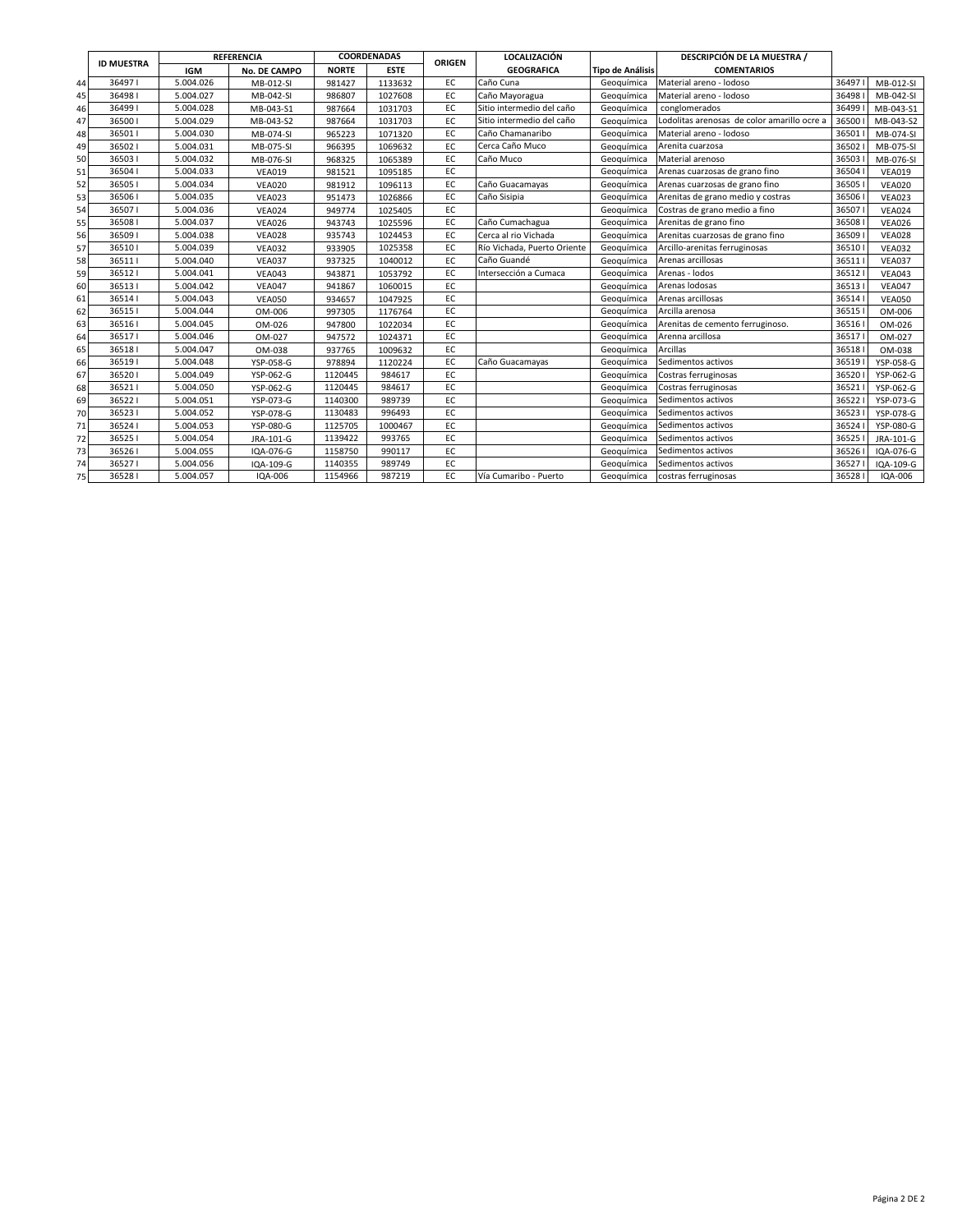|    |                   |            | <b>REFERENCIA</b>   |              | COORDENADAS |               | <b>LOCALIZACIÓN</b>         |                         | DESCRIPCIÓN DE LA MUESTRA /                 |       |               |
|----|-------------------|------------|---------------------|--------------|-------------|---------------|-----------------------------|-------------------------|---------------------------------------------|-------|---------------|
|    | <b>ID MUESTRA</b> | <b>IGM</b> | <b>No. DE CAMPO</b> | <b>NORTE</b> | <b>ESTE</b> | <b>ORIGEN</b> | <b>GEOGRAFICA</b>           | <b>Tipo de Análisis</b> | <b>COMENTARIOS</b>                          |       |               |
| 44 | 364971            | 5.004.026  | MB-012-SI           | 981427       | 1133632     | EC            | Caño Cuna                   | Geoguímica              | Material areno - lodoso                     | 36497 | MB-012-SI     |
| 45 | 364981            | 5.004.027  | MB-042-SI           | 986807       | 1027608     | EC            | Caño Mayoragua              | Geoguímica              | Material areno - lodoso                     | 36498 | MB-042-SI     |
| 46 | 364991            | 5.004.028  | MB-043-S1           | 987664       | 1031703     | EC            | Sitio intermedio del caño   | Geoguímica              | conglomerados                               | 36499 | MB-043-S1     |
| 47 | 365001            | 5.004.029  | MB-043-S2           | 987664       | 1031703     | EC            | Sitio intermedio del caño   | Geoguímica              | Lodolitas arenosas de color amarillo ocre a | 36500 | MB-043-S2     |
| 48 | 365011            | 5.004.030  | MB-074-SI           | 965223       | 1071320     | EC            | Caño Chamanaribo            | Geoguímica              | Material areno - lodoso                     | 36501 | MB-074-SI     |
| 49 | 365021            | 5.004.031  | MB-075-SI           | 966395       | 1069632     | EC            | Cerca Caño Muco             | Geoguímica              | Arenita cuarzosa                            | 36502 | MB-075-SI     |
| 50 | 365031            | 5.004.032  | MB-076-SI           | 968325       | 1065389     | EC            | Caño Muco                   | Geoguímica              | Material arenoso                            | 36503 | MB-076-SI     |
| 51 | 365041            | 5.004.033  | <b>VEA019</b>       | 981521       | 1095185     | EC            |                             | Geoguímica              | Arenas cuarzosas de grano fino              | 36504 | <b>VEA019</b> |
| 52 | 365051            | 5.004.034  | <b>VEA020</b>       | 981912       | 1096113     | EC            | Caño Guacamayas             | Geoguímica              | Arenas cuarzosas de grano fino              | 36505 | <b>VEA020</b> |
| 53 | 365061            | 5.004.035  | <b>VEA023</b>       | 951473       | 1026866     | EC            | Caño Sisipia                | Geoguímica              | Arenitas de grano medio y costras           | 36506 | <b>VEA023</b> |
| 54 | 365071            | 5.004.036  | <b>VEA024</b>       | 949774       | 1025405     | EC            |                             | Geoquímica              | Costras de grano medio a fino               | 36507 | <b>VEA024</b> |
| 55 | 365081            | 5.004.037  | <b>VEA026</b>       | 943743       | 1025596     | EC            | Caño Cumachagua             | Geoquímica              | Arenitas de grano fino                      | 36508 | <b>VEA026</b> |
| 56 | 365091            | 5.004.038  | <b>VEA028</b>       | 935743       | 1024453     | EC            | Cerca al rio Vichada        | Geoguímica              | Arenitas cuarzosas de grano fino            | 36509 | <b>VEA028</b> |
| 57 | 365101            | 5.004.039  | <b>VEA032</b>       | 933905       | 1025358     | EC            | Río Vichada, Puerto Oriente | Geoguímica              | Arcillo-arenitas ferruginosas               | 36510 | <b>VEA032</b> |
| 58 | 365111            | 5.004.040  | <b>VEA037</b>       | 937325       | 1040012     | EC            | Caño Guandé                 | Geoguímica              | Arenas arcillosas                           | 36511 | <b>VEA037</b> |
| 59 | 365121            | 5.004.041  | <b>VEA043</b>       | 943871       | 1053792     | EC            | Intersección a Cumaca       | Geoguímica              | Arenas - lodos                              | 36512 | <b>VEA043</b> |
| 60 | 365131            | 5.004.042  | <b>VEA047</b>       | 941867       | 1060015     | EC            |                             | Geoguímica              | Arenas lodosas                              | 36513 | <b>VEA047</b> |
| 61 | 365141            | 5.004.043  | <b>VEA050</b>       | 934657       | 1047925     | EC            |                             | Geoguímica              | Arenas arcillosas                           | 36514 | <b>VEA050</b> |
| 62 | 365151            | 5.004.044  | OM-006              | 997305       | 1176764     | EC            |                             | Geoguímica              | Arcilla arenosa                             | 36515 | OM-006        |
| 63 | 365161            | 5.004.045  | OM-026              | 947800       | 1022034     | EC            |                             | Geoguímica              | Arenitas de cemento ferruginoso.            | 36516 | OM-026        |
| 64 | 365171            | 5.004.046  | OM-027              | 947572       | 1024371     | EC            |                             | Geoguímica              | Arenna arcillosa                            | 36517 | OM-027        |
| 65 | 365181            | 5.004.047  | OM-038              | 937765       | 1009632     | EC            |                             | Geoguímica              | Arcillas                                    | 36518 | OM-038        |
| 66 | 365191            | 5.004.048  | YSP-058-G           | 978894       | 1120224     | EC            | Caño Guacamayas             | Geoguímica              | Sedimentos activos                          | 36519 | YSP-058-G     |
| 67 | 365201            | 5.004.049  | YSP-062-G           | 1120445      | 984617      | EC            |                             | Geoguímica              | Costras ferruginosas                        | 36520 | YSP-062-G     |
| 68 | 365211            | 5.004.050  | YSP-062-G           | 1120445      | 984617      | EC            |                             | Geoguímica              | Costras ferruginosas                        | 36521 | YSP-062-G     |
| 69 | 365221            | 5.004.051  | YSP-073-G           | 1140300      | 989739      | EC            |                             | Geoguímica              | Sedimentos activos                          | 36522 | YSP-073-G     |
| 70 | 365231            | 5.004.052  | YSP-078-G           | 1130483      | 996493      | EC            |                             | Geoguímica              | Sedimentos activos                          | 36523 | YSP-078-G     |
| 71 | 365241            | 5.004.053  | YSP-080-G           | 1125705      | 1000467     | EC            |                             | Geoguímica              | Sedimentos activos                          | 36524 | YSP-080-G     |
| 72 | 365251            | 5.004.054  | JRA-101-G           | 1139422      | 993765      | EC            |                             | Geoguímica              | Sedimentos activos                          | 36525 | JRA-101-G     |
| 73 | 365261            | 5.004.055  | IQA-076-G           | 1158750      | 990117      | EC            |                             | Geoguímica              | Sedimentos activos                          | 36526 | IQA-076-G     |
| 74 | 365271            | 5.004.056  | IQA-109-G           | 1140355      | 989749      | EC            |                             | Geoguímica              | Sedimentos activos                          | 36527 | IQA-109-G     |
| 75 | 365281            | 5.004.057  | IQA-006             | 1154966      | 987219      | EC            | Vía Cumaribo - Puerto       | Geoguímica              | costras ferruginosas                        | 36528 | IQA-006       |